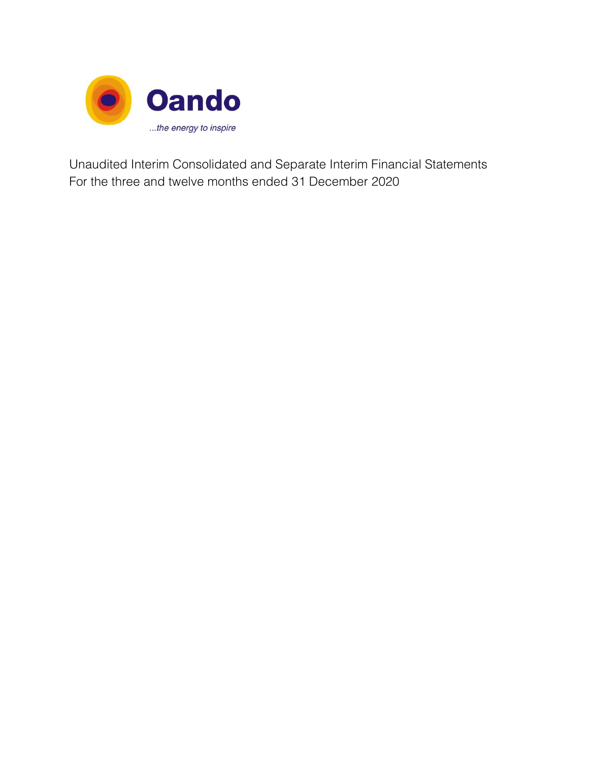

Unaudited Interim Consolidated and Separate Interim Financial Statements For the three and twelve months ended 31 December 2020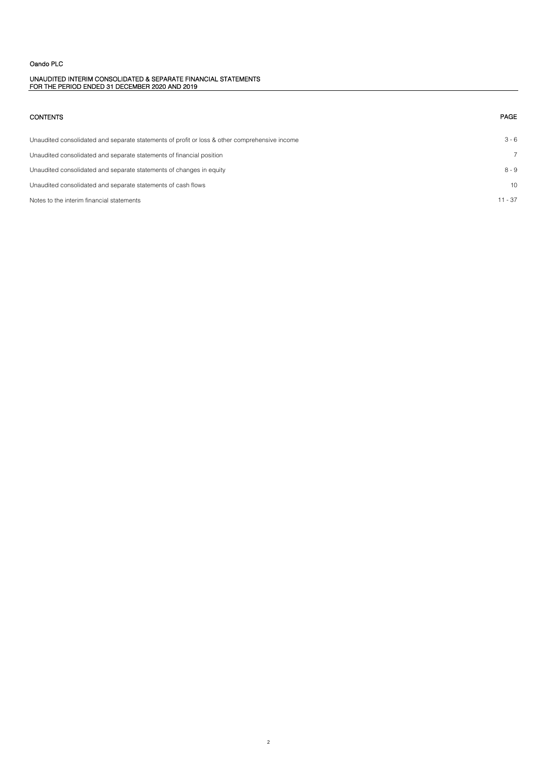# Oando PLC

## UNAUDITED INTERIM CONSOLIDATED & SEPARATE FINANCIAL STATEMENTS FOR THE PERIOD ENDED 31 DECEMBER 2020 AND 2019

| <b>CONTENTS</b>                                                                               | <b>PAGE</b>    |
|-----------------------------------------------------------------------------------------------|----------------|
| Unaudited consolidated and separate statements of profit or loss & other comprehensive income | $3 - 6$        |
| Unaudited consolidated and separate statements of financial position                          | $\overline{7}$ |
| Unaudited consolidated and separate statements of changes in equity                           | $8 - 9$        |
| Unaudited consolidated and separate statements of cash flows                                  | 10             |
| Notes to the interim financial statements                                                     | $11 - 37$      |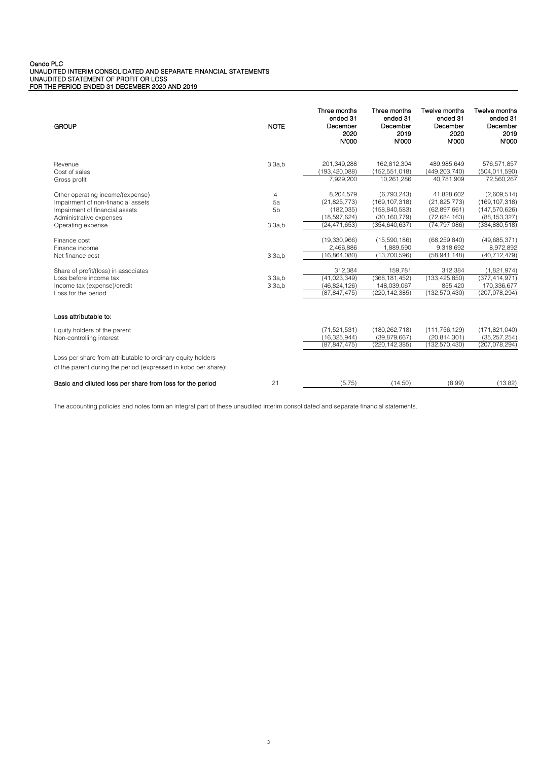## Oando PLC UNAUDITED INTERIM CONSOLIDATED AND SEPARATE FINANCIAL STATEMENTS UNAUDITED STATEMENT OF PROFIT OR LOSS FOR THE PERIOD ENDED 31 DECEMBER 2020 AND 2019

| <b>GROUP</b>                                                   | <b>NOTE</b>    | Three months<br>ended 31<br>December<br>2020<br>N'000 | Three months<br>ended 31<br>December<br>2019<br>N'000 | Twelve months<br>ended 31<br>December<br>2020<br>N'000 | Twelve months<br>ended 31<br>December<br>2019<br>N'000 |
|----------------------------------------------------------------|----------------|-------------------------------------------------------|-------------------------------------------------------|--------------------------------------------------------|--------------------------------------------------------|
|                                                                |                |                                                       |                                                       |                                                        |                                                        |
| Revenue                                                        | 3.3a,b         | 201,349,288                                           | 162,812,304                                           | 489,985,649                                            | 576,571,857                                            |
| Cost of sales                                                  |                | (193, 420, 088)                                       | (152, 551, 018)                                       | (449, 203, 740)                                        | (504, 011, 590)                                        |
| Gross profit                                                   |                | 7,929,200                                             | 10,261,286                                            | 40.781.909                                             | 72,560,267                                             |
| Other operating income/(expense)                               | 4              | 8,204,579                                             | (6,793,243)                                           | 41,828,602                                             | (2,609,514)                                            |
| Impairment of non-financial assets                             | 5a             | (21, 825, 773)                                        | (169, 107, 318)                                       | (21, 825, 773)                                         | (169, 107, 318)                                        |
| Impairment of financial assets                                 | 5 <sub>b</sub> | (182, 035)                                            | (158, 840, 583)                                       | (62, 897, 661)                                         | (147, 570, 626)                                        |
| Administrative expenses                                        |                | (18, 597, 624)                                        | (30, 160, 779)                                        | (72,684,163)                                           | (88, 153, 327)                                         |
| Operating expense                                              | $3.3a$ , $b$   | (24, 471, 653)                                        | (354,640,637)                                         | (74, 797, 086)                                         | (334, 880, 518)                                        |
| Finance cost                                                   |                | (19,330,966)                                          | (15,590,186)                                          | (68, 259, 840)                                         | (49,685,371)                                           |
| Finance income                                                 |                | 2,466,886                                             | 1,889,590                                             | 9,318,692                                              | 8,972,892                                              |
| Net finance cost                                               | $3.3a$ , $b$   | (16,864,080)                                          | (13,700,596)                                          | (58, 941, 148)                                         | (40, 712, 479)                                         |
| Share of profit/(loss) in associates                           |                | 312,384                                               | 159,781                                               | 312,384                                                | (1,821,974)                                            |
| Loss before income tax                                         | 3.3a,b         | (41, 023, 349)                                        | (368, 181, 452)                                       | (133, 425, 850)                                        | (377, 414, 971)                                        |
| Income tax (expense)/credit                                    | $3.3a$ , $b$   | (46, 824, 126)                                        | 148,039,067                                           | 855,420                                                | 170,336,677                                            |
| Loss for the period                                            |                | (87, 847, 475)                                        | (220, 142, 385)                                       | (132, 570, 430)                                        | (207, 078, 294)                                        |
| Loss attributable to:                                          |                |                                                       |                                                       |                                                        |                                                        |
| Equity holders of the parent                                   |                | (71, 521, 531)                                        | (180, 262, 718)                                       | (111, 756, 129)                                        | (171, 821, 040)                                        |
| Non-controlling interest                                       |                | (16, 325, 944)                                        | (39, 879, 667)                                        | (20, 814, 301)                                         | (35, 257, 254)                                         |
|                                                                |                | (87, 847, 475)                                        | (220, 142, 385)                                       | (132, 570, 430)                                        | (207, 078, 294)                                        |
| Loss per share from attributable to ordinary equity holders    |                |                                                       |                                                       |                                                        |                                                        |
| of the parent during the period (expressed in kobo per share): |                |                                                       |                                                       |                                                        |                                                        |
| Basic and diluted loss per share from loss for the period      | 21             | (5.75)                                                | (14.50)                                               | (8.99)                                                 | (13.82)                                                |

The accounting policies and notes form an integral part of these unaudited interim consolidated and separate financial statements.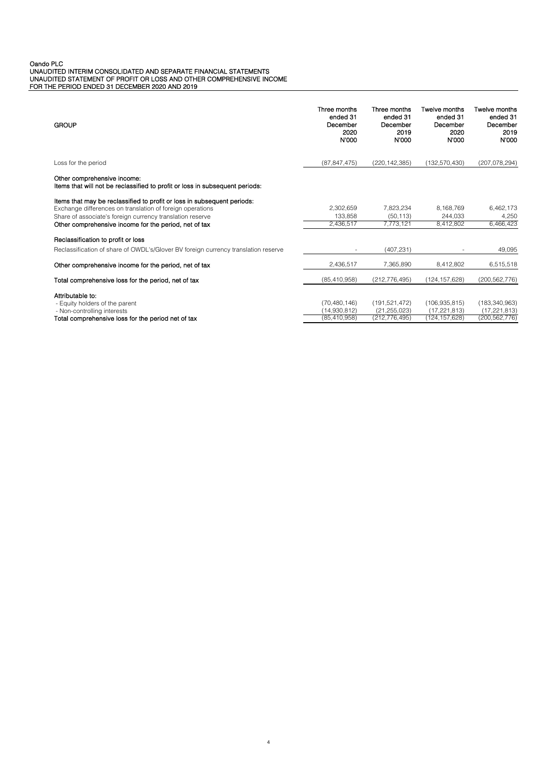#### Oando PLC UNAUDITED INTERIM CONSOLIDATED AND SEPARATE FINANCIAL STATEMENTS UNAUDITED STATEMENT OF PROFIT OR LOSS AND OTHER COMPREHENSIVE INCOME FOR THE PERIOD ENDED 31 DECEMBER 2020 AND 2019

| <b>GROUP</b>                                                                                                                                                                                                                                               | Three months<br>ended 31<br>December<br>2020<br>N'000 | Three months<br>ended 31<br>December<br>2019<br>N'000 | Twelve months<br>ended 31<br>December<br>2020<br>N'000 | Twelve months<br>ended 31<br>December<br>2019<br>N 000 |
|------------------------------------------------------------------------------------------------------------------------------------------------------------------------------------------------------------------------------------------------------------|-------------------------------------------------------|-------------------------------------------------------|--------------------------------------------------------|--------------------------------------------------------|
| Loss for the period                                                                                                                                                                                                                                        | (87, 847, 475)                                        | (220, 142, 385)                                       | (132, 570, 430)                                        | (207, 078, 294)                                        |
| Other comprehensive income:<br>Items that will not be reclassified to profit or loss in subsequent periods:                                                                                                                                                |                                                       |                                                       |                                                        |                                                        |
| Items that may be reclassified to profit or loss in subsequent periods:<br>Exchange differences on translation of foreign operations<br>Share of associate's foreign currency translation reserve<br>Other comprehensive income for the period, net of tax | 2,302,659<br>133.858<br>2.436.517                     | 7,823,234<br>(50.113)<br>7.773.121                    | 8,168,769<br>244.033<br>8.412.802                      | 6,462,173<br>4.250<br>6.466.423                        |
| Reclassification to profit or loss<br>Reclassification of share of OWDL's/Glover BV foreign currency translation reserve                                                                                                                                   |                                                       | (407, 231)                                            |                                                        | 49,095                                                 |
| Other comprehensive income for the period, net of tax                                                                                                                                                                                                      | 2,436,517                                             | 7,365,890                                             | 8,412,802                                              | 6,515,518                                              |
| Total comprehensive loss for the period, net of tax                                                                                                                                                                                                        | (85, 410, 958)                                        | (212, 776, 495)                                       | (124, 157, 628)                                        | (200, 562, 776)                                        |
| Attributable to:<br>- Equity holders of the parent<br>- Non-controlling interests<br>Total comprehensive loss for the period net of tax                                                                                                                    | (70, 480, 146)<br>(14.930.812)<br>(85, 410, 958)      | (191, 521, 472)<br>(21, 255, 023)<br>(212, 776, 495)  | (106, 935, 815)<br>(17, 221, 813)<br>(124, 157, 628)   | (183, 340, 963)<br>(17, 221, 813)<br>(200, 562, 776)   |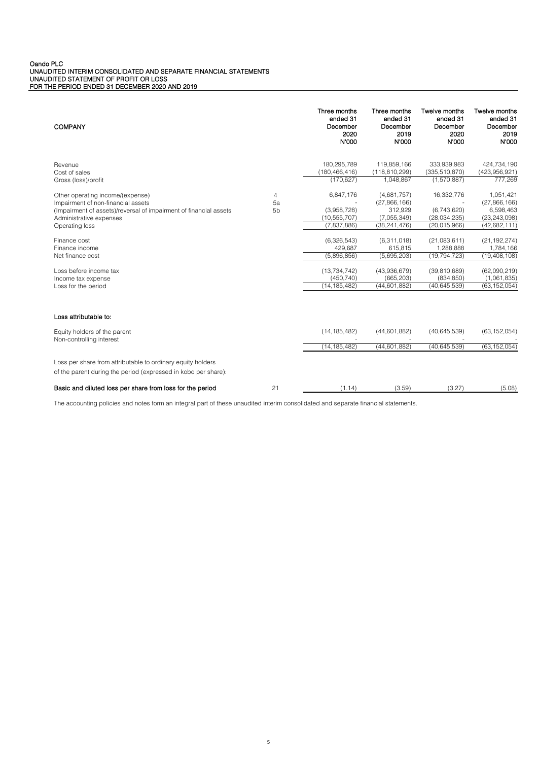### Oando PLC UNAUDITED INTERIM CONSOLIDATED AND SEPARATE FINANCIAL STATEMENTS UNAUDITED STATEMENT OF PROFIT OR LOSS FOR THE PERIOD ENDED 31 DECEMBER 2020 AND 2019

| <b>COMPANY</b>                                                                                                                                                                           |                            | Three months<br>ended 31<br>December<br>2020<br>N'000     | Three months<br>ended 31<br>December<br>2019<br>N'000                   | Twelve months<br>ended 31<br>December<br>2020<br>N'000    | Twelve months<br>ended 31<br>December<br>2019<br>N'000                     |
|------------------------------------------------------------------------------------------------------------------------------------------------------------------------------------------|----------------------------|-----------------------------------------------------------|-------------------------------------------------------------------------|-----------------------------------------------------------|----------------------------------------------------------------------------|
| Revenue<br>Cost of sales<br>Gross (loss)/profit                                                                                                                                          |                            | 180.295.789<br>(180, 466, 416)<br>(170, 627)              | 119,859,166<br>(118, 810, 299)<br>1,048,867                             | 333.939.983<br>(335, 510, 870)<br>(1,570,887)             | 424,734,190<br>(423, 956, 921)<br>777,269                                  |
| Other operating income/(expense)<br>Impairment of non-financial assets<br>(Impairment of assets)/reversal of impairment of financial assets<br>Administrative expenses<br>Operating loss | $\overline{4}$<br>5a<br>5b | 6,847,176<br>(3,958,728)<br>(10, 555, 707)<br>(7,837,886) | (4,681,757)<br>(27,866,166)<br>312,929<br>(7,055,349)<br>(38, 241, 476) | 16,332,776<br>(6,743,620)<br>(28,034,235)<br>(20,015,966) | 1,051,421<br>(27,866,166)<br>6,598,463<br>(23, 243, 098)<br>(42, 682, 111) |
| Finance cost<br>Finance income<br>Net finance cost                                                                                                                                       |                            | (6,326,543)<br>429,687<br>(5,896,856)                     | (6,311,018)<br>615,815<br>(5,695,203)                                   | (21,083,611)<br>1,288,888<br>(19,794,723)                 | (21, 192, 274)<br>1,784,166<br>(19, 408, 108)                              |
| Loss before income tax<br>Income tax expense<br>Loss for the period                                                                                                                      |                            | (13, 734, 742)<br>(450, 740)<br>(14, 185, 482)            | (43,936,679)<br>(665, 203)<br>(44,601,882)                              | (39, 810, 689)<br>(834, 850)<br>(40, 645, 539)            | (62,090,219)<br>(1,061,835)<br>(63, 152, 054)                              |
| Loss attributable to:                                                                                                                                                                    |                            |                                                           |                                                                         |                                                           |                                                                            |
| Equity holders of the parent<br>Non-controlling interest                                                                                                                                 |                            | (14, 185, 482)<br>(14, 185, 482)                          | (44,601,882)<br>(44,601,882)                                            | (40, 645, 539)<br>(40, 645, 539)                          | (63, 152, 054)<br>(63, 152, 054)                                           |
| Loss per share from attributable to ordinary equity holders<br>of the parent during the period (expressed in kobo per share):                                                            |                            |                                                           |                                                                         |                                                           |                                                                            |
| Basic and diluted loss per share from loss for the period                                                                                                                                | 21                         | (1.14)                                                    | (3.59)                                                                  | (3.27)                                                    | (5.08)                                                                     |

The accounting policies and notes form an integral part of these unaudited interim consolidated and separate financial statements.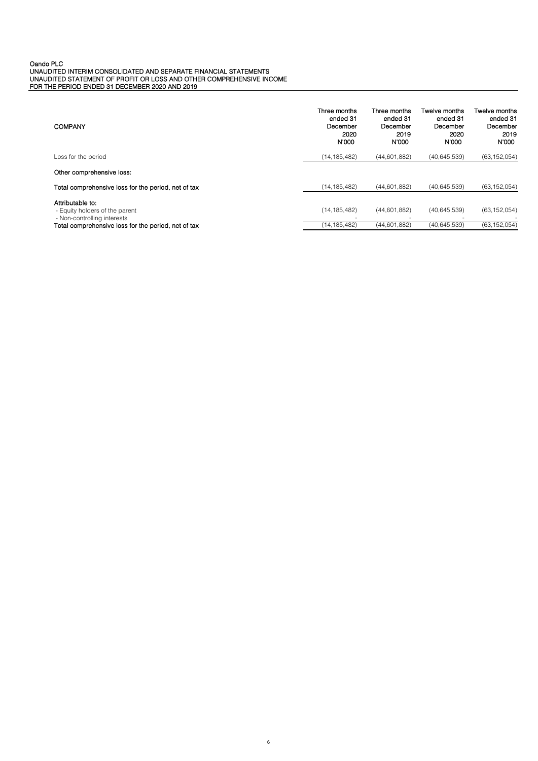#### Oando PLC UNAUDITED INTERIM CONSOLIDATED AND SEPARATE FINANCIAL STATEMENTS UNAUDITED STATEMENT OF PROFIT OR LOSS AND OTHER COMPREHENSIVE INCOME FOR THE PERIOD ENDED 31 DECEMBER 2020 AND 2019

| <b>COMPANY</b>                                                                                                                           | Three months<br>ended 31<br>December<br>2020<br>N'000 | Three months<br>ended 31<br>December<br>2019<br>N'000 | Twelve months<br>ended 31<br>December<br>2020<br>N'000 | Twelve months<br>ended 31<br>December<br>2019<br>N'000 |
|------------------------------------------------------------------------------------------------------------------------------------------|-------------------------------------------------------|-------------------------------------------------------|--------------------------------------------------------|--------------------------------------------------------|
| Loss for the period                                                                                                                      | (14, 185, 482)                                        | (44,601,882)                                          | (40, 645, 539)                                         | (63, 152, 054)                                         |
| Other comprehensive loss:                                                                                                                |                                                       |                                                       |                                                        |                                                        |
| Total comprehensive loss for the period, net of tax                                                                                      | (14,185,482)                                          | (44,601,882)                                          | (40, 645, 539)                                         | (63, 152, 054)                                         |
| Attributable to:<br>- Equity holders of the parent<br>- Non-controlling interests<br>Total comprehensive loss for the period, net of tax | (14, 185, 482)<br>(14, 185, 482)                      | (44,601,882)<br>(44,601,882)                          | (40, 645, 539)<br>(40.645.539)                         | (63, 152, 054)<br>(63, 152, 054)                       |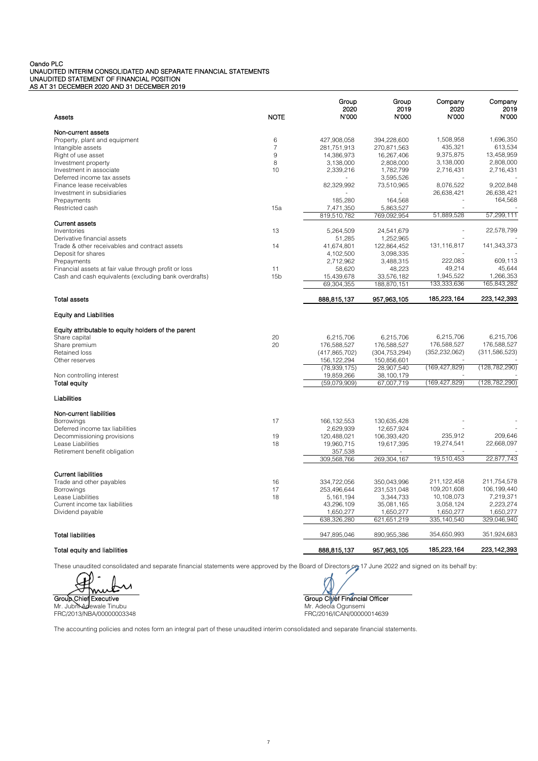## Oando PLC UNAUDITED INTERIM CONSOLIDATED AND SEPARATE FINANCIAL STATEMENTS UNAUDITED STATEMENT OF FINANCIAL POSITION AS AT 31 DECEMBER 2020 AND 31 DECEMBER 2019

| Assets                                                               | <b>NOTE</b>     | Group<br>2020<br>N'000 | Group<br>2019<br>N'000 | Company<br>2020<br>N'000 | Company<br>2019<br>N'000 |
|----------------------------------------------------------------------|-----------------|------------------------|------------------------|--------------------------|--------------------------|
| Non-current assets                                                   |                 |                        |                        |                          |                          |
| Property, plant and equipment                                        | 6               | 427,908,058            | 394.228.600            | 1.508.958                | 1.696.350                |
| Intangible assets                                                    | 7               | 281,751,913            | 270,871,563            | 435,321                  | 613,534                  |
| Right of use asset                                                   | 9               | 14,386,973             | 16,267,406             | 9.375.875                | 13.458.959               |
| Investment property                                                  | 8               | 3,138,000              | 2,808,000              | 3,138,000                | 2,808,000                |
| Investment in associate                                              | 10              | 2,339,216              | 1,782,799              | 2,716,431                | 2,716,431                |
| Deferred income tax assets                                           |                 |                        | 3,595,526              |                          |                          |
| Finance lease receivables                                            |                 | 82,329,992             | 73,510,965             | 8,076,522                | 9,202,848                |
| Investment in subsidiaries                                           |                 |                        |                        | 26,638,421               | 26,638,421               |
| Prepayments                                                          |                 | 185,280                | 164,568                |                          | 164,568                  |
| Restricted cash                                                      | 15a             | 7,471,350              | 5,863,527              |                          |                          |
|                                                                      |                 | 819,510,782            | 769,092,954            | 51,889,528               | 57,299,111               |
|                                                                      |                 |                        |                        |                          |                          |
| <b>Current assets</b>                                                |                 |                        |                        |                          |                          |
| Inventories                                                          | 13              | 5,264,509              | 24,541,679             |                          | 22,578,799               |
| Derivative financial assets                                          |                 | 51,285                 | 1,252,965              |                          |                          |
| Trade & other receivables and contract assets                        | 14              | 41,674,801             | 122,864,452            | 131,116,817              | 141,343,373              |
| Deposit for shares                                                   |                 | 4,102,500              | 3,098,335              |                          |                          |
| Prepayments                                                          |                 | 2,712,962              | 3,488,315              | 222,083                  | 609,113                  |
| Financial assets at fair value through profit or loss                | 11              | 58,620                 | 48,223                 | 49,214                   | 45,644                   |
| Cash and cash equivalents (excluding bank overdrafts)                | 15 <sub>b</sub> | 15,439,678             | 33,576,182             | 1,945,522                | 1,266,353                |
|                                                                      |                 | 69,304,355             | 188,870,151            | 133,333,636              | 165,843,282              |
| <b>Total assets</b>                                                  |                 | 888,815,137            | 957,963,105            | 185,223,164              | 223, 142, 393            |
| Equity attributable to equity holders of the parent<br>Share capital | 20              | 6,215,706              | 6,215,706              | 6,215,706                | 6,215,706                |
|                                                                      | 20              |                        |                        | 176,588,527              | 176,588,527              |
| Share premium                                                        |                 | 176,588,527            | 176,588,527            | (352, 232, 062)          | (311, 586, 523)          |
| <b>Retained loss</b>                                                 |                 | (417, 865, 702)        | (304, 753, 294)        |                          |                          |
| Other reserves                                                       |                 | 156, 122, 294          | 150,856,601            | (169, 427, 829)          | (128, 782, 290)          |
|                                                                      |                 | (78,939,175)           | 28,907,540             |                          |                          |
| Non controlling interest                                             |                 | 19,859,266             | 38,100,179             |                          | (128.782.290)            |
| <b>Total equity</b>                                                  |                 | (59,079,909)           | 67,007,719             | (169,427,829)            |                          |
| Liabilities                                                          |                 |                        |                        |                          |                          |
| Non-current liabilities                                              |                 |                        |                        |                          |                          |
| Borrowings                                                           | 17              | 166, 132, 553          | 130.635.428            |                          |                          |
| Deferred income tax liabilities                                      |                 | 2,629,939              | 12,657,924             |                          |                          |
| Decommissioning provisions                                           | 19              | 120,488,021            | 106,393,420            | 235,912                  | 209.646                  |
| Lease Liabilities                                                    | 18              | 19,960,715             | 19,617,395             | 19,274,541               | 22,668,097               |
| Retirement benefit obligation                                        |                 | 357,538                |                        |                          |                          |
|                                                                      |                 | 309,568,766            | 269,304,167            | 19,510,453               | 22,877,743               |
| <b>Current liabilities</b>                                           |                 |                        |                        |                          |                          |
| Trade and other payables                                             | 16              | 334,722,056            | 350,043,996            | 211, 122, 458            | 211,754,578              |
| Borrowings                                                           | 17              | 253,496,644            | 231,531,048            | 109,201,608              | 106,199,440              |
| Lease Liabilities                                                    | 18              | 5,161,194              | 3,344,733              | 10,108,073               | 7,219,371                |
| Current income tax liabilities                                       |                 | 43,296,109             | 35,081,165             | 3,058,124                | 2,223,274                |
| Dividend payable                                                     |                 | 1,650,277              | 1,650,277              | 1,650,277                | 1,650,277                |
|                                                                      |                 | 638,326,280            | 621,651,219            | 335, 140, 540            | 329,046,940              |
| <b>Total liabilities</b>                                             |                 | 947,895,046            | 890,955,386            | 354,650,993              | 351,924,683              |
|                                                                      |                 |                        |                        |                          |                          |

These unaudited consolidated and separate financial statements were approved by the Board of Directors on 17 June 2022 and signed on its behalf by:

J ᄊ £ Tmi Group Chief Executive<br>Mr. Jubril Adewale Tinubu<br>FRC/2013/NBA/00000003348

Group Chief Financial Officer<br>Mr. Adeola Ogunsemi

FRC/2016/ICAN/00000014639

The accounting policies and notes form an integral part of these unaudited interim consolidated and separate financial statements.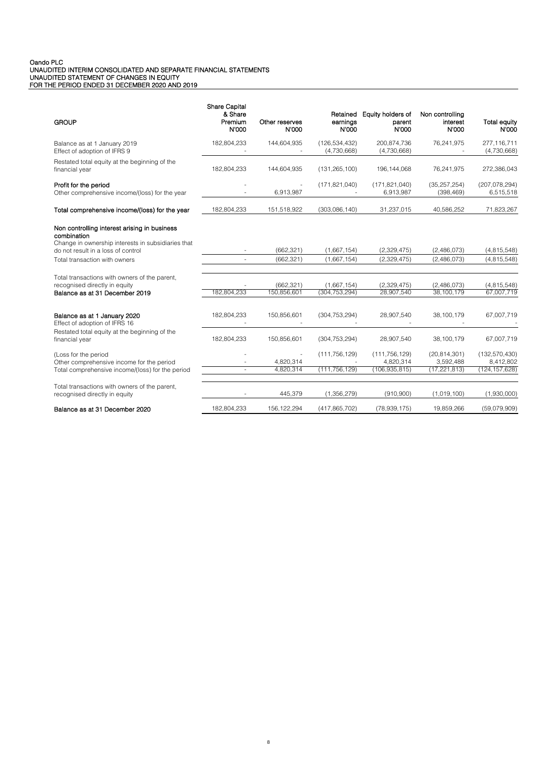## Oando PLC UNAUDITED INTERIM CONSOLIDATED AND SEPARATE FINANCIAL STATEMENTS UNAUDITED STATEMENT OF CHANGES IN EQUITY FOR THE PERIOD ENDED 31 DECEMBER 2020 AND 2019

| <b>Share Capital</b><br>& Share<br>Premium<br>N'000 | Other reserves<br>N'000   | earnings<br>N'000                  | Equity holders of<br>parent<br>N'000            | Non controlling<br>interest<br>N'000          | <b>Total equity</b><br>N'000                    |
|-----------------------------------------------------|---------------------------|------------------------------------|-------------------------------------------------|-----------------------------------------------|-------------------------------------------------|
| 182,804,233                                         | 144,604,935               | (126, 534, 432)<br>(4,730,668)     | 200,874,736<br>(4,730,668)                      | 76,241,975                                    | 277,116,711<br>(4,730,668)                      |
| 182,804,233                                         | 144,604,935               | (131, 265, 100)                    | 196, 144, 068                                   | 76,241,975                                    | 272,386,043                                     |
|                                                     | 6,913,987                 | (171, 821, 040)                    | (171, 821, 040)<br>6.913.987                    | (35, 257, 254)<br>(398, 469)                  | (207, 078, 294)<br>6,515,518                    |
| 182,804,233                                         | 151,518,922               | (303,086,140)                      | 31,237,015                                      | 40,586,252                                    | 71,823,267                                      |
|                                                     |                           |                                    |                                                 |                                               |                                                 |
| $\sim$                                              |                           |                                    |                                                 |                                               | (4,815,548)<br>(4,815,548)                      |
|                                                     |                           |                                    |                                                 |                                               |                                                 |
| 182.804.233                                         | (662, 321)<br>150.856.601 | (1,667,154)<br>(304, 753, 294)     | (2,329,475)<br>28,907,540                       | (2,486,073)<br>38,100,179                     | (4,815,548)<br>67.007.719                       |
| 182,804,233                                         | 150,856,601               | (304, 753, 294)                    | 28,907,540                                      | 38,100,179                                    | 67,007,719                                      |
| 182,804,233                                         | 150,856,601               | (304, 753, 294)                    | 28.907.540                                      | 38,100,179                                    | 67,007,719                                      |
|                                                     | 4,820,314<br>4.820.314    | (111, 756, 129)<br>(111, 756, 129) | (111, 756, 129)<br>4,820,314<br>(106, 935, 815) | (20, 814, 301)<br>3,592,488<br>(17, 221, 813) | (132, 570, 430)<br>8,412,802<br>(124, 157, 628) |
|                                                     | 445.379                   | (1,356,279)                        | (910,900)                                       | (1,019,100)                                   | (1,930,000)                                     |
| 182.804.233                                         | 156.122.294               | (417, 865, 702)                    | (78,939,175)                                    | 19.859.266                                    | (59,079,909)                                    |
|                                                     |                           | (662, 321)<br>(662, 321)           | (1,667,154)<br>(1,667,154)                      | Retained<br>(2,329,475)<br>(2,329,475)        | (2,486,073)<br>(2,486,073)                      |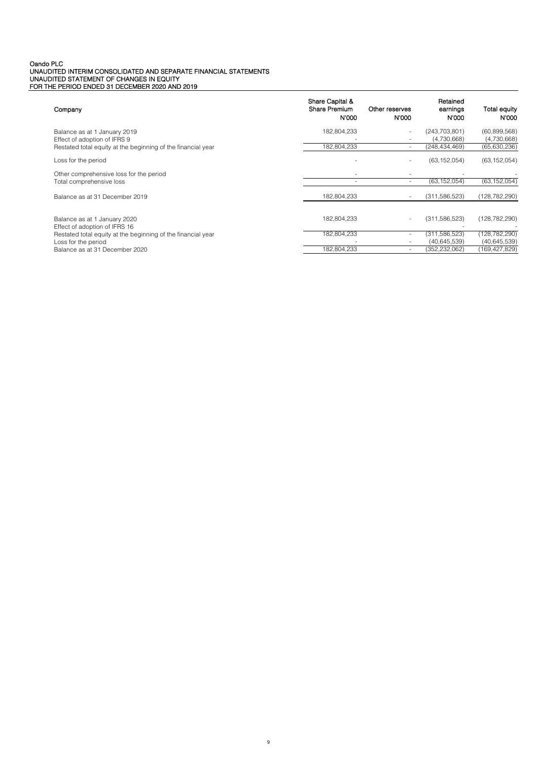### Oando PLC UNAUDITED INTERIM CONSOLIDATED AND SEPARATE FINANCIAL STATEMENTS UNAUDITED STATEMENT OF CHANGES IN EQUITY FOR THE PERIOD ENDED 31 DECEMBER 2020 AND 2019

| Company                                                       | Share Capital &<br>Share Premium<br>N'000 | Other reserves<br>N'000 | Retained<br>earnings<br>N'000 | Total equity<br>N'000 |
|---------------------------------------------------------------|-------------------------------------------|-------------------------|-------------------------------|-----------------------|
| Balance as at 1 January 2019                                  | 182,804,233                               |                         | (243, 703, 801)               | (60, 899, 568)        |
| Effect of adoption of IFRS 9                                  |                                           |                         | (4,730,668)                   | (4,730,668)           |
| Restated total equity at the beginning of the financial year  | 182,804,233                               | ۰.                      | (248, 434, 469)               | (65, 630, 236)        |
| Loss for the period                                           |                                           |                         | (63, 152, 054)                | (63, 152, 054)        |
| Other comprehensive loss for the period                       |                                           |                         |                               |                       |
| Total comprehensive loss                                      |                                           | ٠                       | (63, 152, 054)                | (63, 152, 054)        |
| Balance as at 31 December 2019                                | 182,804,233                               |                         | (311,586,523)                 | (128, 782, 290)       |
| Balance as at 1 January 2020<br>Effect of adoption of IFRS 16 | 182,804,233                               |                         | (311,586,523)                 | (128, 782, 290)       |
| Restated total equity at the beginning of the financial year  | 182,804,233                               | ٠                       | (311, 586, 523)               | (128,782,290)         |
| Loss for the period                                           |                                           |                         | (40, 645, 539)                | (40, 645, 539)        |
| Balance as at 31 December 2020                                | 182,804,233                               | ٠                       | (352,232,062)                 | (169,427,829)         |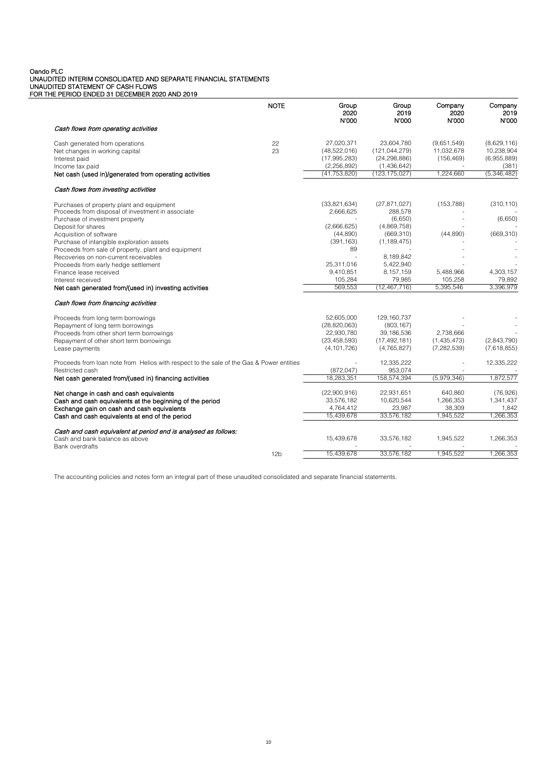## Oando PLC UNAUDITED INTERIM CONSOLIDATED AND SEPARATE FINANCIAL STATEMENTS UNAUDITED STATEMENT OF CASH FLOWS FOR THE PERIOD ENDED 31 DECEMBER 2020 AND 2019

|                                                                                          | <b>NOTE</b>     | Group<br>2020<br>N'000 | Group<br>2019<br>N'000 | Company<br>2020<br>N'000 | Company<br>2019<br>N'000 |
|------------------------------------------------------------------------------------------|-----------------|------------------------|------------------------|--------------------------|--------------------------|
| Cash flows from operating activities                                                     |                 |                        |                        |                          |                          |
| Cash generated from operations                                                           | 22              | 27,020,371             | 23,604,780             | (9,651,549)              | (8,629,116)              |
| Net changes in working capital                                                           | 23              | (48, 522, 016)         | (121, 044, 279)        | 11,032,678               | 10,238,904               |
| Interest paid                                                                            |                 | (17,995,283)           | (24, 298, 886)         | (156, 469)               | (6,955,889)              |
| Income tax paid                                                                          |                 | (2, 256, 892)          | (1,436,642)            |                          | (381)                    |
| Net cash (used in)/generated from operating activities                                   |                 | (41, 753, 820)         | (123,175,027)          | 1,224,660                | (5,346,482)              |
| Cash flows from investing activities                                                     |                 |                        |                        |                          |                          |
| Purchases of property plant and equipment                                                |                 | (33,821,634)           | (27, 871, 027)         | (153, 788)               | (310, 110)               |
| Proceeds from disposal of investment in associate                                        |                 | 2,666,625              | 288,578                |                          |                          |
| Purchase of investment property                                                          |                 |                        | (6,650)                |                          | (6,650)                  |
| Deposit for shares                                                                       |                 | (2,666,625)            | (4,869,758)            |                          |                          |
| Acquisition of software                                                                  |                 | (44, 890)              | (669, 310)             | (44, 890)                | (669, 310)               |
| Purchase of intangible exploration assets                                                |                 | (391, 163)             | (1, 189, 475)          |                          |                          |
| Proceeds from sale of property, plant and equipment                                      |                 | 89                     |                        |                          |                          |
| Recoveries on non-current receivables                                                    |                 |                        | 8,189,842              |                          |                          |
| Proceeds from early hedge settlement                                                     |                 | 25,311,016             | 5,422,940              |                          |                          |
| Finance lease received                                                                   |                 | 9,410,851              | 8, 157, 159            | 5,488,966                | 4,303,157                |
| Interest received                                                                        |                 | 105,284                | 79,985                 | 105,258                  | 79,892                   |
| Net cash generated from/(used in) investing activities                                   |                 | 569,553                | (12, 467, 716)         | 5,395,546                | 3,396,979                |
| Cash flows from financing activities                                                     |                 |                        |                        |                          |                          |
| Proceeds from long term borrowings                                                       |                 | 52.605.000             | 129.160.737            |                          |                          |
| Repayment of long term borrowings                                                        |                 | (28, 820, 063)         | (803, 167)             |                          |                          |
| Proceeds from other short term borrowings                                                |                 | 22,930,780             | 39,186,536             | 2,738,666                |                          |
| Repayment of other short term borrowings                                                 |                 | (23, 458, 593)         | (17, 492, 181)         | (1,435,473)              | (2,843,790)              |
| Lease payments                                                                           |                 | (4, 101, 726)          | (4,765,827)            | (7, 282, 539)            | (7,618,855)              |
| Proceeds from loan note from Helios with respect to the sale of the Gas & Power entities |                 |                        | 12,335,222             |                          | 12,335,222               |
| Restricted cash                                                                          |                 | (872, 047)             | 953,074                |                          |                          |
| Net cash generated from/(used in) financing activities                                   |                 | 18,283,351             | 158,574,394            | (5,979,346)              | 1,872,577                |
| Net change in cash and cash equivalents                                                  |                 | (22,900,916)           | 22,931,651             | 640.860                  | (76, 926)                |
| Cash and cash equivalents at the beginning of the period                                 |                 | 33,576,182             | 10,620,544             | 1,266,353                | 1,341,437                |
| Exchange gain on cash and cash equivalents                                               |                 | 4,764,412              | 23,987                 | 38,309                   | 1,842                    |
| Cash and cash equivalents at end of the period                                           |                 | 15,439,678             | 33,576,182             | 1,945,522                | 1,266,353                |
| Cash and cash equivalent at period end is analysed as follows:                           |                 |                        |                        |                          |                          |
| Cash and bank balance as above                                                           |                 | 15,439,678             | 33,576,182             | 1,945,522                | 1,266,353                |
| <b>Bank overdrafts</b>                                                                   | 12 <sub>b</sub> | 15,439,678             | 33,576,182             | 1.945.522                | 1,266,353                |
|                                                                                          |                 |                        |                        |                          |                          |

The accounting policies and notes form an integral part of these unaudited consolidated and separate financial statements.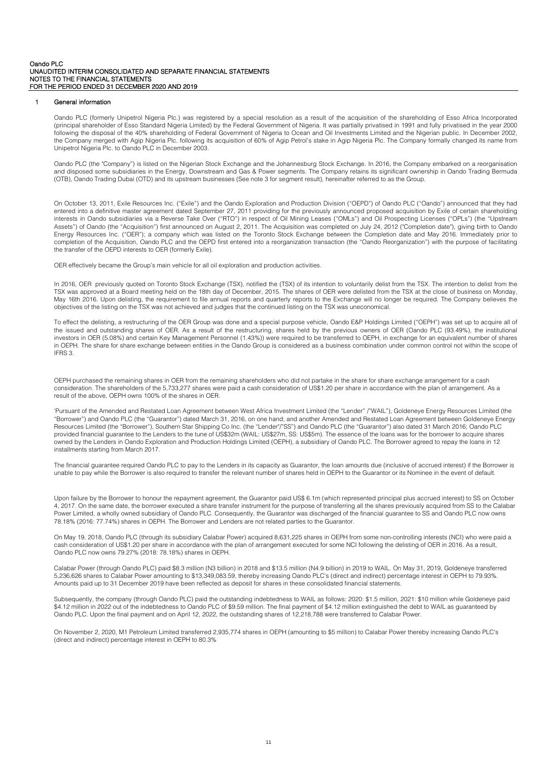## 1 General information

Oando PLC (formerly Unipetrol Nigeria Plc.) was registered by a special resolution as a result of the acquisition of the shareholding of Esso Africa Incorporated (principal shareholder of Esso Standard Nigeria Limited) by the Federal Government of Nigeria. It was partially privatised in 1991 and fully privatised in the year 2000 following the disposal of the 40% shareholding of Federal Government of Nigeria to Ocean and Oil Investments Limited and the Nigerian public. In December 2002, the Company merged with Agip Nigeria Plc. following its acquisition of 60% of Agip Petrol's stake in Agip Nigeria Plc. The Company formally changed its name from Unipetrol Nigeria Plc. to Oando PLC in December 2003.

Oando PLC (the "Company") is listed on the Nigerian Stock Exchange and the Johannesburg Stock Exchange. In 2016, the Company embarked on a reorganisation and disposed some subsidiaries in the Energy, Downstream and Gas & Power segments. The Company retains its significant ownership in Oando Trading Bermuda (OTB), Oando Trading Dubai (OTD) and its upstream businesses (See note 3 for segment result), hereinafter referred to as the Group.

On October 13, 2011, Exile Resources Inc. ("Exile") and the Oando Exploration and Production Division ("OEPD") of Oando PLC ("Oando") announced that they had entered into a definitive master agreement dated September 27, 2011 providing for the previously announced proposed acquisition by Exile of certain shareholding interests in Oando subsidiaries via a Reverse Take Over ("RTO") in respect of Oil Mining Leases ("OMLs") and Oil Prospecting Licenses ("OPLs") (the "Upstream Assets") of Oando (the "Acquisition") first announced on August 2, 2011. The Acquisition was completed on July 24, 2012 ("Completion date"), giving birth to Oando Energy Resources Inc. ("OER"); a company which was listed on the Toronto Stock Exchange between the Completion date and May 2016. Immediately prior to completion of the Acquisition, Oando PLC and the OEPD first entered into a reorganization transaction (the "Oando Reorganization") with the purpose of facilitating the transfer of the OEPD interests to OER (formerly Exile).

OER effectively became the Group's main vehicle for all oil exploration and production activities.

In 2016, OER previously quoted on Toronto Stock Exchange (TSX), notified the (TSX) of its intention to voluntarily delist from the TSX. The intention to delist from the TSX was approved at a Board meeting held on the 18th day of December, 2015. The shares of OER were delisted from the TSX at the close of business on Monday, May 16th 2016. Upon delisting, the requirement to file annual reports and quarterly reports to the Exchange will no longer be required. The Company believes the objectives of the listing on the TSX was not achieved and judges that the continued listing on the TSX was uneconomical.

To effect the delisting, a restructuring of the OER Group was done and a special purpose vehicle, Oando E&P Holdings Limited ("OEPH") was set up to acquire all of the issued and outstanding shares of OER. As a result of the restructuring, shares held by the previous owners of OER (Oando PLC (93.49%), the institutional investors in OER (5.08%) and certain Key Management Personnel (1.43%)) were required to be transferred to OEPH, in exchange for an equivalent number of shares in OEPH. The share for share exchange between entities in the Oando Group is considered as a business combination under common control not within the scope of IFRS 3.

OEPH purchased the remaining shares in OER from the remaining shareholders who did not partake in the share for share exchange arrangement for a cash consideration. The shareholders of the 5,733,277 shares were paid a cash consideration of US\$1.20 per share in accordance with the plan of arrangement. As a result of the above, OEPH owns 100% of the shares in OER.

'Pursuant of the Amended and Restated Loan Agreement between West Africa Investment Limited (the "Lender" /"WAIL"), Goldeneye Energy Resources Limited (the "Borrower") and Oando PLC (the "Guarantor") dated March 31, 2016, on one hand; and another Amended and Restated Loan Agreement between Goldeneye Energy Resources Limited (the "Borrower"), Southern Star Shipping Co Inc. (the "Lender"/"SS") and Oando PLC (the "Guarantor") also dated 31 March 2016; Oando PLC provided financial guarantee to the Lenders to the tune of US\$32m (WAIL: US\$27m, SS: US\$5m). The essence of the loans was for the borrower to acquire shares owned by the Lenders in Oando Exploration and Production Holdings Limited (OEPH), a subsidiary of Oando PLC. The Borrower agreed to repay the loans in 12 installments starting from March 2017.

The financial guarantee required Oando PLC to pay to the Lenders in its capacity as Guarantor, the loan amounts due (inclusive of accrued interest) if the Borrower is unable to pay while the Borrower is also required to transfer the relevant number of shares held in OEPH to the Guarantor or its Nominee in the event of default.

Upon failure by the Borrower to honour the repayment agreement, the Guarantor paid US\$ 6.1m (which represented principal plus accrued interest) to SS on October 4, 2017. On the same date, the borrower executed a share transfer instrument for the purpose of transferring all the shares previously acquired from SS to the Calabar Power Limited, a wholly owned subsidiary of Oando PLC. Consequently, the Guarantor was discharged of the financial guarantee to SS and Oando PLC now owns 78.18% (2016: 77.74%) shares in OEPH. The Borrower and Lenders are not related parties to the Guarantor.

On May 19, 2018, Oando PLC (through its subsidiary Calabar Power) acquired 8,631,225 shares in OEPH from some non-controlling interests (NCI) who were paid a cash consideration of US\$1.20 per share in accordance with the plan of arrangement executed for some NCI following the delisting of OER in 2016. As a result, Oando PLC now owns 79.27% (2018: 78.18%) shares in OEPH.

Calabar Power (through Oando PLC) paid \$8.3 million (N3 billion) in 2018 and \$13.5 million (N4.9 billion) in 2019 to WAIL. On May 31, 2019, Goldeneye transferred 5,236,626 shares to Calabar Power amounting to \$13,349,083.59, thereby increasing Oando PLC's (direct and indirect) percentage interest in OEPH to 79.93%. Amounts paid up to 31 December 2019 have been reflected as deposit for shares in these consolidated financial statements.

Subsequently, the company (through Oando PLC) paid the outstanding indebtedness to WAIL as follows: 2020: \$1.5 million, 2021: \$10 million while Goldeneye paid \$4.12 million in 2022 out of the indebtedness to Oando PLC of \$9.59 million. The final payment of \$4.12 million extinguished the debt to WAIL as guaranteed by Oando PLC. Upon the final payment and on April 12, 2022, the outstanding shares of 12,218,788 were transferred to Calabar Power.

On November 2, 2020, M1 Petroleum Limited transferred 2,935,774 shares in OEPH (amounting to \$5 million) to Calabar Power thereby increasing Oando PLC's (direct and indirect) percentage interest in OEPH to 80.3%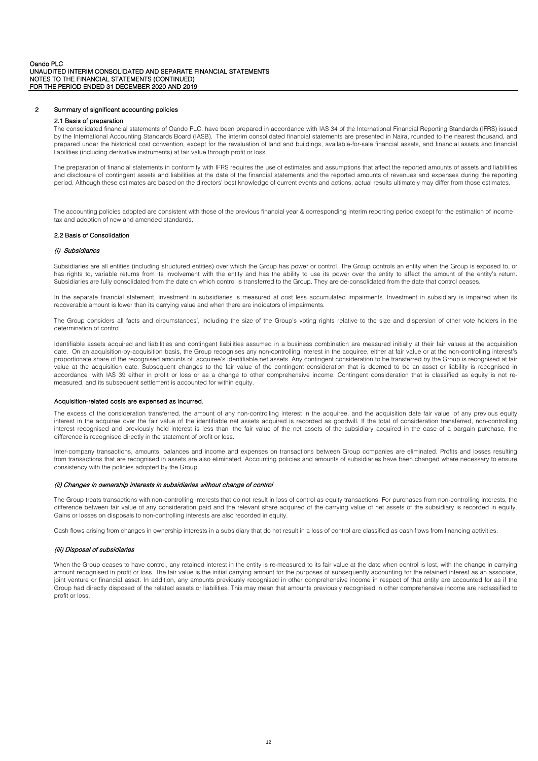## 2 Summary of significant accounting policies

#### 2.1 Basis of preparation

The consolidated financial statements of Oando PLC. have been prepared in accordance with IAS 34 of the International Financial Reporting Standards (IFRS) issued by the International Accounting Standards Board (IASB). The interim consolidated financial statements are presented in Naira, rounded to the nearest thousand, and prepared under the historical cost convention, except for the revaluation of land and buildings, available-for-sale financial assets, and financial assets and financial liabilities (including derivative instruments) at fair value through profit or loss.

The preparation of financial statements in conformity with IFRS requires the use of estimates and assumptions that affect the reported amounts of assets and liabilities and disclosure of contingent assets and liabilities at the date of the financial statements and the reported amounts of revenues and expenses during the reporting period. Although these estimates are based on the directors' best knowledge of current events and actions, actual results ultimately may differ from those estimates.

The accounting policies adopted are consistent with those of the previous financial year & corresponding interim reporting period except for the estimation of income tax and adoption of new and amended standards.

## 2.2 Basis of Consolidation

# (i) Subsidiaries

Subsidiaries are all entities (including structured entities) over which the Group has power or control. The Group controls an entity when the Group is exposed to, or has rights to, variable returns from its involvement with the entity and has the ability to use its power over the entity to affect the amount of the entity's return. Subsidiaries are fully consolidated from the date on which control is transferred to the Group. They are de-consolidated from the date that control ceases.

In the separate financial statement, investment in subsidiaries is measured at cost less accumulated impairments. Investment in subsidiary is impaired when its recoverable amount is lower than its carrying value and when there are indicators of impairments.

The Group considers all facts and circumstances', including the size of the Group's voting rights relative to the size and dispersion of other vote holders in the determination of control.

Identifiable assets acquired and liabilities and contingent liabilities assumed in a business combination are measured initially at their fair values at the acquisition date. On an acquisition-by-acquisition basis, the Group recognises any non-controlling interest in the acquiree, either at fair value or at the non-controlling interest's proportionate share of the recognised amounts of acquiree's identifiable net assets. Any contingent consideration to be transferred by the Group is recognised at fair value at the acquisition date. Subsequent changes to the fair value of the contingent consideration that is deemed to be an asset or liability is recognised in accordance with IAS 39 either in profit or loss or as a change to other comprehensive income. Contingent consideration that is classified as equity is not remeasured, and its subsequent settlement is accounted for within equity.

# Acquisition-related costs are expensed as incurred.

The excess of the consideration transferred, the amount of any non-controlling interest in the acquiree, and the acquisition date fair value of any previous equity interest in the acquiree over the fair value of the identifiable net assets acquired is recorded as goodwill. If the total of consideration transferred, non-controlling interest recognised and previously held interest is less than the fair value of the net assets of the subsidiary acquired in the case of a bargain purchase, the difference is recognised directly in the statement of profit or loss.

Inter-company transactions, amounts, balances and income and expenses on transactions between Group companies are eliminated. Profits and losses resulting from transactions that are recognised in assets are also eliminated. Accounting policies and amounts of subsidiaries have been changed where necessary to ensure consistency with the policies adopted by the Group.

## (ii) Changes in ownership interests in subsidiaries without change of control

The Group treats transactions with non-controlling interests that do not result in loss of control as equity transactions. For purchases from non-controlling interests, the difference between fair value of any consideration paid and the relevant share acquired of the carrying value of net assets of the subsidiary is recorded in equity. Gains or losses on disposals to non-controlling interests are also recorded in equity.

Cash flows arising from changes in ownership interests in a subsidiary that do not result in a loss of control are classified as cash flows from financing activities.

#### (iii) Disposal of subsidiaries

When the Group ceases to have control, any retained interest in the entity is re-measured to its fair value at the date when control is lost, with the change in carrying amount recognised in profit or loss. The fair value is the initial carrying amount for the purposes of subsequently accounting for the retained interest as an associate, joint venture or financial asset. In addition, any amounts previously recognised in other comprehensive income in respect of that entity are accounted for as if the Group had directly disposed of the related assets or liabilities. This may mean that amounts previously recognised in other comprehensive income are reclassified to profit or loss.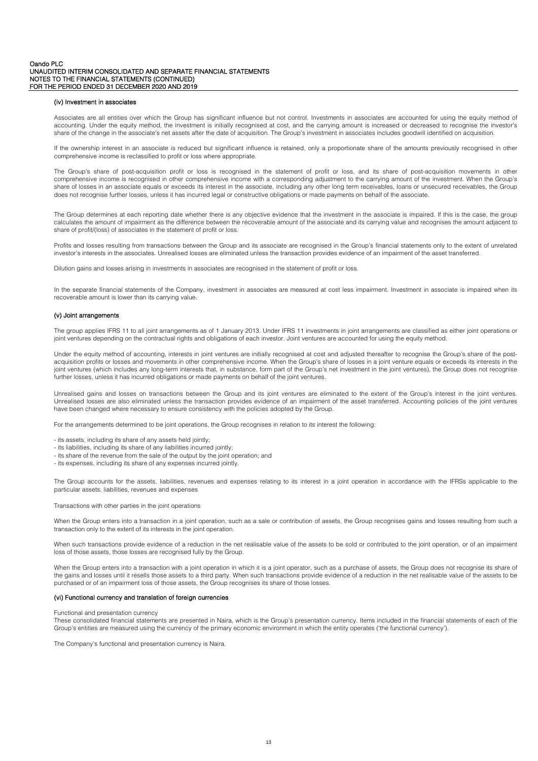## (iv) Investment in associates

Associates are all entities over which the Group has significant influence but not control. Investments in associates are accounted for using the equity method of accounting. Under the equity method, the investment is initially recognised at cost, and the carrying amount is increased or decreased to recognise the investor's share of the change in the associate's net assets after the date of acquisition. The Group's investment in associates includes goodwill identified on acquisition.

If the ownership interest in an associate is reduced but significant influence is retained, only a proportionate share of the amounts previously recognised in other comprehensive income is reclassified to profit or loss where appropriate.

The Group's share of post-acquisition profit or loss is recognised in the statement of profit or loss, and its share of post-acquisition movements in other comprehensive income is recognised in other comprehensive income with a corresponding adjustment to the carrying amount of the investment. When the Group's share of losses in an associate equals or exceeds its interest in the associate, including any other long term receivables, loans or unsecured receivables, the Group does not recognise further losses, unless it has incurred legal or constructive obligations or made payments on behalf of the associate.

The Group determines at each reporting date whether there is any objective evidence that the investment in the associate is impaired. If this is the case, the group calculates the amount of impairment as the difference between the recoverable amount of the associate and its carrying value and recognises the amount adjacent to share of profit/(loss) of associates in the statement of profit or loss.

Profits and losses resulting from transactions between the Group and its associate are recognised in the Group's financial statements only to the extent of unrelated investor's interests in the associates. Unrealised losses are eliminated unless the transaction provides evidence of an impairment of the asset transferred.

Dilution gains and losses arising in investments in associates are recognised in the statement of profit or loss.

In the separate financial statements of the Company, investment in associates are measured at cost less impairment. Investment in associate is impaired when its recoverable amount is lower than its carrying value.

## (v) Joint arrangements

The group applies IFRS 11 to all joint arrangements as of 1 January 2013. Under IFRS 11 investments in joint arrangements are classified as either joint operations or joint ventures depending on the contractual rights and obligations of each investor. Joint ventures are accounted for using the equity method

Under the equity method of accounting, interests in joint ventures are initially recognised at cost and adjusted thereafter to recognise the Group's share of the postacquisition profits or losses and movements in other comprehensive income. When the Group's share of losses in a joint venture equals or exceeds its interests in the joint ventures (which includes any long-term interests that, in substance, form part of the Group's net investment in the joint ventures), the Group does not recognise further losses, unless it has incurred obligations or made payments on behalf of the joint ventures.

Unrealised gains and losses on transactions between the Group and its joint ventures are eliminated to the extent of the Group's interest in the joint ventures. Unrealised losses are also eliminated unless the transaction provides evidence of an impairment of the asset transferred. Accounting policies of the joint ventures have been changed where necessary to ensure consistency with the policies adopted by the Group.

For the arrangements determined to be joint operations, the Group recognises in relation to its interest the following:

- its assets, including its share of any assets held jointly;
- its liabilities, including its share of any liabilities incurred jointly;
- its share of the revenue from the sale of the output by the joint operation; and
- its expenses, including its share of any expenses incurred jointly.

The Group accounts for the assets, liabilities, revenues and expenses relating to its interest in a joint operation in accordance with the IFRSs applicable to the particular assets, liabilities, revenues and expenses

Transactions with other parties in the joint operations

When the Group enters into a transaction in a joint operation, such as a sale or contribution of assets, the Group recognises gains and losses resulting from such a transaction only to the extent of its interests in the joint operation.

When such transactions provide evidence of a reduction in the net realisable value of the assets to be sold or contributed to the joint operation, or of an impairment loss of those assets, those losses are recognised fully by the Group.

When the Group enters into a transaction with a joint operation in which it is a joint operator, such as a purchase of assets, the Group does not recognise its share of the gains and losses until it resells those assets to a third party. When such transactions provide evidence of a reduction in the net realisable value of the assets to be purchased or of an impairment loss of those assets, the Group recognises its share of those losses.

# (vi) Functional currency and translation of foreign currencies

#### Functional and presentation currency

These consolidated financial statements are presented in Naira, which is the Group's presentation currency. Items included in the financial statements of each of the Group's entities are measured using the currency of the primary economic environment in which the entity operates ('the functional currency').

The Company's functional and presentation currency is Naira.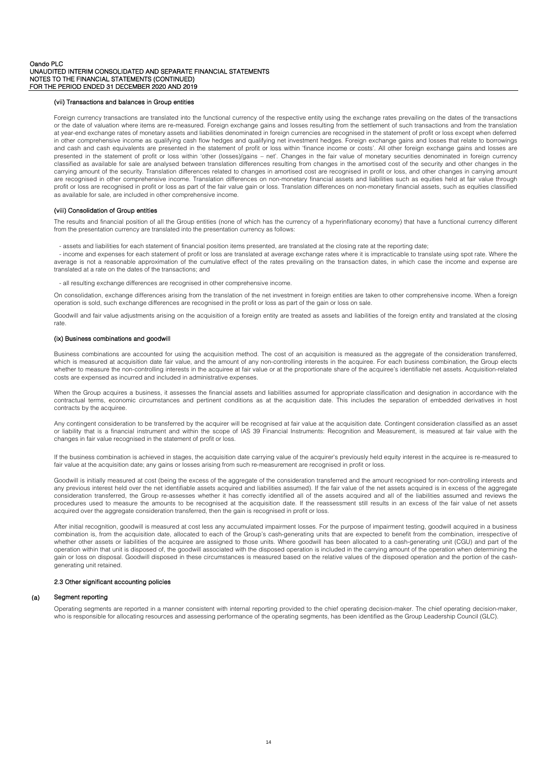## (vii) Transactions and balances in Group entities

Foreign currency transactions are translated into the functional currency of the respective entity using the exchange rates prevailing on the dates of the transactions or the date of valuation where items are re-measured. Foreign exchange gains and losses resulting from the settlement of such transactions and from the translation at year-end exchange rates of monetary assets and liabilities denominated in foreign currencies are recognised in the statement of profit or loss except when deferred in other comprehensive income as qualifying cash flow hedges and qualifying net investment hedges. Foreign exchange gains and losses that relate to borrowings and cash and cash equivalents are presented in the statement of profit or loss within 'finance income or costs'. All other foreign exchange gains and losses are presented in the statement of profit or loss within 'other (losses)/gains – net'. Changes in the fair value of monetary securities denominated in foreign currency classified as available for sale are analysed between translation differences resulting from changes in the amortised cost of the security and other changes in the carrying amount of the security. Translation differences related to changes in amortised cost are recognised in profit or loss, and other changes in carrying amount are recognised in other comprehensive income. Translation differences on non-monetary financial assets and liabilities such as equities held at fair value through profit or loss are recognised in profit or loss as part of the fair value gain or loss. Translation differences on non-monetary financial assets, such as equities classified as available for sale, are included in other comprehensive income.

## (viii) Consolidation of Group entities

The results and financial position of all the Group entities (none of which has the currency of a hyperinflationary economy) that have a functional currency different from the presentation currency are translated into the presentation currency as follows:

- assets and liabilities for each statement of financial position items presented, are translated at the closing rate at the reporting date;

- income and expenses for each statement of profit or loss are translated at average exchange rates where it is impracticable to translate using spot rate. Where the average is not a reasonable approximation of the cumulative effect of the rates prevailing on the transaction dates, in which case the income and expense are translated at a rate on the dates of the transactions; and

- all resulting exchange differences are recognised in other comprehensive income.

On consolidation, exchange differences arising from the translation of the net investment in foreign entities are taken to other comprehensive income. When a foreign operation is sold, such exchange differences are recognised in the profit or loss as part of the gain or loss on sale.

Goodwill and fair value adjustments arising on the acquisition of a foreign entity are treated as assets and liabilities of the foreign entity and translated at the closing rate.

### (ix) Business combinations and goodwill

Business combinations are accounted for using the acquisition method. The cost of an acquisition is measured as the aggregate of the consideration transferred, which is measured at acquisition date fair value, and the amount of any non-controlling interests in the acquiree. For each business combination, the Group elects whether to measure the non-controlling interests in the acquiree at fair value or at the proportionate share of the acquiree's identifiable net assets. Acquisition-related costs are expensed as incurred and included in administrative expenses.

When the Group acquires a business, it assesses the financial assets and liabilities assumed for appropriate classification and designation in accordance with the contractual terms, economic circumstances and pertinent conditions as at the acquisition date. This includes the separation of embedded derivatives in host contracts by the acquiree.

Any contingent consideration to be transferred by the acquirer will be recognised at fair value at the acquisition date. Contingent consideration classified as an asset or liability that is a financial instrument and within the scope of IAS 39 Financial Instruments: Recognition and Measurement, is measured at fair value with the changes in fair value recognised in the statement of profit or loss.

If the business combination is achieved in stages, the acquisition date carrying value of the acquirer's previously held equity interest in the acquiree is re-measured to fair value at the acquisition date; any gains or losses arising from such re-measurement are recognised in profit or loss.

Goodwill is initially measured at cost (being the excess of the aggregate of the consideration transferred and the amount recognised for non-controlling interests and any previous interest held over the net identifiable assets acquired and liabilities assumed). If the fair value of the net assets acquired is in excess of the aggregate consideration transferred, the Group re-assesses whether it has correctly identified all of the assets acquired and all of the liabilities assumed and reviews the procedures used to measure the amounts to be recognised at the acquisition date. If the reassessment still results in an excess of the fair value of net assets acquired over the aggregate consideration transferred, then the gain is recognised in profit or loss.

After initial recognition, goodwill is measured at cost less any accumulated impairment losses. For the purpose of impairment testing, goodwill acquired in a business combination is, from the acquisition date, allocated to each of the Group's cash-generating units that are expected to benefit from the combination, irrespective of whether other assets or liabilities of the acquiree are assigned to those units. Where goodwill has been allocated to a cash-generating unit (CGU) and part of the operation within that unit is disposed of, the goodwill associated with the disposed operation is included in the carrying amount of the operation when determining the gain or loss on disposal. Goodwill disposed in these circumstances is measured based on the relative values of the disposed operation and the portion of the cashgenerating unit retained.

# 2.3 Other significant accounting policies

#### (a) Segment reporting

Operating segments are reported in a manner consistent with internal reporting provided to the chief operating decision-maker. The chief operating decision-maker, who is responsible for allocating resources and assessing performance of the operating segments, has been identified as the Group Leadership Council (GLC).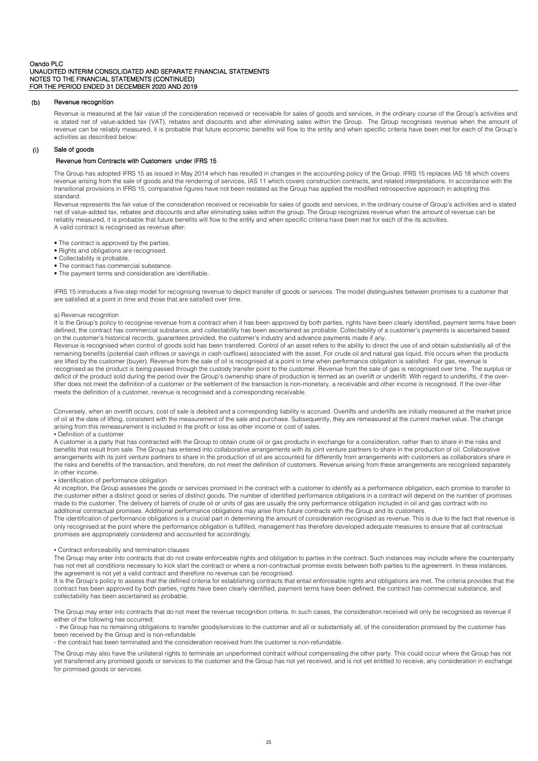# (b) Revenue recognition

Revenue is measured at the fair value of the consideration received or receivable for sales of goods and services, in the ordinary course of the Group's activities and is stated net of value-added tax (VAT), rebates and discounts and after eliminating sales within the Group. The Group recognises revenue when the amount of revenue can be reliably measured, it is probable that future economic benefits will flow to the entity and when specific criteria have been met for each of the Group's activities as described below:

## (i) Sale of goods

# Revenue from Contracts with Customers under IFRS 15

The Group has adopted IFRS 15 as issued in May 2014 which has resulted in changes in the accounting policy of the Group. IFRS 15 replaces IAS 18 which covers revenue arising from the sale of goods and the rendering of services, IAS 11 which covers construction contracts, and related interpretations. In accordance with the transitional provisions in IFRS 15, comparative figures have not been restated as the Group has applied the modified retrospective approach in adopting this standard.

Revenue represents the fair value of the consideration received or receivable for sales of goods and services, in the ordinary course of Group's activities and is stated net of value-added tax, rebates and discounts and after eliminating sales within the group. The Group recognizes revenue when the amount of revenue can be reliably measured, it is probable that future benefits will flow to the entity and when specific criteria have been met for each of the its activities. A valid contract is recognised as revenue after:

- The contract is approved by the parties.
- Rights and obligations are recognised.
- Collectability is probable.
- The contract has commercial substance.
- The payment terms and consideration are identifiable.

IFRS 15 introduces a five-step model for recognising revenue to depict transfer of goods or services. The model distinguishes between promises to a customer that are satisfied at a point in time and those that are satisfied over time.

#### a) Revenue recognition

It is the Group's policy to recognise revenue from a contract when it has been approved by both parties, rights have been clearly identified, payment terms have been defined, the contract has commercial substance, and collectability has been ascertained as probable. Collectability of a customer's payments is ascertained based on the customer's historical records, guarantees provided, the customer's industry and advance payments made if any.

Revenue is recognised when control of goods sold has been transferred. Control of an asset refers to the ability to direct the use of and obtain substantially all of the remaining benefits (potential cash inflows or savings in cash outflows) associated with the asset. For crude oil and natural gas liquid, this occurs when the products are lifted by the customer (buyer). Revenue from the sale of oil is recognised at a point in time when performance obligation is satisfied. For gas, revenue is recognised as the product is being passed through the custody transfer point to the customer. Revenue from the sale of gas is recognised over time. The surplus or deficit of the product sold during the period over the Group's ownership share of production is termed as an overlift or underlift. With regard to underlifts, if the overlifter does not meet the definition of a customer or the settlement of the transaction is non-monetary, a receivable and other income is recognised. If the over-lifter meets the definition of a customer, revenue is recognised and a corresponding receivable.

Conversely, when an overlift occurs, cost of sale is debited and a corresponding liability is accrued. Overlifts and underlifts are initially measured at the market price of oil at the date of lifting, consistent with the measurement of the sale and purchase. Subsequently, they are remeasured at the current market value. The change arising from this remeasurement is included in the profit or loss as other income or cost of sales. ▪ Definition of a customer

#### A customer is a party that has contracted with the Group to obtain crude oil or gas products in exchange for a consideration, rather than to share in the risks and benefits that result from sale. The Group has entered into collaborative arrangements with its joint venture partners to share in the production of oil. Collaborative arrangements with its joint venture partners to share in the production of oil are accounted for differently from arrangements with customers as collaborators share in the risks and benefits of the transaction, and therefore, do not meet the definition of customers. Revenue arising from these arrangements are recognised separately in other income.

▪ Identification of performance obligation

At inception, the Group assesses the goods or services promised in the contract with a customer to identify as a performance obligation, each promise to transfer to the customer either a distinct good or series of distinct goods. The number of identified performance obligations in a contract will depend on the number of promises made to the customer. The delivery of barrels of crude oil or units of gas are usually the only performance obligation included in oil and gas contract with no additional contractual promises. Additional performance obligations may arise from future contracts with the Group and its customers.

The identification of performance obligations is a crucial part in determining the amount of consideration recognised as revenue. This is due to the fact that revenue is only recognised at the point where the performance obligation is fulfilled, management has therefore developed adequate measures to ensure that all contractual promises are appropriately considered and accounted for accordingly.

# ▪ Contract enforceability and termination clauses

The Group may enter into contracts that do not create enforceable rights and obligation to parties in the contract. Such instances may include where the counterparty has not met all conditions necessary to kick start the contract or where a non-contractual promise exists between both parties to the agreement. In these instances, the agreement is not yet a valid contract and therefore no revenue can be recognised.

It is the Group's policy to assess that the defined criteria for establishing contracts that entail enforceable rights and obligations are met. The criteria provides that the contract has been approved by both parties, rights have been clearly identified, payment terms have been defined, the contract has commercial substance, and collectability has been ascertained as probable.

The Group may enter into contracts that do not meet the revenue recognition criteria. In such cases, the consideration received will only be recognised as revenue if either of the following has occurred;

 - the Group has no remaining obligations to transfer goods/services to the customer and all or substantially all, of the consideration promised by the customer has been received by the Group and is non-refundable

- the contract has been terminated and the consideration received from the customer is non-refundable.

The Group may also have the unilateral rights to terminate an unperformed contract without compensating the other party. This could occur where the Group has not yet transferred any promised goods or services to the customer and the Group has not yet received, and is not yet entitled to receive, any consideration in exchange for promised goods or services.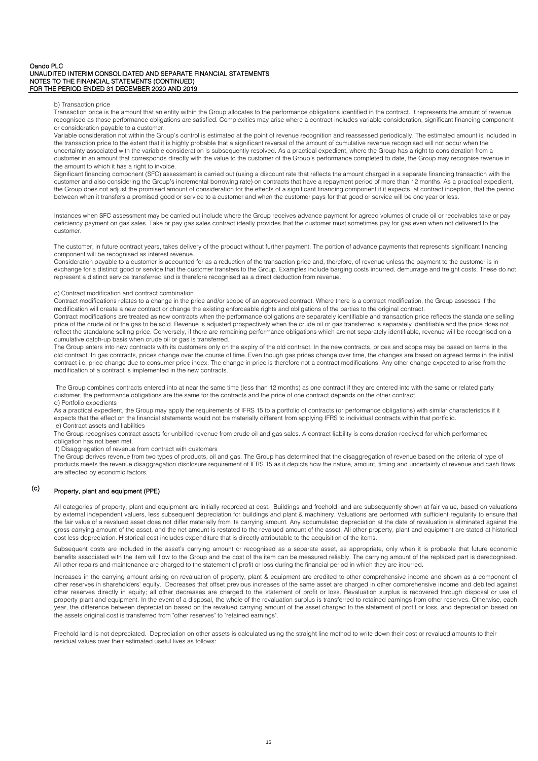#### b) Transaction price

Transaction price is the amount that an entity within the Group allocates to the performance obligations identified in the contract. It represents the amount of revenue recognised as those performance obligations are satisfied. Complexities may arise where a contract includes variable consideration, significant financing component or consideration payable to a customer.

Variable consideration not within the Group's control is estimated at the point of revenue recognition and reassessed periodically. The estimated amount is included in the transaction price to the extent that it is highly probable that a significant reversal of the amount of cumulative revenue recognised will not occur when the uncertainty associated with the variable consideration is subsequently resolved. As a practical expedient, where the Group has a right to consideration from a customer in an amount that corresponds directly with the value to the customer of the Group's performance completed to date, the Group may recognise revenue in the amount to which it has a right to invoice.

Significant financing component (SFC) assessment is carried out (using a discount rate that reflects the amount charged in a separate financing transaction with the customer and also considering the Group's incremental borrowing rate) on contracts that have a repayment period of more than 12 months. As a practical expedient, the Group does not adjust the promised amount of consideration for the effects of a significant financing component if it expects, at contract inception, that the period between when it transfers a promised good or service to a customer and when the customer pays for that good or service will be one year or less.

Instances when SFC assessment may be carried out include where the Group receives advance payment for agreed volumes of crude oil or receivables take or pay deficiency payment on gas sales. Take or pay gas sales contract ideally provides that the customer must sometimes pay for gas even when not delivered to the customer.

The customer, in future contract years, takes delivery of the product without further payment. The portion of advance payments that represents significant financing component will be recognised as interest revenue.

Consideration payable to a customer is accounted for as a reduction of the transaction price and, therefore, of revenue unless the payment to the customer is in exchange for a distinct good or service that the customer transfers to the Group. Examples include barging costs incurred, demurrage and freight costs. These do not represent a distinct service transferred and is therefore recognised as a direct deduction from revenue.

#### c) Contract modification and contract combination

Contract modifications relates to a change in the price and/or scope of an approved contract. Where there is a contract modification, the Group assesses if the modification will create a new contract or change the existing enforceable rights and obligations of the parties to the original contract.

Contract modifications are treated as new contracts when the performance obligations are separately identifiable and transaction price reflects the standalone selling price of the crude oil or the gas to be sold. Revenue is adjusted prospectively when the crude oil or gas transferred is separately identifiable and the price does not reflect the standalone selling price. Conversely, if there are remaining performance obligations which are not separately identifiable, revenue will be recognised on a cumulative catch-up basis when crude oil or gas is transferred.

The Group enters into new contracts with its customers only on the expiry of the old contract. In the new contracts, prices and scope may be based on terms in the old contract. In gas contracts, prices change over the course of time. Even though gas prices change over time, the changes are based on agreed terms in the initial contract i.e. price change due to consumer price index. The change in price is therefore not a contract modifications. Any other change expected to arise from the modification of a contract is implemented in the new contracts.

 The Group combines contracts entered into at near the same time (less than 12 months) as one contract if they are entered into with the same or related party customer, the performance obligations are the same for the contracts and the price of one contract depends on the other contract. d) Portfolio expedients

As a practical expedient, the Group may apply the requirements of IFRS 15 to a portfolio of contracts (or performance obligations) with similar characteristics if it expects that the effect on the financial statements would not be materially different from applying IFRS to individual contracts within that portfolio.

e) Contract assets and liabilities

The Group recognises contract assets for unbilled revenue from crude oil and gas sales. A contract liability is consideration received for which performance obligation has not been met.

f) Disaggregation of revenue from contract with customers

The Group derives revenue from two types of products, oil and gas. The Group has determined that the disaggregation of revenue based on the criteria of type of products meets the revenue disaggregation disclosure requirement of IFRS 15 as it depicts how the nature, amount, timing and uncertainty of revenue and cash flows are affected by economic factors.

# (c) Property, plant and equipment (PPE)

All categories of property, plant and equipment are initially recorded at cost. Buildings and freehold land are subsequently shown at fair value, based on valuations by external independent valuers, less subsequent depreciation for buildings and plant & machinery. Valuations are performed with sufficient regularity to ensure that the fair value of a revalued asset does not differ materially from its carrying amount. Any accumulated depreciation at the date of revaluation is eliminated against the gross carrying amount of the asset, and the net amount is restated to the revalued amount of the asset. All other property, plant and equipment are stated at historical cost less depreciation. Historical cost includes expenditure that is directly attributable to the acquisition of the items.

Subsequent costs are included in the asset's carrying amount or recognised as a separate asset, as appropriate, only when it is probable that future economic benefits associated with the item will flow to the Group and the cost of the item can be measured reliably. The carrying amount of the replaced part is derecognised. All other repairs and maintenance are charged to the statement of profit or loss during the financial period in which they are incurred.

Increases in the carrying amount arising on revaluation of property, plant & equipment are credited to other comprehensive income and shown as a component of other reserves in shareholders' equity. Decreases that offset previous increases of the same asset are charged in other comprehensive income and debited against other reserves directly in equity; all other decreases are charged to the statement of profit or loss. Revaluation surplus is recovered through disposal or use of property plant and equipment. In the event of a disposal, the whole of the revaluation surplus is transferred to retained earnings from other reserves. Otherwise, each year, the difference between depreciation based on the revalued carrying amount of the asset charged to the statement of profit or loss, and depreciation based on the assets original cost is transferred from "other reserves" to "retained earnings".

Freehold land is not depreciated. Depreciation on other assets is calculated using the straight line method to write down their cost or revalued amounts to their residual values over their estimated useful lives as follows: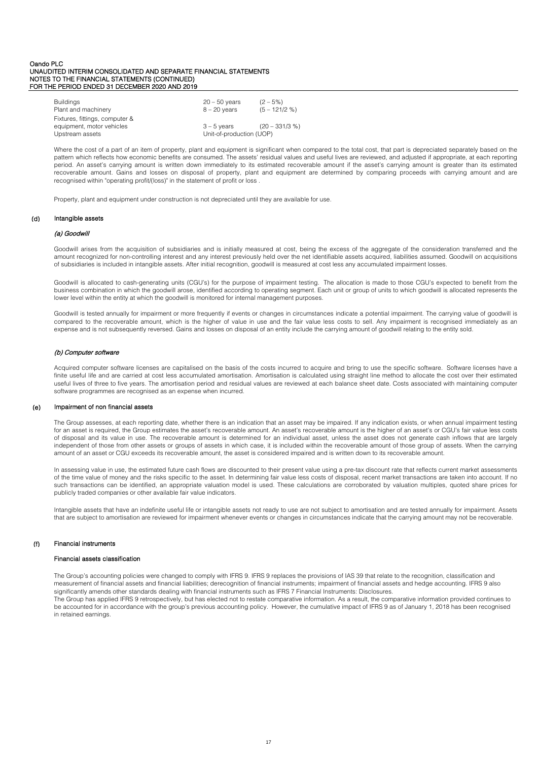| <b>Buildings</b><br>Plant and machinery                     | $20 - 50$ years<br>$8 - 20$ vears | $(2 - 5\%)$<br>$(5 - 121/2 %$ |  |
|-------------------------------------------------------------|-----------------------------------|-------------------------------|--|
| Fixtures, fittings, computer &<br>equipment, motor vehicles | $3 - 5$ vears                     | $(20 - 331/3%)$               |  |
| Upstream assets                                             | Unit-of-production (UOP)          |                               |  |

Where the cost of a part of an item of property, plant and equipment is significant when compared to the total cost, that part is depreciated separately based on the pattern which reflects how economic benefits are consumed. The assets' residual values and useful lives are reviewed, and adjusted if appropriate, at each reporting period. An asset's carrying amount is written down immediately to its estimated recoverable amount if the asset's carrying amount is greater than its estimated recoverable amount. Gains and losses on disposal of property, plant and equipment are determined by comparing proceeds with carrying amount and are recognised within "operating profit/(loss)" in the statement of profit or loss .

Property, plant and equipment under construction is not depreciated until they are available for use.

# (d) Intangible assets

# (a) Goodwill

Goodwill arises from the acquisition of subsidiaries and is initially measured at cost, being the excess of the aggregate of the consideration transferred and the amount recognized for non-controlling interest and any interest previously held over the net identifiable assets acquired, liabilities assumed. Goodwill on acquisitions of subsidiaries is included in intangible assets. After initial recognition, goodwill is measured at cost less any accumulated impairment losses.

Goodwill is allocated to cash-generating units (CGU's) for the purpose of impairment testing. The allocation is made to those CGU's expected to benefit from the business combination in which the goodwill arose, identified according to operating segment. Each unit or group of units to which goodwill is allocated represents the lower level within the entity at which the goodwill is monitored for internal management purposes.

Goodwill is tested annually for impairment or more frequently if events or changes in circumstances indicate a potential impairment. The carrying value of goodwill is compared to the recoverable amount, which is the higher of value in use and the fair value less costs to sell. Any impairment is recognised immediately as an expense and is not subsequently reversed. Gains and losses on disposal of an entity include the carrying amount of goodwill relating to the entity sold.

# (b) Computer software

Acquired computer software licenses are capitalised on the basis of the costs incurred to acquire and bring to use the specific software. Software licenses have a finite useful life and are carried at cost less accumulated amortisation. Amortisation is calculated using straight line method to allocate the cost over their estimated useful lives of three to five years. The amortisation period and residual values are reviewed at each balance sheet date. Costs associated with maintaining computer software programmes are recognised as an expense when incurred.

#### (e) Impairment of non financial assets

The Group assesses, at each reporting date, whether there is an indication that an asset may be impaired. If any indication exists, or when annual impairment testing for an asset is required, the Group estimates the asset's recoverable amount. An asset's recoverable amount is the higher of an asset's or CGU's fair value less costs of disposal and its value in use. The recoverable amount is determined for an individual asset, unless the asset does not generate cash inflows that are largely independent of those from other assets or groups of assets in which case, it is included within the recoverable amount of those group of assets. When the carrying amount of an asset or CGU exceeds its recoverable amount, the asset is considered impaired and is written down to its recoverable amount.

In assessing value in use, the estimated future cash flows are discounted to their present value using a pre-tax discount rate that reflects current market assessments of the time value of money and the risks specific to the asset. In determining fair value less costs of disposal, recent market transactions are taken into account. If no such transactions can be identified, an appropriate valuation model is used. These calculations are corroborated by valuation multiples, quoted share prices for publicly traded companies or other available fair value indicators.

Intangible assets that have an indefinite useful life or intangible assets not ready to use are not subject to amortisation and are tested annually for impairment. Assets that are subject to amortisation are reviewed for impairment whenever events or changes in circumstances indicate that the carrying amount may not be recoverable.

# (f) Financial instruments

# Financial assets classification

The Group's accounting policies were changed to comply with IFRS 9. IFRS 9 replaces the provisions of IAS 39 that relate to the recognition, classification and measurement of financial assets and financial liabilities; derecognition of financial instruments; impairment of financial assets and hedge accounting. IFRS 9 also significantly amends other standards dealing with financial instruments such as IFRS 7 Financial Instruments: Disclosures.

The Group has applied IFRS 9 retrospectively, but has elected not to restate comparative information. As a result, the comparative information provided continues to be accounted for in accordance with the group's previous accounting policy. However, the cumulative impact of IFRS 9 as of January 1, 2018 has been recognised in retained earnings.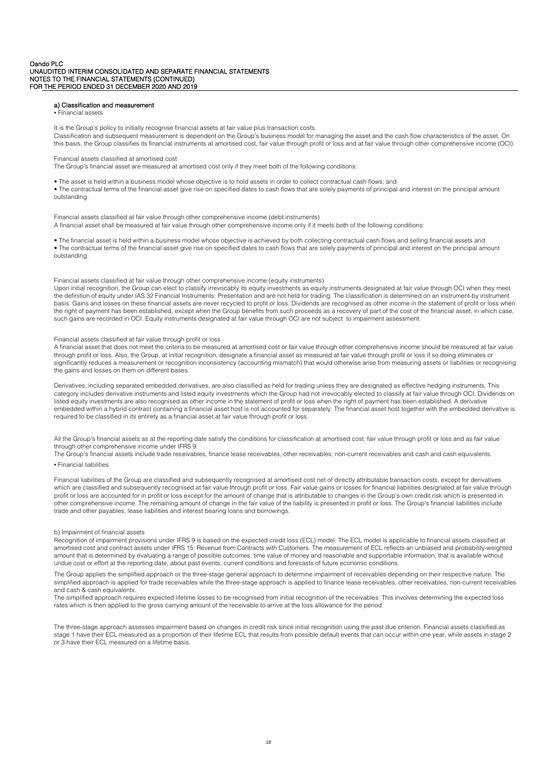# a) Classification and measurement

▪ Financial assets

It is the Group's policy to initially recognise financial assets at fair value plus transaction costs. Classification and subsequent measurement is dependent on the Group's business model for managing the asset and the cash flow characteristics of the asset. On this basis, the Group classifies its financial instruments at amortised cost, fair value through profit or loss and at fair value through other comprehensive income (OCI).

#### Financial assets classified at amortised cost

The Group's financial asset are measured at amortised cost only if they meet both of the following conditions:

• The asset is held within a business model whose objective is to hold assets in order to collect contractual cash flows; and • The contractual terms of the financial asset give rise on specified dates to cash flows that are solely payments of principal and interest on the principal amount outstanding.

Financial assets classified at fair value through other comprehensive income (debt instruments) A financial asset shall be measured at fair value through other comprehensive income only if it meets both of the following conditions:

• The financial asset is held within a business model whose objective is achieved by both collecting contractual cash flows and selling financial assets and • The contractual terms of the financial asset give rise on specified dates to cash flows that are solely payments of principal and interest on the principal amount outstanding.

#### Financial assets classified at fair value through other comprehensive income (equity instruments)

Upon initial recognition, the Group can elect to classify irrevocably its equity investments as equity instruments designated at fair value through OCI when they meet the definition of equity under IAS 32 Financial Instruments: Presentation and are not held for trading. The classification is determined on an instrument-by instrument basis. Gains and losses on these financial assets are never recycled to profit or loss. Dividends are recognised as other income in the statement of profit or loss when the right of payment has been established, except when the Group benefits from such proceeds as a recovery of part of the cost of the financial asset, in which case, such gains are recorded in OCI. Equity instruments designated at fair value through OCI are not subject to impairment assessment.

# Financial assets classified at fair value through profit or loss

A financial asset that does not meet the criteria to be measured at amortised cost or fair value through other comprehensive income should be measured at fair value through profit or loss. Also, the Group, at initial recognition, designate a financial asset as measured at fair value through profit or loss if so doing eliminates or significantly reduces a measurement or recognition inconsistency (accounting mismatch) that would otherwise arise from measuring assets or liabilities or recognising the gains and losses on them on different bases.

Derivatives, including separated embedded derivatives, are also classified as held for trading unless they are designated as effective hedging instruments. This category includes derivative instruments and listed equity investments which the Group had not irrevocably elected to classify at fair value through OCI. Dividends on listed equity investments are also recognised as other income in the statement of profit or loss when the right of payment has been established. A derivative embedded within a hybrid contract containing a financial asset host is not accounted for separately. The financial asset host together with the embedded derivative is required to be classified in its entirety as a financial asset at fair value through profit or loss.

All the Group's financial assets as at the reporting date satisfy the conditions for classification at amortised cost, fair value through profit or loss and as fair value through other comprehensive income under IFRS 9.

The Group's financial assets include trade receivables, finance lease receivables, other receivables, non-current receivables and cash and cash equivalents.

▪ Financial liabilities

Financial liabilities of the Group are classified and subsequently recognised at amortised cost net of directly attributable transaction costs, except for derivatives which are classified and subsequently recognised at fair value through profit or loss. Fair value gains or losses for financial liabilities designated at fair value through profit or loss are accounted for in profit or loss except for the amount of change that is attributable to changes in the Group's own credit risk which is presented in other comprehensive income. The remaining amount of change in the fair value of the liability is presented in profit or loss. The Group's financial liabilities include trade and other payables, lease liabilities and interest bearing loans and borrowings.

## b) Impairment of financial assets

Recognition of impairment provisions under IFRS 9 is based on the expected credit loss (ECL) model. The ECL model is applicable to financial assets classified at amortised cost and contract assets under IFRS 15: Revenue from Contracts with Customers. The measurement of ECL reflects an unbiased and probability-weighted amount that is determined by evaluating a range of possible outcomes, time value of money and reasonable and supportable information, that is available without undue cost or effort at the reporting date, about past events, current conditions and forecasts of future economic conditions.

The Group applies the simplified approach or the three-stage general approach to determine impairment of receivables depending on their respective nature. The simplified approach is applied for trade receivables while the three-stage approach is applied to finance lease receivables, other receivables, non-current receivables and cash & cash equivalents.

The simplified approach requires expected lifetime losses to be recognised from initial recognition of the receivables. This involves determining the expected loss rates which is then applied to the gross carrying amount of the receivable to arrive at the loss allowance for the period.

The three-stage approach assesses impairment based on changes in credit risk since initial recognition using the past due criterion. Financial assets classified as stage 1 have their ECL measured as a proportion of their lifetime ECL that results from possible default events that can occur within one year, while assets in stage 2 or 3 have their ECL measured on a lifetime basis.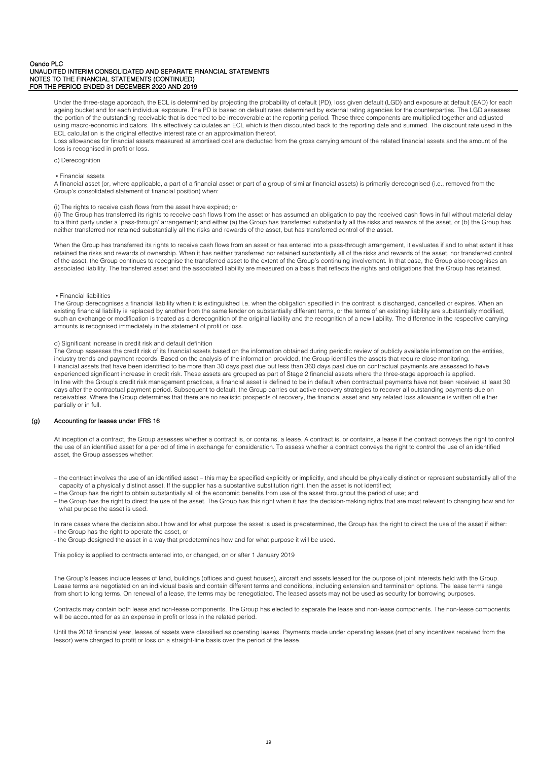Under the three-stage approach, the ECL is determined by projecting the probability of default (PD), loss given default (LGD) and exposure at default (EAD) for each ageing bucket and for each individual exposure. The PD is based on default rates determined by external rating agencies for the counterparties. The LGD assesses the portion of the outstanding receivable that is deemed to be irrecoverable at the reporting period. These three components are multiplied together and adjusted using macro-economic indicators. This effectively calculates an ECL which is then discounted back to the reporting date and summed. The discount rate used in the ECL calculation is the original effective interest rate or an approximation thereof.

Loss allowances for financial assets measured at amortised cost are deducted from the gross carrying amount of the related financial assets and the amount of the loss is recognised in profit or loss.

c) Derecognition

# ▪ Financial assets

A financial asset (or, where applicable, a part of a financial asset or part of a group of similar financial assets) is primarily derecognised (i.e., removed from the Group's consolidated statement of financial position) when:

#### (i) The rights to receive cash flows from the asset have expired; or

(ii) The Group has transferred its rights to receive cash flows from the asset or has assumed an obligation to pay the received cash flows in full without material delay to a third party under a 'pass-through' arrangement; and either (a) the Group has transferred substantially all the risks and rewards of the asset, or (b) the Group has neither transferred nor retained substantially all the risks and rewards of the asset, but has transferred control of the asset.

When the Group has transferred its rights to receive cash flows from an asset or has entered into a pass-through arrangement, it evaluates if and to what extent it has retained the risks and rewards of ownership. When it has neither transferred nor retained substantially all of the risks and rewards of the asset, nor transferred control of the asset, the Group continues to recognise the transferred asset to the extent of the Group's continuing involvement. In that case, the Group also recognises an associated liability. The transferred asset and the associated liability are measured on a basis that reflects the rights and obligations that the Group has retained.

## ▪ Financial liabilities

The Group derecognises a financial liability when it is extinguished i.e. when the obligation specified in the contract is discharged, cancelled or expires. When an existing financial liability is replaced by another from the same lender on substantially different terms, or the terms of an existing liability are substantially modified, such an exchange or modification is treated as a derecognition of the original liability and the recognition of a new liability. The difference in the respective carrying amounts is recognised immediately in the statement of profit or loss.

# d) Significant increase in credit risk and default definition

The Group assesses the credit risk of its financial assets based on the information obtained during periodic review of publicly available information on the entities, industry trends and payment records. Based on the analysis of the information provided, the Group identifies the assets that require close monitoring. Financial assets that have been identified to be more than 30 days past due but less than 360 days past due on contractual payments are assessed to have experienced significant increase in credit risk. These assets are grouped as part of Stage 2 financial assets where the three-stage approach is applied. In line with the Group's credit risk management practices, a financial asset is defined to be in default when contractual payments have not been received at least 30 days after the contractual payment period. Subsequent to default, the Group carries out active recovery strategies to recover all outstanding payments due on receivables. Where the Group determines that there are no realistic prospects of recovery, the financial asset and any related loss allowance is written off either partially or in full.

#### (g) Accounting for leases under IFRS 16

At inception of a contract, the Group assesses whether a contract is, or contains, a lease. A contract is, or contains, a lease if the contract conveys the right to control the use of an identified asset for a period of time in exchange for consideration. To assess whether a contract conveys the right to control the use of an identified asset, the Group assesses whether:

- the contract involves the use of an identified asset this may be specified explicitly or implicitly, and should be physically distinct or represent substantially all of the capacity of a physically distinct asset. If the supplier has a substantive substitution right, then the asset is not identified;
- the Group has the right to obtain substantially all of the economic benefits from use of the asset throughout the period of use; and
- the Group has the right to direct the use of the asset. The Group has this right when it has the decision-making rights that are most relevant to changing how and for what purpose the asset is used.

In rare cases where the decision about how and for what purpose the asset is used is predetermined, the Group has the right to direct the use of the asset if either: - the Group has the right to operate the asset; or

- the Group designed the asset in a way that predetermines how and for what purpose it will be used.

This policy is applied to contracts entered into, or changed, on or after 1 January 2019

The Group's leases include leases of land, buildings (offices and guest houses), aircraft and assets leased for the purpose of joint interests held with the Group. Lease terms are negotiated on an individual basis and contain different terms and conditions, including extension and termination options. The lease terms range from short to long terms. On renewal of a lease, the terms may be renegotiated. The leased assets may not be used as security for borrowing purposes.

Contracts may contain both lease and non-lease components. The Group has elected to separate the lease and non-lease components. The non-lease components will be accounted for as an expense in profit or loss in the related period.

Until the 2018 financial year, leases of assets were classified as operating leases. Payments made under operating leases (net of any incentives received from the lessor) were charged to profit or loss on a straight-line basis over the period of the lease.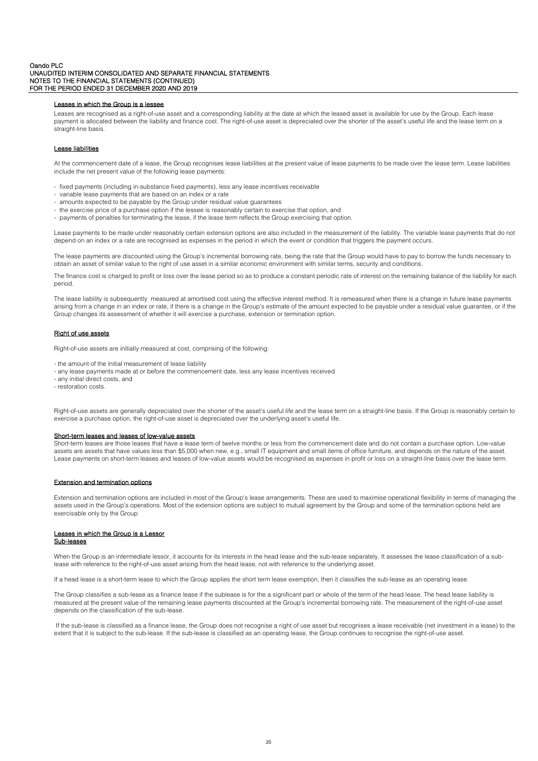# Leases in which the Group is a lessee

Leases are recognised as a right-of-use asset and a corresponding liability at the date at which the leased asset is available for use by the Group. Each lease payment is allocated between the liability and finance cost. The right-of-use asset is depreciated over the shorter of the asset's useful life and the lease term on a straight-line basis.

## Lease liabilities

At the commencement date of a lease, the Group recognises lease liabilities at the present value of lease payments to be made over the lease term. Lease liabilities include the net present value of the following lease payments:

- fixed payments (including in-substance fixed payments), less any lease incentives receivable
- variable lease payments that are based on an index or a rate
- amounts expected to be payable by the Group under residual value guarantees
- the exercise price of a purchase option if the lessee is reasonably certain to exercise that option, and
- payments of penalties for terminating the lease, if the lease term reflects the Group exercising that option.

Lease payments to be made under reasonably certain extension options are also included in the measurement of the liability. The variable lease payments that do not depend on an index or a rate are recognised as expenses in the period in which the event or condition that triggers the payment occurs.

The lease payments are discounted using the Group's incremental borrowing rate, being the rate that the Group would have to pay to borrow the funds necessary to obtain an asset of similar value to the right of use asset in a similar economic environment with similar terms, security and conditions.

The finance cost is charged to profit or loss over the lease period so as to produce a constant periodic rate of interest on the remaining balance of the liability for each period.

The lease liability is subsequently measured at amortised cost using the effective interest method. It is remeasured when there is a change in future lease payments arising from a change in an index or rate, if there is a change in the Group's estimate of the amount expected to be payable under a residual value guarantee, or if the Group changes its assessment of whether it will exercise a purchase, extension or termination option.

# Right of use assets

Right-of-use assets are initially measured at cost, comprising of the following:

- the amount of the initial measurement of lease liability
- any lease payments made at or before the commencement date, less any lease incentives received
- any initial direct costs, and
- restoration costs.

Right-of-use assets are generally depreciated over the shorter of the asset's useful life and the lease term on a straight-line basis. If the Group is reasonably certain to exercise a purchase option, the right-of-use asset is depreciated over the underlying asset's useful life.

#### Short-term leases and leases of low-value assets

Short-term leases are those leases that have a lease term of twelve months or less from the commencement date and do not contain a purchase option. Low-value assets are assets that have values less than \$5,000 when new, e.g., small IT equipment and small items of office furniture, and depends on the nature of the asset. Lease payments on short-term leases and leases of low-value assets would be recognised as expenses in profit or loss on a straight-line basis over the lease term.

## Extension and termination options

Extension and termination options are included in most of the Group's lease arrangements. These are used to maximise operational flexibility in terms of managing the assets used in the Group's operations. Most of the extension options are subject to mutual agreement by the Group and some of the termination options held are exercisable only by the Group

#### Leases in which the Group is a Lessor Sub-leases

When the Group is an intermediate lessor, it accounts for its interests in the head lease and the sub-lease separately. It assesses the lease classification of a sublease with reference to the right-of-use asset arising from the head lease, not with reference to the underlying asset.

If a head lease is a short-term lease to which the Group applies the short term lease exemption, then it classifies the sub-lease as an operating lease.

The Group classifies a sub-lease as a finance lease if the sublease is for the a significant part or whole of the term of the head lease. The head lease liability is measured at the present value of the remaining lease payments discounted at the Group's incremental borrowing rate. The measurement of the right-of-use asset depends on the classification of the sub-lease.

If the sub-lease is classified as a finance lease, the Group does not recognise a right of use asset but recognises a lease receivable (net investment in a lease) to the extent that it is subject to the sub-lease. If the sub-lease is classified as an operating lease, the Group continues to recognise the right-of-use asset.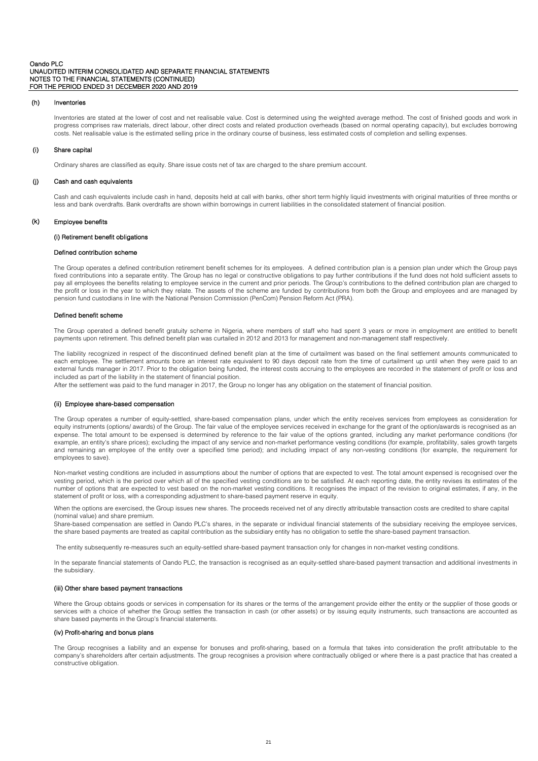#### (h) Inventories

Inventories are stated at the lower of cost and net realisable value. Cost is determined using the weighted average method. The cost of finished goods and work in progress comprises raw materials, direct labour, other direct costs and related production overheads (based on normal operating capacity), but excludes borrowing costs. Net realisable value is the estimated selling price in the ordinary course of business, less estimated costs of completion and selling expenses.

#### (i) Share capital

Ordinary shares are classified as equity. Share issue costs net of tax are charged to the share premium account.

#### (j) Cash and cash equivalents

Cash and cash equivalents include cash in hand, deposits held at call with banks, other short term highly liquid investments with original maturities of three months or less and bank overdrafts. Bank overdrafts are shown within borrowings in current liabilities in the consolidated statement of financial position.

#### (k) Employee benefits

# (i) Retirement benefit obligations

#### Defined contribution scheme

The Group operates a defined contribution retirement benefit schemes for its employees. A defined contribution plan is a pension plan under which the Group pays fixed contributions into a separate entity. The Group has no legal or constructive obligations to pay further contributions if the fund does not hold sufficient assets to pay all employees the benefits relating to employee service in the current and prior periods. The Group's contributions to the defined contribution plan are charged to the profit or loss in the year to which they relate. The assets of the scheme are funded by contributions from both the Group and employees and are managed by pension fund custodians in line with the National Pension Commission (PenCom) Pension Reform Act (PRA).

#### Defined benefit scheme

The Group operated a defined benefit gratuity scheme in Nigeria, where members of staff who had spent 3 years or more in employment are entitled to benefit payments upon retirement. This defined benefit plan was curtailed in 2012 and 2013 for management and non-management staff respectively.

The liability recognized in respect of the discontinued defined benefit plan at the time of curtailment was based on the final settlement amounts communicated to each employee. The settlement amounts bore an interest rate equivalent to 90 days deposit rate from the time of curtailment up until when they were paid to an external funds manager in 2017. Prior to the obligation being funded, the interest costs accruing to the employees are recorded in the statement of profit or loss and included as part of the liability in the statement of financial position.

After the settlement was paid to the fund manager in 2017, the Group no longer has any obligation on the statement of financial position.

## (ii) Employee share-based compensation

The Group operates a number of equity-settled, share-based compensation plans, under which the entity receives services from employees as consideration for equity instruments (options/ awards) of the Group. The fair value of the employee services received in exchange for the grant of the option/awards is recognised as an expense. The total amount to be expensed is determined by reference to the fair value of the options granted, including any market performance conditions (for example, an entity's share prices); excluding the impact of any service and non-market performance vesting conditions (for example, profitability, sales growth targets and remaining an employee of the entity over a specified time period); and including impact of any non-vesting conditions (for example, the requirement for employees to save).

Non-market vesting conditions are included in assumptions about the number of options that are expected to vest. The total amount expensed is recognised over the vesting period, which is the period over which all of the specified vesting conditions are to be satisfied. At each reporting date, the entity revises its estimates of the number of options that are expected to vest based on the non-market vesting conditions. It recognises the impact of the revision to original estimates, if any, in the statement of profit or loss, with a corresponding adjustment to share-based payment reserve in equity.

When the options are exercised, the Group issues new shares. The proceeds received net of any directly attributable transaction costs are credited to share capital (nominal value) and share premium.

Share-based compensation are settled in Oando PLC's shares, in the separate or individual financial statements of the subsidiary receiving the employee services, the share based payments are treated as capital contribution as the subsidiary entity has no obligation to settle the share-based payment transaction.

The entity subsequently re-measures such an equity-settled share-based payment transaction only for changes in non-market vesting conditions.

In the separate financial statements of Oando PLC, the transaction is recognised as an equity-settled share-based payment transaction and additional investments in the subsidiary.

# (iii) Other share based payment transactions

Where the Group obtains goods or services in compensation for its shares or the terms of the arrangement provide either the entity or the supplier of those goods or services with a choice of whether the Group settles the transaction in cash (or other assets) or by issuing equity instruments, such transactions are accounted as share based payments in the Group's financial statements.

# (iv) Profit-sharing and bonus plans

The Group recognises a liability and an expense for bonuses and profit-sharing, based on a formula that takes into consideration the profit attributable to the company's shareholders after certain adjustments. The group recognises a provision where contractually obliged or where there is a past practice that has created a constructive obligation.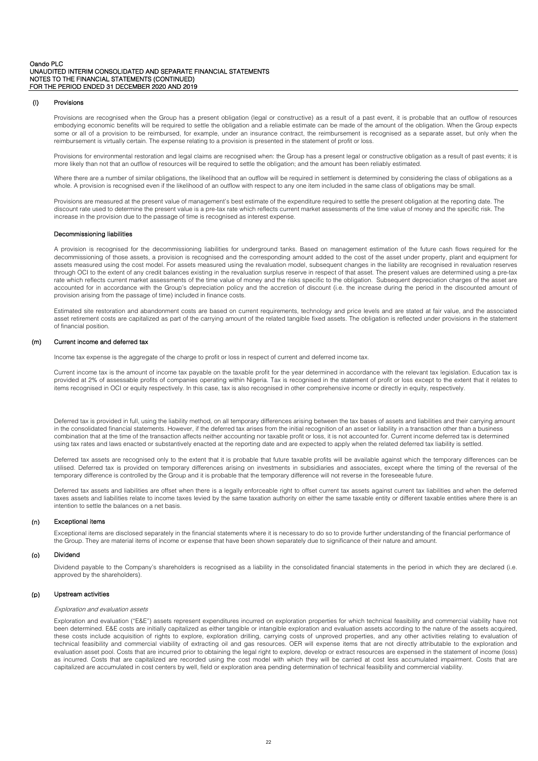#### (l) Provisions

Provisions are recognised when the Group has a present obligation (legal or constructive) as a result of a past event, it is probable that an outflow of resources embodying economic benefits will be required to settle the obligation and a reliable estimate can be made of the amount of the obligation. When the Group expects some or all of a provision to be reimbursed, for example, under an insurance contract, the reimbursement is recognised as a separate asset, but only when the reimbursement is virtually certain. The expense relating to a provision is presented in the statement of profit or loss.

Provisions for environmental restoration and legal claims are recognised when: the Group has a present legal or constructive obligation as a result of past events; it is more likely than not that an outflow of resources will be required to settle the obligation; and the amount has been reliably estimated.

Where there are a number of similar obligations, the likelihood that an outflow will be required in settlement is determined by considering the class of obligations as a whole. A provision is recognised even if the likelihood of an outflow with respect to any one item included in the same class of obligations may be small.

Provisions are measured at the present value of management's best estimate of the expenditure required to settle the present obligation at the reporting date. The discount rate used to determine the present value is a pre-tax rate which reflects current market assessments of the time value of money and the specific risk. The increase in the provision due to the passage of time is recognised as interest expense.

# Decommissioning liabilities

A provision is recognised for the decommissioning liabilities for underground tanks. Based on management estimation of the future cash flows required for the decommissioning of those assets, a provision is recognised and the corresponding amount added to the cost of the asset under property, plant and equipment for assets measured using the cost model. For assets measured using the revaluation model, subsequent changes in the liability are recognised in revaluation reserves through OCI to the extent of any credit balances existing in the revaluation surplus reserve in respect of that asset. The present values are determined using a pre-tax rate which reflects current market assessments of the time value of money and the risks specific to the obligation. Subsequent depreciation charges of the asset are accounted for in accordance with the Group's depreciation policy and the accretion of discount (i.e. the increase during the period in the discounted amount of provision arising from the passage of time) included in finance costs.

Estimated site restoration and abandonment costs are based on current requirements, technology and price levels and are stated at fair value, and the associated asset retirement costs are capitalized as part of the carrying amount of the related tangible fixed assets. The obligation is reflected under provisions in the statement of financial position.

#### (m) Current income and deferred tax

Income tax expense is the aggregate of the charge to profit or loss in respect of current and deferred income tax.

Current income tax is the amount of income tax payable on the taxable profit for the year determined in accordance with the relevant tax legislation. Education tax is provided at 2% of assessable profits of companies operating within Nigeria. Tax is recognised in the statement of profit or loss except to the extent that it relates to items recognised in OCI or equity respectively. In this case, tax is also recognised in other comprehensive income or directly in equity, respectively.

Deferred tax is provided in full, using the liability method, on all temporary differences arising between the tax bases of assets and liabilities and their carrying amount in the consolidated financial statements. However, if the deferred tax arises from the initial recognition of an asset or liability in a transaction other than a business combination that at the time of the transaction affects neither accounting nor taxable profit or loss, it is not accounted for. Current income deferred tax is determined using tax rates and laws enacted or substantively enacted at the reporting date and are expected to apply when the related deferred tax liability is settled.

Deferred tax assets are recognised only to the extent that it is probable that future taxable profits will be available against which the temporary differences can be utilised. Deferred tax is provided on temporary differences arising on investments in subsidiaries and associates, except where the timing of the reversal of the temporary difference is controlled by the Group and it is probable that the temporary difference will not reverse in the foreseeable future.

Deferred tax assets and liabilities are offset when there is a legally enforceable right to offset current tax assets against current tax liabilities and when the deferred taxes assets and liabilities relate to income taxes levied by the same taxation authority on either the same taxable entity or different taxable entities where there is an intention to settle the balances on a net basis.

### (n) Exceptional items

Exceptional items are disclosed separately in the financial statements where it is necessary to do so to provide further understanding of the financial performance of the Group. They are material items of income or expense that have been shown separately due to significance of their nature and amount.

#### (o) Dividend

Dividend payable to the Company's shareholders is recognised as a liability in the consolidated financial statements in the period in which they are declared (i.e. approved by the shareholders).

# (p) Upstream activities

# Exploration and evaluation assets

Exploration and evaluation ("E&E") assets represent expenditures incurred on exploration properties for which technical feasibility and commercial viability have not been determined. E&E costs are initially capitalized as either tangible or intangible exploration and evaluation assets according to the nature of the assets acquired, these costs include acquisition of rights to explore, exploration drilling, carrying costs of unproved properties, and any other activities relating to evaluation of technical feasibility and commercial viability of extracting oil and gas resources. OER will expense items that are not directly attributable to the exploration and evaluation asset pool. Costs that are incurred prior to obtaining the legal right to explore, develop or extract resources are expensed in the statement of income (loss) as incurred. Costs that are capitalized are recorded using the cost model with which they will be carried at cost less accumulated impairment. Costs that are capitalized are accumulated in cost centers by well, field or exploration area pending determination of technical feasibility and commercial viability.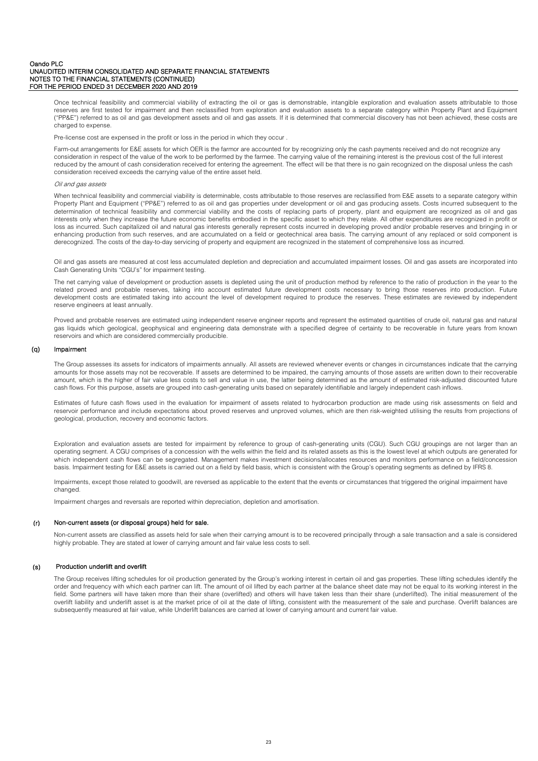Once technical feasibility and commercial viability of extracting the oil or gas is demonstrable, intangible exploration and evaluation assets attributable to those reserves are first tested for impairment and then reclassified from exploration and evaluation assets to a separate category within Property Plant and Equipment ("PP&E") referred to as oil and gas development assets and oil and gas assets. If it is determined that commercial discovery has not been achieved, these costs are charged to expense.

Pre-license cost are expensed in the profit or loss in the period in which they occur

Farm-out arrangements for E&E assets for which OER is the farmor are accounted for by recognizing only the cash payments received and do not recognize any consideration in respect of the value of the work to be performed by the farmee. The carrying value of the remaining interest is the previous cost of the full interest reduced by the amount of cash consideration received for entering the agreement. The effect will be that there is no gain recognized on the disposal unless the cash consideration received exceeds the carrying value of the entire asset held.

#### Oil and gas assets

When technical feasibility and commercial viability is determinable, costs attributable to those reserves are reclassified from E&E assets to a separate category within Property Plant and Equipment ("PP&E") referred to as oil and gas properties under development or oil and gas producing assets. Costs incurred subsequent to the determination of technical feasibility and commercial viability and the costs of replacing parts of property, plant and equipment are recognized as oil and gas interests only when they increase the future economic benefits embodied in the specific asset to which they relate. All other expenditures are recognized in profit or loss as incurred. Such capitalized oil and natural gas interests generally represent costs incurred in developing proved and/or probable reserves and bringing in or enhancing production from such reserves, and are accumulated on a field or geotechnical area basis. The carrying amount of any replaced or sold component is derecognized. The costs of the day-to-day servicing of property and equipment are recognized in the statement of comprehensive loss as incurred.

Oil and gas assets are measured at cost less accumulated depletion and depreciation and accumulated impairment losses. Oil and gas assets are incorporated into Cash Generating Units "CGU's" for impairment testing.

The net carrying value of development or production assets is depleted using the unit of production method by reference to the ratio of production in the year to the related proved and probable reserves, taking into account estimated future development costs necessary to bring those reserves into production. Future development costs are estimated taking into account the level of development required to produce the reserves. These estimates are reviewed by independent reserve engineers at least annually.

Proved and probable reserves are estimated using independent reserve engineer reports and represent the estimated quantities of crude oil, natural gas and natural gas liquids which geological, geophysical, and engineering data demonstrate with a specified degree of certainty to be recoverable in future years from known reservoirs and which are considered commercially producible.

#### (q) Impairment

The Group assesses its assets for indicators of impairments annually. All assets are reviewed whenever events or changes in circumstances indicate that the carrying amounts for those assets may not be recoverable. If assets are determined to be impaired, the carrying amounts of those assets are written down to their recoverable amount, which is the higher of fair value less costs to sell and value in use, the latter being determined as the amount of estimated risk-adjusted discounted future cash flows. For this purpose, assets are grouped into cash-generating units based on separately identifiable and largely independent cash inflows.

Estimates of future cash flows used in the evaluation for impairment of assets related to hydrocarbon production are made using risk assessments on field and reservoir performance and include expectations about proved reserves and unproved volumes, which are then risk-weighted utilising the results from projections of geological, production, recovery and economic factors.

Exploration and evaluation assets are tested for impairment by reference to group of cash-generating units (CGU). Such CGU groupings are not larger than an operating segment. A CGU comprises of a concession with the wells within the field and its related assets as this is the lowest level at which outputs are generated for which independent cash flows can be segregated. Management makes investment decisions/allocates resources and monitors performance on a field/concession basis. Impairment testing for E&E assets is carried out on a field by field basis, which is consistent with the Group's operating segments as defined by IFRS 8.

Impairments, except those related to goodwill, are reversed as applicable to the extent that the events or circumstances that triggered the original impairment have changed.

Impairment charges and reversals are reported within depreciation, depletion and amortisation.

# (r) Non-current assets (or disposal groups) held for sale.

Non-current assets are classified as assets held for sale when their carrying amount is to be recovered principally through a sale transaction and a sale is considered highly probable. They are stated at lower of carrying amount and fair value less costs to sell.

# (s) Production underlift and overlift

The Group receives lifting schedules for oil production generated by the Group's working interest in certain oil and gas properties. These lifting schedules identify the order and frequency with which each partner can lift. The amount of oil lifted by each partner at the balance sheet date may not be equal to its working interest in the field. Some partners will have taken more than their share (overlifted) and others will have taken less than their share (underlifted). The initial measurement of the overlift liability and underlift asset is at the market price of oil at the date of lifting, consistent with the measurement of the sale and purchase. Overlift balances are subsequently measured at fair value, while Underlift balances are carried at lower of carrying amount and current fair value.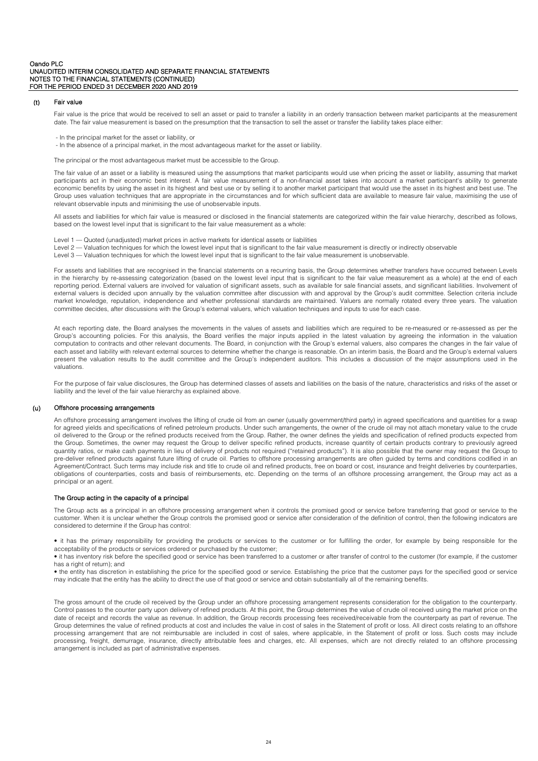## (t) Fair value

Fair value is the price that would be received to sell an asset or paid to transfer a liability in an orderly transaction between market participants at the measurement date. The fair value measurement is based on the presumption that the transaction to sell the asset or transfer the liability takes place either:

- In the principal market for the asset or liability, or
- In the absence of a principal market, in the most advantageous market for the asset or liability.

The principal or the most advantageous market must be accessible to the Group.

The fair value of an asset or a liability is measured using the assumptions that market participants would use when pricing the asset or liability, assuming that market participants act in their economic best interest. A fair value measurement of a non-financial asset takes into account a market participant's ability to generate economic benefits by using the asset in its highest and best use or by selling it to another market participant that would use the asset in its highest and best use. The Group uses valuation techniques that are appropriate in the circumstances and for which sufficient data are available to measure fair value, maximising the use of relevant observable inputs and minimising the use of unobservable inputs.

All assets and liabilities for which fair value is measured or disclosed in the financial statements are categorized within the fair value hierarchy, described as follows, based on the lowest level input that is significant to the fair value measurement as a whole:

Level 1 — Quoted (unadjusted) market prices in active markets for identical assets or liabilities

Level 2 — Valuation techniques for which the lowest level input that is significant to the fair value measurement is directly or indirectly observable

Level 3 — Valuation techniques for which the lowest level input that is significant to the fair value measurement is unobservable.

For assets and liabilities that are recognised in the financial statements on a recurring basis, the Group determines whether transfers have occurred between Levels in the hierarchy by re-assessing categorization (based on the lowest level input that is significant to the fair value measurement as a whole) at the end of each reporting period. External valuers are involved for valuation of significant assets, such as available for sale financial assets, and significant liabilities. Involvement of external valuers is decided upon annually by the valuation committee after discussion with and approval by the Group's audit committee. Selection criteria include market knowledge, reputation, independence and whether professional standards are maintained. Valuers are normally rotated every three years. The valuation committee decides, after discussions with the Group's external valuers, which valuation techniques and inputs to use for each case.

At each reporting date, the Board analyses the movements in the values of assets and liabilities which are required to be re-measured or re-assessed as per the Group's accounting policies. For this analysis, the Board verifies the major inputs applied in the latest valuation by agreeing the information in the valuation computation to contracts and other relevant documents. The Board, in conjunction with the Group's external valuers, also compares the changes in the fair value of each asset and liability with relevant external sources to determine whether the change is reasonable. On an interim basis, the Board and the Group's external valuers present the valuation results to the audit committee and the Group's independent auditors. This includes a discussion of the major assumptions used in the valuations.

For the purpose of fair value disclosures, the Group has determined classes of assets and liabilities on the basis of the nature, characteristics and risks of the asset or liability and the level of the fair value hierarchy as explained above.

#### (u) Offshore processing arrangements

An offshore processing arrangement involves the lifting of crude oil from an owner (usually government/third party) in agreed specifications and quantities for a swap for agreed yields and specifications of refined petroleum products. Under such arrangements, the owner of the crude oil may not attach monetary value to the crude oil delivered to the Group or the refined products received from the Group. Rather, the owner defines the yields and specification of refined products expected from the Group. Sometimes, the owner may request the Group to deliver specific refined products, increase quantity of certain products contrary to previously agreed quantity ratios, or make cash payments in lieu of delivery of products not required ("retained products"). It is also possible that the owner may request the Group to pre-deliver refined products against future lifting of crude oil. Parties to offshore processing arrangements are often guided by terms and conditions codified in an Agreement/Contract. Such terms may include risk and title to crude oil and refined products, free on board or cost, insurance and freight deliveries by counterparties, obligations of counterparties, costs and basis of reimbursements, etc. Depending on the terms of an offshore processing arrangement, the Group may act as a principal or an agent.

## The Group acting in the capacity of a principal

The Group acts as a principal in an offshore processing arrangement when it controls the promised good or service before transferring that good or service to the customer. When it is unclear whether the Group controls the promised good or service after consideration of the definition of control, then the following indicators are considered to determine if the Group has control:

• it has the primary responsibility for providing the products or services to the customer or for fulfilling the order, for example by being responsible for the acceptability of the products or services ordered or purchased by the customer;

• it has inventory risk before the specified good or service has been transferred to a customer or after transfer of control to the customer (for example, if the customer has a right of return); and

• the entity has discretion in establishing the price for the specified good or service. Establishing the price that the customer pays for the specified good or service may indicate that the entity has the ability to direct the use of that good or service and obtain substantially all of the remaining benefits.

The gross amount of the crude oil received by the Group under an offshore processing arrangement represents consideration for the obligation to the counterparty. Control passes to the counter party upon delivery of refined products. At this point, the Group determines the value of crude oil received using the market price on the date of receipt and records the value as revenue. In addition, the Group records processing fees received/receivable from the counterparty as part of revenue. The Group determines the value of refined products at cost and includes the value in cost of sales in the Statement of profit or loss. All direct costs relating to an offshore processing arrangement that are not reimbursable are included in cost of sales, where applicable, in the Statement of profit or loss. Such costs may include processing, freight, demurrage, insurance, directly attributable fees and charges, etc. All expenses, which are not directly related to an offshore processing arrangement is included as part of administrative expenses.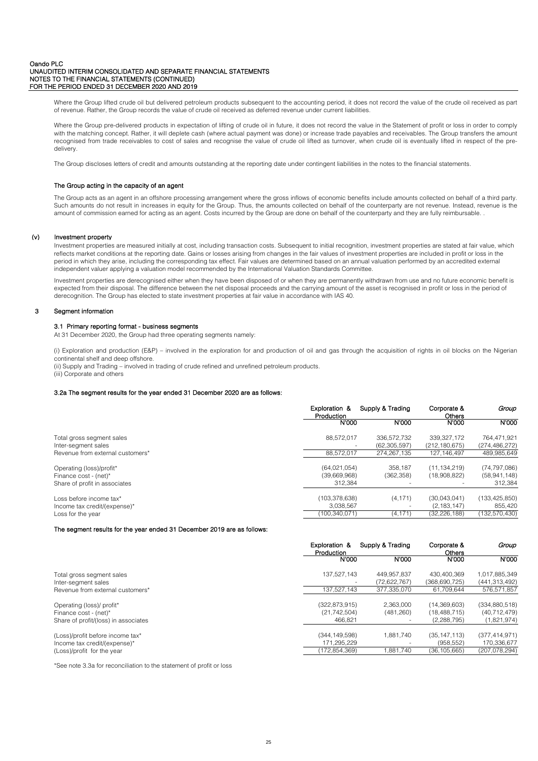Where the Group lifted crude oil but delivered petroleum products subsequent to the accounting period, it does not record the value of the crude oil received as part of revenue. Rather, the Group records the value of crude oil received as deferred revenue under current liabilities.

Where the Group pre-delivered products in expectation of lifting of crude oil in future, it does not record the value in the Statement of profit or loss in order to comply with the matching concept. Rather, it will deplete cash (where actual payment was done) or increase trade payables and receivables. The Group transfers the amount recognised from trade receivables to cost of sales and recognise the value of crude oil lifted as turnover, when crude oil is eventually lifted in respect of the predelivery.

The Group discloses letters of credit and amounts outstanding at the reporting date under contingent liabilities in the notes to the financial statements.

# The Group acting in the capacity of an agent

The Group acts as an agent in an offshore processing arrangement where the gross inflows of economic benefits include amounts collected on behalf of a third party. Such amounts do not result in increases in equity for the Group. Thus, the amounts collected on behalf of the counterparty are not revenue. Instead, revenue is the amount of commission earned for acting as an agent. Costs incurred by the Group are done on behalf of the counterparty and they are fully reimbursable. .

# (v) Investment property

Investment properties are measured initially at cost, including transaction costs. Subsequent to initial recognition, investment properties are stated at fair value, which reflects market conditions at the reporting date. Gains or losses arising from changes in the fair values of investment properties are included in profit or loss in the period in which they arise, including the corresponding tax effect. Fair values are determined based on an annual valuation performed by an accredited external independent valuer applying a valuation model recommended by the International Valuation Standards Committee.

Investment properties are derecognised either when they have been disposed of or when they are permanently withdrawn from use and no future economic benefit is expected from their disposal. The difference between the net disposal proceeds and the carrying amount of the asset is recognised in profit or loss in the period of derecognition. The Group has elected to state investment properties at fair value in accordance with IAS 40.

# 3 Segment information

#### 3.1 Primary reporting format - business segments

At 31 December 2020, the Group had three operating segments namely:

(i) Exploration and production (E&P) – involved in the exploration for and production of oil and gas through the acquisition of rights in oil blocks on the Nigerian continental shelf and deep offshore.

(ii) Supply and Trading – involved in trading of crude refined and unrefined petroleum products. (iii) Corporate and others

# 3.2a The segment results for the year ended 31 December 2020 are as follows:

|                                  | Exploration &<br>Production | Supply & Trading | Corporate &<br>Others | Group           |
|----------------------------------|-----------------------------|------------------|-----------------------|-----------------|
|                                  | N'000                       | N'000            | N'000                 | N000            |
| Total gross segment sales        | 88.572.017                  | 336,572,732      | 339,327,172           | 764,471,921     |
| Inter-segment sales              |                             | (62, 305, 597)   | (212, 180, 675)       | (274, 486, 272) |
| Revenue from external customers* | 88,572,017                  | 274,267,135      | 127, 146, 497         | 489,985,649     |
| Operating (loss)/profit*         | (64, 021, 054)              | 358.187          | (11, 134, 219)        | (74, 797, 086)  |
| Finance cost - (net)*            | (39,669,968)                | (362, 358)       | (18,908,822)          | (58, 941, 148)  |
| Share of profit in associates    | 312.384                     |                  |                       | 312,384         |
| Loss before income tax*          | (103,378,638)               | (4, 171)         | (30.043.041)          | (133, 425, 850) |
| Income tax credit/(expense)*     | 3.038.567                   | ۰                | (2, 183, 147)         | 855,420         |
| Loss for the year                | (100.340.071)               | (4, 171)         | (32.226.188)          | (132,570,430)   |

# The segment results for the year ended 31 December 2019 are as follows:

|                                      | Exploration &<br>Production | Supply & Trading | Corporate &<br>Others | Group           |
|--------------------------------------|-----------------------------|------------------|-----------------------|-----------------|
|                                      | N'000                       | N'000            | N'000                 | N'000           |
| Total gross segment sales            | 137.527.143                 | 449.957.837      | 430.400.369           | 1.017.885.349   |
| Inter-segment sales                  |                             | (72,622,767)     | (368, 690, 725)       | (441,313,492)   |
| Revenue from external customers*     | 137.527.143                 | 377.335.070      | 61.709.644            | 576.571.857     |
| Operating (loss)/ profit*            | (322, 873, 915)             | 2,363,000        | (14,369,603)          | (334, 880, 518) |
| Finance cost - (net)*                | (21, 742, 504)              | (481, 260)       | (18, 488, 715)        | (40, 712, 479)  |
| Share of profit/(loss) in associates | 466,821                     |                  | (2,288,795)           | (1,821,974)     |
| (Loss)/profit before income tax*     | (344, 149, 598)             | 1.881.740        | (35.147.113)          | (377, 414, 971) |
| Income tax credit/(expense)*         | 171.295.229                 |                  | (958, 552)            | 170,336,677     |
| (Loss)/profit for the year           | (172,854,369)               | 1,881,740        | (36, 105, 665)        | (207,078,294)   |
|                                      |                             |                  |                       |                 |

\*See note 3.3a for reconciliation to the statement of profit or loss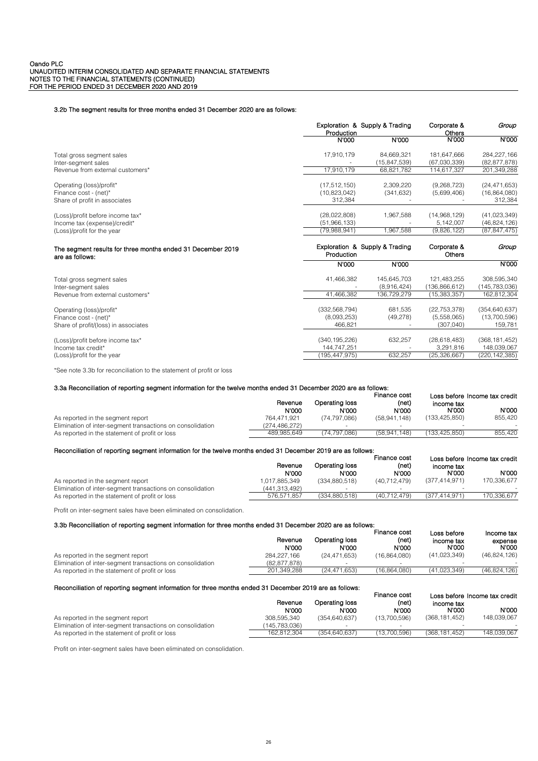# 3.2b The segment results for three months ended 31 December 2020 are as follows:

|                                                                                | Exploration & Supply & Trading<br>Production |                | Corporate &<br>Others        | Group          |
|--------------------------------------------------------------------------------|----------------------------------------------|----------------|------------------------------|----------------|
|                                                                                | N'000                                        | N'000          | N'000                        | N'000          |
| Total gross segment sales                                                      | 17.910.179                                   | 84.669.321     | 181.647.666                  | 284,227,166    |
| Inter-segment sales                                                            |                                              | (15, 847, 539) | (67,030,339)                 | (82, 877, 878) |
| Revenue from external customers*                                               | 17,910,179                                   | 68.821.782     | 114.617.327                  | 201.349.288    |
| Operating (loss)/profit*                                                       | (17, 512, 150)                               | 2,309,220      | (9,268,723)                  | (24, 471, 653) |
| Finance cost - (net)*                                                          | (10,823,042)                                 | (341, 632)     | (5,699,406)                  | (16,864,080)   |
| Share of profit in associates                                                  | 312.384                                      |                |                              | 312.384        |
| (Loss)/profit before income tax*                                               | (28,022,808)                                 | 1,967,588      | (14,968,129)                 | (41,023,349)   |
| Income tax (expense)/credit*                                                   | (51,966,133)                                 | ۰              | 5,142,007                    | (46,824,126)   |
| (Loss)/profit for the year                                                     | (79,988,941)                                 | 967,588        | (9,826,122)                  | (87, 847, 475) |
| The segment results for three months ended 31 December 2019<br>are as follows: | Exploration & Supply & Trading<br>Production |                | Corporate &<br><b>Others</b> | Group          |

|                                      | N'000           | N'000       |                | N'000           |
|--------------------------------------|-----------------|-------------|----------------|-----------------|
| Total gross segment sales            | 41,466,382      | 145.645.703 | 121.483.255    | 308,595,340     |
| Inter-segment sales                  |                 | (8.916.424) | (136.866.612)  | 145,783,036)    |
| Revenue from external customers*     | 41,466,382      | 136.729.279 | (15.383.357)   | 162,812,304     |
| Operating (loss)/profit*             | (332, 568, 794) | 681,535     | (22, 753, 378) | (354, 640, 637) |
| Finance cost - (net)*                | (8,093,253)     | (49,278)    | (5,558,065)    | (13,700,596)    |
| Share of profit/(loss) in associates | 466,821         |             | (307.040)      | 159,781         |
| (Loss)/profit before income tax*     | (340, 195, 226) | 632,257     | (28, 618, 483) | (368, 181, 452) |
| Income tax credit*                   | 144,747,251     |             | 3.291.816      | 148,039,067     |
| (Loss)/profit for the year           | (195.447.975)   | 632.257     | (25.326.667)   | (220, 142, 385) |

\*See note 3.3b for reconciliation to the statement of profit or loss

# 3.3a Reconciliation of reporting segment information for the twelve months ended 31 December 2020 are as follows:

|                                                            |                  |                         | Finance cost   | Loss before Income tax credit |         |
|------------------------------------------------------------|------------------|-------------------------|----------------|-------------------------------|---------|
|                                                            | Revenue<br>N'000 | Operating loss<br>N'000 | (net)<br>N'000 | income tax<br><b>N'000</b>    | N'000   |
| As reported in the segment report                          | 764.471.921      | (74.797.086)            | (58.941.148)   | (133.425.850)                 | 855,420 |
| Elimination of inter-segment transactions on consolidation | (274.486.272)    |                         |                |                               |         |
| As reported in the statement of profit or loss             | 489.985.649      | (74.797.086)            | (58.941.148)   | (133.425.850)                 | 855,420 |

# Reconciliation of reporting segment information for the twelve months ended 31 December 2019 are as follows:

|                                                            | Revenue<br>N'000 |               | Operating loss | Finance cost<br>(net) | income tax  | Loss before Income tax credit |
|------------------------------------------------------------|------------------|---------------|----------------|-----------------------|-------------|-------------------------------|
|                                                            |                  | N'000         | N'000          | N'000                 | N'000       |                               |
| As reported in the segment report                          | 1.017.885.349    | (334.880.518) | (40.712.479)   | (377.414.971)         | 170.336.677 |                               |
| Elimination of inter-segment transactions on consolidation | (441.313.492)    |               |                |                       |             |                               |
| As reported in the statement of profit or loss             | 576.571.857      | (334.880.518) | (40.712.479)   | (377.414.971)         | 170.336.677 |                               |

Profit on inter-segment sales have been eliminated on consolidation.

#### 3.3b Reconciliation of reporting segment information for three months ended 31 December 2020 are as follows: Revenue Operating loss<br>N'000 N'000 Finance cost (net)<br>N'000 Loss before income tax N'000 N'000 N'000 N'000 N'000 Income tax expense<br>N'000 As reported in the segment report<br>
Elimination of inter cognority reportions on consolidation<br>
(284,227,166 (24,471,653) (16,864,080) (41,023,349) (46,824,126) Elimination of inter-segment transactions on consolidation (82,877,878) - - - -

| -ilmination<br>consolidation<br>ent transactions on<br>nter-seame | o<br>. |                                  |               |                         |                                         |
|-------------------------------------------------------------------|--------|----------------------------------|---------------|-------------------------|-----------------------------------------|
| As reported in 1<br>the statement of<br>or loss<br>nrotit :       | 49.288 | $\sim$ $\sim$<br>$'2A$ .<br>.653 | .080<br>.864. | 349<br>י ה<br>Δ.<br>コンド | $\lambda$ 0.0<br>10 <sup>h</sup><br>271 |
|                                                                   |        |                                  |               |                         |                                         |

# Reconciliation of reporting segment information for three months ended 31 December 2019 are as follows:

|                                                            | Revenue<br>N'000 | Operating loss<br>N'000 | Finance cost<br>(net)<br>N'000 | income tax<br>N'000 | Loss before Income tax credit<br>N'000 |
|------------------------------------------------------------|------------------|-------------------------|--------------------------------|---------------------|----------------------------------------|
| As reported in the segment report                          | 308.595.340      | (354.640.637)           | (13.700.596)                   | (368, 181, 452)     | 148,039,067                            |
| Elimination of inter-segment transactions on consolidation | (145.783.036)    |                         |                                |                     |                                        |
| As reported in the statement of profit or loss             | 162.812.304      | (354.640.637)           | (13.700.596)                   | (368.181.452)       | 148.039.067                            |

Profit on inter-segment sales have been eliminated on consolidation.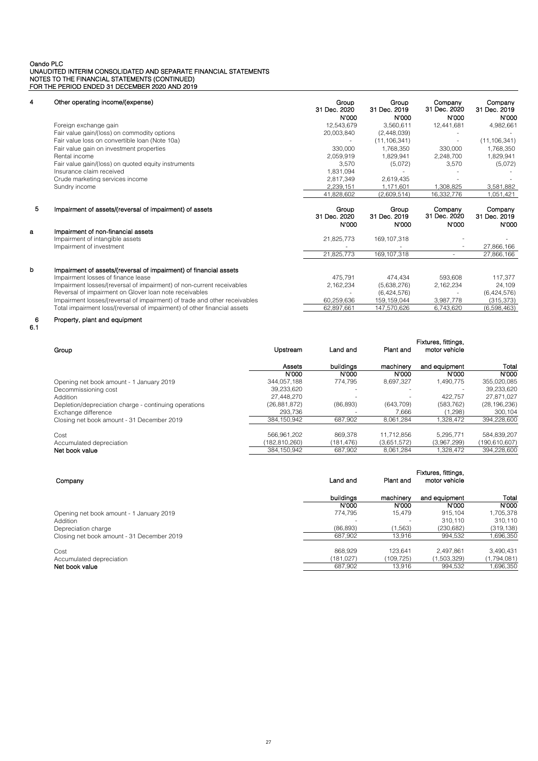| 4 | Other operating income/(expense)                                                                                                                      | Group<br>31 Dec. 2020<br>N'000 | Group<br>31 Dec. 2019<br>N'000 | Company<br>31 Dec. 2020<br>N'000 | Company<br>31 Dec. 2019<br>N 000 |
|---|-------------------------------------------------------------------------------------------------------------------------------------------------------|--------------------------------|--------------------------------|----------------------------------|----------------------------------|
|   | Foreign exchange gain                                                                                                                                 | 12.543.679                     | 3.560.611                      | 12,441,681                       | 4,982,661                        |
|   | Fair value gain/(loss) on commodity options                                                                                                           | 20,003,840                     | (2,448,039)                    |                                  |                                  |
|   | Fair value loss on convertible loan (Note 10a)                                                                                                        |                                | (11, 106, 341)                 |                                  | (11, 106, 341)                   |
|   | Fair value gain on investment properties                                                                                                              | 330,000                        | 1.768.350                      | 330,000                          | 1,768,350                        |
|   | Rental income                                                                                                                                         | 2.059.919                      | 1.829.941                      | 2.248.700                        | 1,829,941                        |
|   | Fair value gain/(loss) on quoted equity instruments                                                                                                   | 3,570                          | (5,072)                        | 3.570                            | (5,072)                          |
|   | Insurance claim received                                                                                                                              | 1.831.094                      |                                |                                  |                                  |
|   | Crude marketing services income                                                                                                                       | 2,817,349                      | 2,619,435                      |                                  |                                  |
|   | Sundry income                                                                                                                                         | 2.239.151                      | 1.171.601                      | 1.308.825                        | 3,581,882                        |
|   |                                                                                                                                                       | 41,828,602                     | (2.609.514)                    | 16,332,776                       | 1,051,421                        |
| 5 | Impairment of assets/(reversal of impairment) of assets                                                                                               | Group<br>31 Dec. 2020<br>N'000 | Group<br>31 Dec. 2019<br>N'000 | Company<br>31 Dec. 2020<br>N'000 | Company<br>31 Dec. 2019<br>N'000 |
| a | Impairment of non-financial assets                                                                                                                    |                                |                                |                                  |                                  |
|   | Impairment of intangible assets                                                                                                                       | 21,825,773                     | 169, 107, 318                  |                                  |                                  |
|   | Impairment of investment                                                                                                                              |                                |                                |                                  | 27,866,166                       |
|   |                                                                                                                                                       | 21,825,773                     | 169, 107, 318                  |                                  | 27,866,166                       |
| b | Impairment of assets/(reversal of impairment) of financial assets                                                                                     |                                |                                |                                  |                                  |
|   | Impairment losses of finance lease                                                                                                                    | 475.791                        | 474.434                        | 593.608                          | 117,377                          |
|   |                                                                                                                                                       |                                |                                |                                  |                                  |
|   | Impairment losses/(reversal of impairment) of non-current receivables                                                                                 | 2,162,234                      | (5,638,276)                    | 2,162,234                        | 24,109                           |
|   | Reversal of impairment on Glover loan note receivables                                                                                                |                                | (6.424.576)                    |                                  | (6,424,576)                      |
|   | Impairment losses/(reversal of impairment) of trade and other receivables<br>Total impairment loss/(reversal of impairment) of other financial assets | 60,259,636<br>62,897,661       | 159.159.044<br>147,570,626     | 3,987,778<br>6,743,620           | (315, 373)<br>(6,598,463)        |

# 6 Property, plant and equipment

| I<br><b>COLLEGE</b> |  |
|---------------------|--|
|                     |  |

| Upstream       | Land and    | Plant and                | Fixtures, fittings,<br>motor vehicle |                          |
|----------------|-------------|--------------------------|--------------------------------------|--------------------------|
| Assets         | buildings   | machinery                | and equipment                        | Total                    |
| N'000          | N'000       | N'000                    | <b>N'000</b>                         | N'000                    |
| 344.057.188    | 774.795     | 8.697.327                | 1.490.775                            | 355.020.085              |
| 39.233.620     | ۰           | $\overline{\phantom{a}}$ |                                      | 39.233.620               |
| 27.448.270     |             |                          | 422.757                              | 27.871.027               |
| (26, 881, 872) | (86, 893)   | (643, 709)               | (583.762)                            | (28, 196, 236)           |
| 293.736        |             | 7.666                    | (1,298)                              | 300.104                  |
| 384.150.942    | 687.902     | 8.061.284                | 1.328.472                            | 394,228,600              |
|                |             |                          |                                      | 584.839.207              |
| 182.810.260)   | (181.476)   |                          |                                      | (190,610,607)            |
| 384.150.942    | 687.902     | 8.061.284                | 1.328.472                            | 394.228.600              |
|                | 566.961.202 | 869.378                  | 11.712.856<br>(3,651,572)            | 5.295.771<br>(3,967,299) |

| Land and  | Plant and | Fixtures, fittings,<br>motor vehicle |             |
|-----------|-----------|--------------------------------------|-------------|
| buildings | machinery | and equipment                        | Total       |
| N'000     | N'000     | <b>N'000</b>                         | N'000       |
| 774.795   | 15.479    | 915.104                              | 1,705,378   |
|           |           | 310.110                              | 310.110     |
| (86, 893) | (1.563)   | (230.682)                            | (319, 138)  |
| 687.902   | 13.916    | 994.532                              | .696.350    |
| 868,929   | 123.641   | 2.497.861                            | 3.490.431   |
| (181.027) | (109.725) | (1.503.329)                          | (1,794,081) |
| 687.902   | 13.916    | 994.532                              | .696.350    |
|           |           |                                      |             |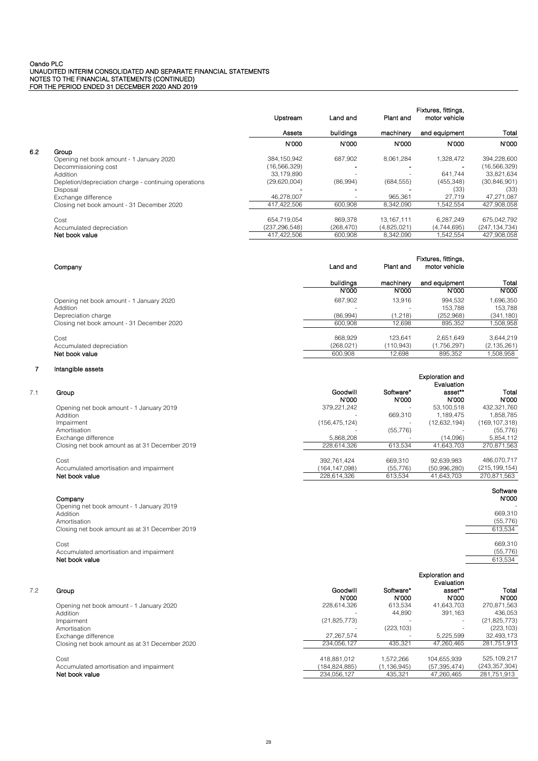|     |                                                       | Upstream        | Land and   | Plant and   | Fixtures, fittings,<br>motor vehicle |                 |
|-----|-------------------------------------------------------|-----------------|------------|-------------|--------------------------------------|-----------------|
|     |                                                       | Assets          | buildings  | machinery   | and equipment                        | Total           |
|     |                                                       | N'000           | N'000      | N'000       | N'000                                | N'000           |
| 6.2 | Group                                                 |                 |            |             |                                      |                 |
|     | Opening net book amount - 1 January 2020              | 384.150.942     | 687.902    | 8.061.284   | 1.328.472                            | 394,228,600     |
|     | Decommissioning cost                                  | (16,566,329)    |            |             | ۰                                    | (16, 566, 329)  |
|     | Addition                                              | 33.179.890      |            |             | 641.744                              | 33.821.634      |
|     | Depletion/depreciation charge - continuing operations | (29,620,004)    | (86,994)   | (684, 555)  | (455, 348)                           | (30, 846, 901)  |
|     | Disposal                                              |                 |            |             | (33)                                 | (33)            |
|     | Exchange difference                                   | 46.278.007      |            | 965.361     | 27.719                               | 47,271,087      |
|     | Closing net book amount - 31 December 2020            | 417.422.506     | 600.908    | 8.342.090   | 1.542.554                            | 427.908.058     |
|     | Cost                                                  | 654.719.054     | 869.378    | 13.167.111  | 6.287.249                            | 675.042.792     |
|     | Accumulated depreciation                              | (237, 296, 548) | (268, 470) | (4,825,021) | (4,744,695)                          | (247, 134, 734) |
|     | Net book value                                        | 417.422.506     | 600.908    | 8.342.090   | 1.542.554                            | 427.908.058     |
|     |                                                       |                 |            |             |                                      |                 |

| Company                                    | Land and   | Plant and | Fixtures, fittings,<br>motor vehicle |             |
|--------------------------------------------|------------|-----------|--------------------------------------|-------------|
|                                            | buildings  | machinery | and equipment                        | Total       |
|                                            | N'000      | N'000     | N'000                                | N'000       |
| Opening net book amount - 1 January 2020   | 687.902    | 13.916    | 994.532                              | 1.696.350   |
| Addition                                   |            |           | 153.788                              | 153.788     |
| Depreciation charge                        | (86,994)   | (1, 218)  | (252.968)                            | (341, 180)  |
| Closing net book amount - 31 December 2020 | 600.908    | 12.698    | 895,352                              | 1,508,958   |
| Cost                                       | 868.929    | 123.641   | 2.651.649                            | 3.644.219   |
| Accumulated depreciation                   | (268, 021) | (110,943) | (1,756,297)                          | (2,135,261) |
| Net book value                             | 600,908    | 12.698    | 895.352                              | .508.958    |
|                                            |            |           |                                      |             |

# 7 Intangible assets

7.1

|                                                |                   |                    | <b>Exploration and</b><br>Evaluation |                 |
|------------------------------------------------|-------------------|--------------------|--------------------------------------|-----------------|
| Group                                          | Goodwill<br>N'000 | Software*<br>N'000 | asset**<br>N'000                     | Total<br>N'000  |
| Opening net book amount - 1 January 2019       | 379.221.242       |                    | 53.100.518                           | 432.321.760     |
| Addition                                       |                   | 669,310            | 1.189.475                            | 1.858.785       |
| Impairment                                     | (156, 475, 124)   |                    | (12,632,194)                         | (169, 107, 318) |
| Amortisation                                   |                   | (55, 776)          |                                      | (55, 776)       |
| Exchange difference                            | 5.868.208         |                    | (14.096)                             | 5.854.112       |
| Closing net book amount as at 31 December 2019 | 228,614,326       | 613.534            | 41.643.703                           | 270,871,563     |
| Cost                                           | 392.761.424       | 669.310            | 92.639.983                           | 486.070.717     |
| Accumulated amortisation and impairment        | (164.147.098)     | (55, 776)          | (50.996.280)                         | (215, 199, 154) |
| Net book value                                 | 228.614.326       | 613.534            | 41.643.703                           | 270.871.563     |
|                                                |                   |                    |                                      |                 |

Software<br>N'000

#### Company N'000

Oompany N'000<br>Opening net book amount - 1 January 2019<br>Addition 669,310 Addition 669,310 Amortisation (55,776) Closing net book amount as at 31 December 2019 **613,534** 

Cost 669,310

Accumulated amortisation and impairment (55,776) Net book value 613,534

|     |                                                |                   |                    | <b>Exploration and</b><br>Evaluation |                 |
|-----|------------------------------------------------|-------------------|--------------------|--------------------------------------|-----------------|
| 7.2 | Group                                          | Goodwill<br>N'000 | Software*<br>N'000 | asset**<br>N'000                     | Total<br>N'000  |
|     | Opening net book amount - 1 January 2020       | 228.614.326       | 613.534            | 41.643.703                           | 270.871.563     |
|     | Addition                                       |                   | 44,890             | 391.163                              | 436.053         |
|     | Impairment                                     | (21, 825, 773)    |                    | $\overline{\phantom{a}}$             | (21, 825, 773)  |
|     | Amortisation                                   |                   | (223, 103)         |                                      | (223, 103)      |
|     | Exchange difference                            | 27,267,574        |                    | 5.225.599                            | 32,493,173      |
|     | Closing net book amount as at 31 December 2020 | 234,056,127       | 435.321            | 47.260.465                           | 281,751,913     |
|     | Cost                                           | 418.881.012       | 1.572.266          | 104.655.939                          | 525,109,217     |
|     | Accumulated amortisation and impairment        | (184.824.885)     | (1.136.945)        | (57.395.474)                         | (243, 357, 304) |
|     | Net book value                                 | 234.056.127       | 435.321            | 47.260.465                           | 281.751.913     |
|     |                                                |                   |                    |                                      |                 |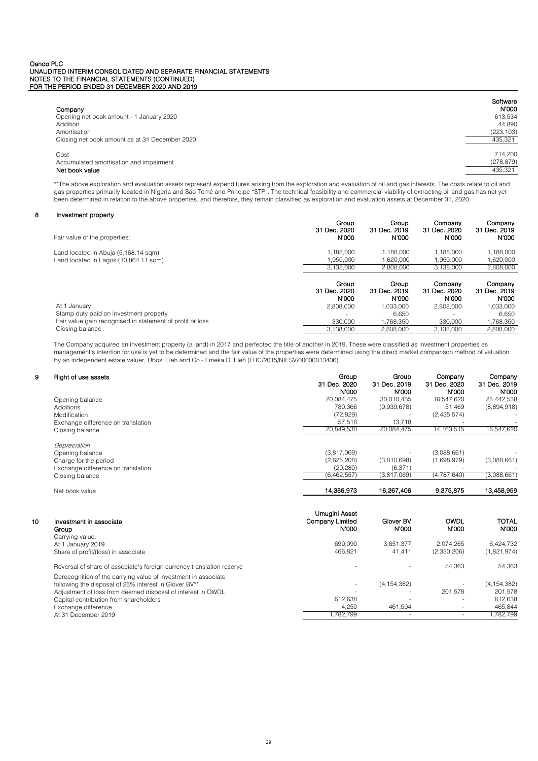| Company                                        | Software<br>N'000 |
|------------------------------------------------|-------------------|
| Opening net book amount - 1 January 2020       | 613.534           |
| Addition                                       | 44,890            |
| Amortisation                                   | (223, 103)        |
| Closing net book amount as at 31 December 2020 | 435,321           |
| Cost                                           | 714.200           |
| Accumulated amortisation and impairment        | (278, 879)        |
| Net book value                                 | 435,321           |

\*\*The above exploration and evaluation assets represent expenditures arising from the exploration and evaluation of oil and gas interests. The costs relate to oil and gas properties primarily located in Nigeria and São Tomé and Príncipe "STP". The technical feasibility and commercial viability of extracting oil and gas has not yet been determined in relation to the above properties, and therefore, they remain classified as exploration and evaluation assets at December 31, 2020.

# 8 Investment property

| Fair value of the properties:                             | Group<br>31 Dec. 2020<br><b>N'000</b> | Group<br>31 Dec. 2019<br>N'000 | Company<br>31 Dec. 2020<br>N'000 | Company<br>31 Dec. 2019<br>N'000 |
|-----------------------------------------------------------|---------------------------------------|--------------------------------|----------------------------------|----------------------------------|
|                                                           |                                       |                                |                                  |                                  |
| Land located in Abuja (5,168.14 sqm)                      | 1.188.000                             | 1.188.000                      | 1.188.000                        | 1.188.000                        |
| Land located in Lagos (10,864.11 sqm)                     | 1.950.000                             | 1.620.000                      | 1.950.000                        | 1.620.000                        |
|                                                           | 3.138.000                             | 2.808.000                      | 3.138.000                        | 2,808,000                        |
|                                                           |                                       |                                |                                  |                                  |
|                                                           | Group<br>31 Dec. 2020                 | Group<br>31 Dec. 2019          | Company<br>31 Dec. 2020          | Company<br>31 Dec. 2019          |
|                                                           | N'000                                 | N'000                          | N'000                            | N'000                            |
| At 1 January                                              | 2.808.000                             | 1.033.000                      | 2.808.000                        | 1.033.000                        |
| Stamp duty paid on investment property                    |                                       | 6.650                          |                                  | 6.650                            |
| Fair value gain recognised in statement of profit or loss | 330,000                               | .768.350                       | 330,000                          | ,768,350                         |
| Closing balance                                           | 3.138.000                             | 2.808.000                      | 3.138.000                        | 2.808.000                        |

The Company acquired an investment property (a land) in 2017 and perfected the title of another in 2019. These were classified as investment properties as management's intention for use is yet to be determined and the fair value of the properties were determined using the direct market comparison method of valuation by an independent estate valuer, Ubosi Eleh and Co - Emeka D. Eleh (FRC/2015/NIESV/00000013406).

| Right of use assets                | Group<br>31 Dec. 2020<br>N'000 | Group<br>31 Dec. 2019<br>N'000 | Company<br>31 Dec. 2020<br>N'000 | Company<br>31 Dec. 2019<br>N'000 |
|------------------------------------|--------------------------------|--------------------------------|----------------------------------|----------------------------------|
| Opening balance                    | 20.084.475                     | 30.010.435                     | 16,547,620                       | 25,442,538                       |
| Additions                          | 780.366                        | (9,939,678)                    | 51.469                           | (8,894,918)                      |
| Modification                       | (72, 829)                      |                                | (2,435,574)                      |                                  |
| Exchange difference on translation | 57,518                         | 13,718                         |                                  |                                  |
| Closing balance                    | 20,849,530                     | 20.084.475                     | 14, 163, 515                     | 16,547,620                       |
| Depreciation                       |                                |                                |                                  |                                  |
| Opening balance                    | (3,817,069)                    |                                | (3,088,661)                      |                                  |
| Charge for the period              | (2,625,208)                    | (3,810,698)                    | (1,698,979)                      | (3,088,661)                      |
| Exchange difference on translation | (20, 280)                      | (6, 371)                       |                                  |                                  |
| Closing balance                    | (6,462,557)                    | (3,817,069)                    | (4,787,640)                      | (3,088,661)                      |
| Net book value                     | 14,386,973                     | 16,267,406                     | 9.375,875                        | 13,458,959                       |

| Investment in associate                                               | Umugini Asset<br><b>Company Limited</b>       | Glover BV                   | OWDL                     | <b>TOTAL</b><br>N'000             |
|-----------------------------------------------------------------------|-----------------------------------------------|-----------------------------|--------------------------|-----------------------------------|
|                                                                       |                                               |                             |                          |                                   |
|                                                                       |                                               |                             |                          |                                   |
|                                                                       |                                               |                             |                          | 6.424.732                         |
| Share of profit/(loss) in associate                                   |                                               | 41.411                      |                          | (1,821,974)                       |
| Reversal of share of associate's foreign currency translation reserve |                                               |                             | 54.363                   | 54.363                            |
| Derecognition of the carrying value of investment in associate        |                                               |                             |                          |                                   |
| following the disposal of 25% interest in Glover BV**                 |                                               | (4, 154, 382)               |                          | (4, 154, 382)                     |
| Adjustment of loss from deemed disposal of interest in OWDL           |                                               |                             | 201.578                  | 201.578                           |
| Capital contribution from shareholders                                | 612.638                                       |                             |                          | 612.638                           |
| Exchange difference                                                   | 4.250                                         | 461.594                     | $\overline{\phantom{a}}$ | 465.844                           |
| At 31 December 2019                                                   | 1,782,799                                     | ۰                           |                          | 1.782.799                         |
|                                                                       | Group<br>Carrying value:<br>At 1 January 2019 | N'000<br>699.090<br>466.821 | N'000<br>3.651.377       | N'000<br>2.074.265<br>(2,330,206) |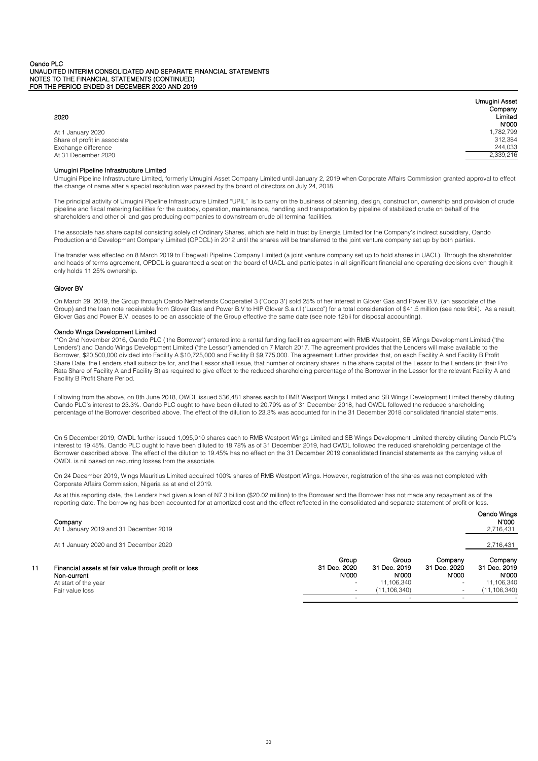| Umugini Asset |
|---------------|
| Company       |
| Limited       |
| N'000         |
| 1,782,799     |
| 312.384       |
| 244,033       |
| 2.339.216     |
|               |

## Umugini Pipeline Infrastructure Limited

Umugini Pipeline Infrastructure Limited, formerly Umugini Asset Company Limited until January 2, 2019 when Corporate Affairs Commission granted approval to effect the change of name after a special resolution was passed by the board of directors on July 24, 2018.

The principal activity of Umugini Pipeline Infrastructure Limited "UPIL" is to carry on the business of planning, design, construction, ownership and provision of crude pipeline and fiscal metering facilities for the custody, operation, maintenance, handling and transportation by pipeline of stabilized crude on behalf of the shareholders and other oil and gas producing companies to downstream crude oil terminal facilities.

The associate has share capital consisting solely of Ordinary Shares, which are held in trust by Energia Limited for the Company's indirect subsidiary, Oando Production and Development Company Limited (OPDCL) in 2012 until the shares will be transferred to the joint venture company set up by both parties.

The transfer was effected on 8 March 2019 to Ebegwati Pipeline Company Limited (a joint venture company set up to hold shares in UACL). Through the shareholder and heads of terms agreement, OPDCL is guaranteed a seat on the board of UACL and participates in all significant financial and operating decisions even though it only holds 11.25% ownership.

# Glover BV

On March 29, 2019, the Group through Oando Netherlands Cooperatief 3 ("Coop 3") sold 25% of her interest in Glover Gas and Power B.V. (an associate of the Group) and the loan note receivable from Glover Gas and Power B.V to HIP Glover S.a.r.l ("Luxco") for a total consideration of \$41.5 million (see note 9bii). As a result, Glover Gas and Power B.V. ceases to be an associate of the Group effective the same date (see note 12bii for disposal accounting).

# Oando Wings Development Limited

\*\*On 2nd November 2016, Oando PLC ('the Borrower') entered into a rental funding facilities agreement with RMB Westpoint, SB Wings Development Limited ('the Lenders') and Oando Wings Development Limited ('the Lessor') amended on 7 March 2017. The agreement provides that the Lenders will make available to the Borrower, \$20,500,000 divided into Facility A \$10,725,000 and Facility B \$9,775,000. The agreement further provides that, on each Facility A and Facility B Profit Share Date, the Lenders shall subscribe for, and the Lessor shall issue, that number of ordinary shares in the share capital of the Lessor to the Lenders (in their Pro Rata Share of Facility A and Facility B) as required to give effect to the reduced shareholding percentage of the Borrower in the Lessor for the relevant Facility A and Facility B Profit Share Period.

Following from the above, on 8th June 2018, OWDL issued 536,481 shares each to RMB Westport Wings Limited and SB Wings Development Limited thereby diluting Oando PLC's interest to 23.3%. Oando PLC ought to have been diluted to 20.79% as of 31 December 2018, had OWDL followed the reduced shareholding percentage of the Borrower described above. The effect of the dilution to 23.3% was accounted for in the 31 December 2018 consolidated financial statements.

On 5 December 2019, OWDL further issued 1,095,910 shares each to RMB Westport Wings Limited and SB Wings Development Limited thereby diluting Oando PLC's interest to 19.45%. Oando PLC ought to have been diluted to 18.78% as of 31 December 2019, had OWDL followed the reduced shareholding percentage of the Borrower described above. The effect of the dilution to 19.45% has no effect on the 31 December 2019 consolidated financial statements as the carrying value of OWDL is nil based on recurring losses from the associate.

On 24 December 2019, Wings Mauritius Limited acquired 100% shares of RMB Westport Wings. However, registration of the shares was not completed with Corporate Affairs Commission, Nigeria as at end of 2019.

As at this reporting date, the Lenders had given a loan of N7.3 billion (\$20.02 million) to the Borrower and the Borrower has not made any repayment as of the reporting date. The borrowing has been accounted for at amortized cost and the effect reflected in the consolidated and separate statement of profit or loss.

|    | Company<br>At 1 January 2019 and 31 December 2019                    |                                |                                |                                  | Oando Wings<br>N'000<br>2,716,431 |
|----|----------------------------------------------------------------------|--------------------------------|--------------------------------|----------------------------------|-----------------------------------|
|    | At 1 January 2020 and 31 December 2020                               |                                |                                |                                  | 2,716,431                         |
| 11 | Financial assets at fair value through profit or loss<br>Non-current | Group<br>31 Dec. 2020<br>N'000 | Group<br>31 Dec. 2019<br>N'000 | Company<br>31 Dec. 2020<br>N'000 | Company<br>31 Dec. 2019<br>N'000  |
|    | At start of the year                                                 |                                | 11.106.340                     |                                  | 11,106,340                        |
|    | Fair value loss                                                      |                                | (11, 106, 340)                 | $\overline{\phantom{a}}$         | (11, 106, 340)                    |
|    |                                                                      |                                |                                |                                  |                                   |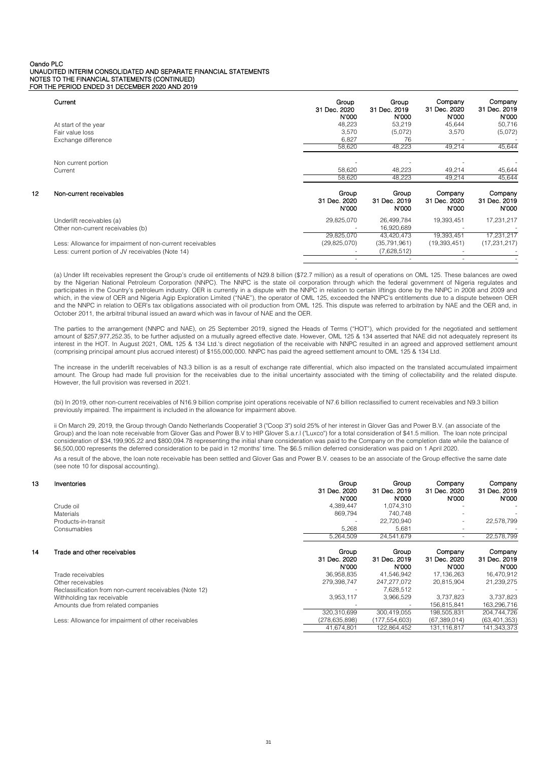|    | Current                                                   | Group<br>31 Dec. 2020          | Group<br>31 Dec. 2019          | Company<br>31 Dec. 2020          | Company<br>31 Dec. 2019          |
|----|-----------------------------------------------------------|--------------------------------|--------------------------------|----------------------------------|----------------------------------|
|    |                                                           | N'000                          | N'000                          | N'000                            | N'000                            |
|    | At start of the year                                      | 48,223                         | 53,219                         | 45,644                           | 50,716                           |
|    | Fair value loss                                           | 3,570                          | (5,072)                        | 3,570                            | (5,072)                          |
|    | Exchange difference                                       | 6,827                          | 76                             |                                  |                                  |
|    |                                                           | 58,620                         | 48,223                         | 49,214                           | 45,644                           |
|    | Non current portion                                       |                                |                                |                                  |                                  |
|    | Current                                                   | 58,620                         | 48,223                         | 49,214                           | 45,644                           |
|    |                                                           | 58,620                         | 48,223                         | 49,214                           | 45,644                           |
| 12 | Non-current receivables                                   | Group<br>31 Dec. 2020<br>N'000 | Group<br>31 Dec. 2019<br>N'000 | Company<br>31 Dec. 2020<br>N'000 | Company<br>31 Dec. 2019<br>N'000 |
|    | Underlift receivables (a)                                 | 29,825,070                     | 26,499,784                     | 19,393,451                       | 17,231,217                       |
|    | Other non-current receivables (b)                         |                                | 16,920,689                     |                                  |                                  |
|    |                                                           | 29,825,070                     | 43,420,473                     | 19,393,451                       | 17,231,217                       |
|    | Less: Allowance for impairment of non-current receivables | (29, 825, 070)                 | (35, 791, 961)                 | (19, 393, 451)                   | (17, 231, 217)                   |
|    | Less: current portion of JV receivables (Note 14)         |                                | (7,628,512)                    |                                  |                                  |
|    |                                                           |                                |                                |                                  |                                  |

(a) Under lift receivables represent the Group's crude oil entitlements of N29.8 billion (\$72.7 million) as a result of operations on OML 125. These balances are owed by the Nigerian National Petroleum Corporation (NNPC). The NNPC is the state oil corporation through which the federal government of Nigeria regulates and participates in the Country's petroleum industry. OER is currently in a dispute with the NNPC in relation to certain liftings done by the NNPC in 2008 and 2009 and which, in the view of OER and Nigeria Agip Exploration Limited ("NAE"), the operator of OML 125, exceeded the NNPC's entitlements due to a dispute between OER and the NNPC in relation to OER's tax obligations associated with oil production from OML 125. This dispute was referred to arbitration by NAE and the OER and, in October 2011, the arbitral tribunal issued an award which was in favour of NAE and the OER.

The parties to the arrangement (NNPC and NAE), on 25 September 2019, signed the Heads of Terms ("HOT"), which provided for the negotiated and settlement amount of \$257,977,252.35, to be further adjusted on a mutually agreed effective date. However, OML 125 & 134 asserted that NAE did not adequately represent its interest in the HOT. In August 2021, OML 125 & 134 Ltd.'s direct negotiation of the receivable with NNPC resulted in an agreed and approved settlement amount (comprising principal amount plus accrued interest) of \$155,000,000. NNPC has paid the agreed settlement amount to OML 125 & 134 Ltd.

The increase in the underlift receivables of N3.3 billion is as a result of exchange rate differential, which also impacted on the translated accumulated impairment amount. The Group had made full provision for the receivables due to the initial uncertainty associated with the timing of collectability and the related dispute. However, the full provision was reversed in 2021.

(bi) In 2019, other non-current receivables of N16.9 billion comprise joint operations receivable of N7.6 billion reclassified to current receivables and N9.3 billion previously impaired. The impairment is included in the allowance for impairment above.

ii On March 29, 2019, the Group through Oando Netherlands Cooperatief 3 ("Coop 3") sold 25% of her interest in Glover Gas and Power B.V. (an associate of the Group) and the loan note receivable from Glover Gas and Power B.V to HIP Glover S.a.r.l ("Luxco") for a total consideration of \$41.5 million. The loan note principal consideration of \$34,199,905.22 and \$800,094.78 representing the initial share consideration was paid to the Company on the completion date while the balance of \$6,500,000 represents the deferred consideration to be paid in 12 months' time. The \$6.5 million deferred consideration was paid on 1 April 2020.

As a result of the above, the loan note receivable has been settled and Glover Gas and Power B.V. ceases to be an associate of the Group effective the same date (see note 10 for disposal accounting).

| 13 | Inventories                                             | Group         | Group         | Company                  | Company        |
|----|---------------------------------------------------------|---------------|---------------|--------------------------|----------------|
|    |                                                         | 31 Dec. 2020  | 31 Dec. 2019  | 31 Dec. 2020             | 31 Dec. 2019   |
|    |                                                         | N 000         | N'000         | N'000                    | N'000          |
|    | Crude oil                                               | 4,389,447     | 1,074,310     |                          |                |
|    | <b>Materials</b>                                        | 869,794       | 740.748       |                          |                |
|    | Products-in-transit                                     |               | 22.720.940    | ۰                        | 22,578,799     |
|    | Consumables                                             | 5,268         | 5,681         | ٠                        |                |
|    |                                                         | 5.264.509     | 24,541,679    | $\overline{\phantom{a}}$ | 22,578,799     |
| 14 | Trade and other receivables                             | Group         | Group         | Company                  | Company        |
|    |                                                         | 31 Dec. 2020  | 31 Dec. 2019  | 31 Dec. 2020             | 31 Dec. 2019   |
|    |                                                         | N'000         | N'000         | N'000                    | N'000          |
|    | Trade receivables                                       | 36.958.835    | 41.546.942    | 17.136.263               | 16,470,912     |
|    | Other receivables                                       | 279,398,747   | 247,277,072   | 20,815,904               | 21,239,275     |
|    | Reclassification from non-current receivables (Note 12) |               | 7,628,512     |                          |                |
|    | Withholding tax receivable                              | 3,953,117     | 3.966.529     | 3.737.823                | 3,737,823      |
|    | Amounts due from related companies                      |               |               | 156,815,841              | 163,296,716    |
|    |                                                         | 320.310.699   | 300.419.055   | 198.505.831              | 204,744,726    |
|    | Less: Allowance for impairment of other receivables     | (278,635,898) | (177,554,603) | (67, 389, 014)           | (63, 401, 353) |
|    |                                                         | 41,674,801    | 122,864,452   | 131,116,817              | 141,343,373    |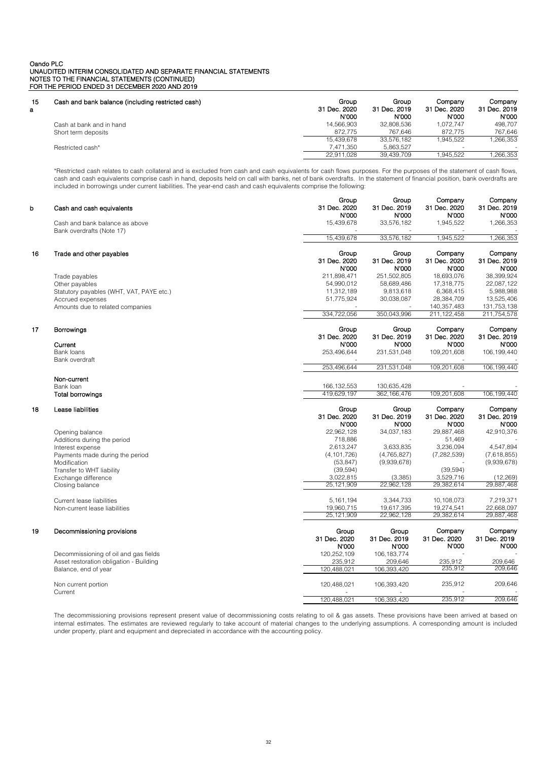| 15 | Cash and bank balance (including restricted cash) | Group                 | Group                 | Companv               | Company               |
|----|---------------------------------------------------|-----------------------|-----------------------|-----------------------|-----------------------|
|    |                                                   | 31 Dec. 2020<br>N'000 | 31 Dec. 2019<br>N'000 | 31 Dec. 2020<br>N'000 | 31 Dec. 2019<br>N'000 |
|    | Cash at bank and in hand                          | 14.566.903            | 32,808,536            | 1.072.747             | 498,707               |
|    | Short term deposits                               | 872.775               | 767.646               | 872.775               | 767.646               |
|    |                                                   | 15.439.678            | 33.576.182            | .945.522              | 1.266.353             |
|    | Restricted cash*                                  | 7.471.350             | 5.863.527             |                       |                       |
|    |                                                   | 22.911.028            | 39.439.709            | .945.522              | .266.353              |

\*Restricted cash relates to cash collateral and is excluded from cash and cash equivalents for cash flows purposes. For the purposes of the statement of cash flows, cash and cash equivalents comprise cash in hand, deposits held on call with banks, net of bank overdrafts. In the statement of financial position, bank overdrafts are included in borrowings under current liabilities. The year-end cash and cash equivalents comprise the following:

| p  | Cash and cash equivalents                                       | Group<br>31 Dec. 2020<br>N'000 | Group<br>31 Dec. 2019<br>N'000 | Company<br>31 Dec. 2020<br>N'000 | Company<br>31 Dec. 2019<br>N'000 |
|----|-----------------------------------------------------------------|--------------------------------|--------------------------------|----------------------------------|----------------------------------|
|    | Cash and bank balance as above<br>Bank overdrafts (Note 17)     | 15,439,678                     | 33,576,182                     | 1,945,522                        | 1,266,353                        |
|    |                                                                 | 15,439,678                     | 33,576,182                     | 1,945,522                        | 1,266,353                        |
| 16 | Trade and other payables                                        | Group<br>31 Dec. 2020<br>N'000 | Group<br>31 Dec. 2019<br>N'000 | Company<br>31 Dec. 2020<br>N'000 | Company<br>31 Dec. 2019<br>N'000 |
|    | Trade payables                                                  | 211,898,471                    | 251,502,805                    | 18,693,076                       | 38,399,924                       |
|    | Other payables                                                  | 54,990,012                     | 58,689,486                     | 17,318,775                       | 22,087,122                       |
|    | Statutory payables (WHT, VAT, PAYE etc.)                        | 11,312,189                     | 9,813,618                      | 6,368,415                        | 5,988,988                        |
|    | Accrued expenses                                                | 51,775,924                     | 30,038,087                     | 28,384,709                       | 13,525,406                       |
|    | Amounts due to related companies                                |                                | ÷.                             | 140,357,483                      | 131,753,138                      |
|    |                                                                 | 334,722,056                    | 350,043,996                    | 211,122,458                      | 211,754,578                      |
| 17 | Borrowings                                                      | Group<br>31 Dec. 2020          | Group<br>31 Dec. 2019          | Company<br>31 Dec. 2020          | Company<br>31 Dec. 2019          |
|    | Current                                                         | N'000                          | N'000                          | N'000                            | N'000                            |
|    | Bank loans<br>Bank overdraft                                    | 253,496,644                    | 231,531,048                    | 109,201,608                      | 106,199,440                      |
|    |                                                                 | 253,496,644                    | 231,531,048                    | 109,201,608                      | 106,199,440                      |
|    | Non-current                                                     |                                |                                |                                  |                                  |
|    | Bank loan                                                       | 166, 132, 553                  | 130,635,428                    |                                  |                                  |
|    | <b>Total borrowings</b>                                         | 419.629.197                    | 362.166.476                    | 109.201.608                      | 106,199,440                      |
| 18 | Lease liabilities                                               | Group<br>31 Dec. 2020          | Group<br>31 Dec. 2019          | Company<br>31 Dec. 2020          | Company<br>31 Dec. 2019          |
|    |                                                                 | N'000                          | N'000                          | N'000                            | N'000                            |
|    | Opening balance                                                 | 22,962,128                     | 34,037,183                     | 29,887,468                       | 42,910,376                       |
|    | Additions during the period                                     | 718,886                        |                                | 51,469                           |                                  |
|    | Interest expense                                                | 2,613,247                      | 3,633,835                      | 3,236,094                        | 4,547,894                        |
|    | Payments made during the period                                 | (4, 101, 726)                  | (4,765,827)                    | (7, 282, 539)                    | (7,618,855)                      |
|    | Modification                                                    | (53, 847)                      | (9,939,678)                    |                                  | (9,939,678)                      |
|    | Transfer to WHT liability                                       | (39, 594)                      |                                | (39, 594)                        |                                  |
|    | Exchange difference                                             | 3,022,815                      | (3,385)<br>22,962,128          | 3,529,716                        | (12, 269)<br>29,887,468          |
|    | Closing balance                                                 | 25,121,909                     |                                | 29,382,614                       |                                  |
|    | Current lease liabilities                                       | 5,161,194                      | 3,344,733                      | 10,108,073                       | 7,219,371                        |
|    | Non-current lease liabilities                                   | 19,960,715                     | 19,617,395                     | 19,274,541                       | 22,668,097                       |
|    |                                                                 | 25,121,909                     | 22,962,128                     | 29,382,614                       | 29,887,468                       |
| 19 | Decommissioning provisions                                      | Group                          | Group                          | Company                          | Company                          |
|    |                                                                 | 31 Dec. 2020                   | 31 Dec. 2019                   | 31 Dec. 2020<br>N'000            | 31 Dec. 2019<br>N'000            |
|    |                                                                 | N'000                          | N'000                          |                                  |                                  |
|    | Decommissioning of oil and gas fields                           | 120,252,109                    | 106, 183, 774                  |                                  |                                  |
|    | Asset restoration obligation - Building<br>Balance, end of year | 235,912<br>120,488,021         | 209,646<br>106,393,420         | 235,912<br>235,912               | 209,646<br>209,646               |
|    |                                                                 |                                |                                |                                  |                                  |
|    | Non current portion                                             | 120,488,021                    | 106,393,420                    | 235,912                          | 209,646                          |
|    | Current                                                         |                                |                                | 235.912                          |                                  |
|    |                                                                 | 120,488,021                    | 106,393,420                    |                                  | 209.646                          |

The decommissioning provisions represent present value of decommissioning costs relating to oil & gas assets. These provisions have been arrived at based on internal estimates. The estimates are reviewed regularly to take account of material changes to the underlying assumptions. A corresponding amount is included under property, plant and equipment and depreciated in accordance with the accounting policy.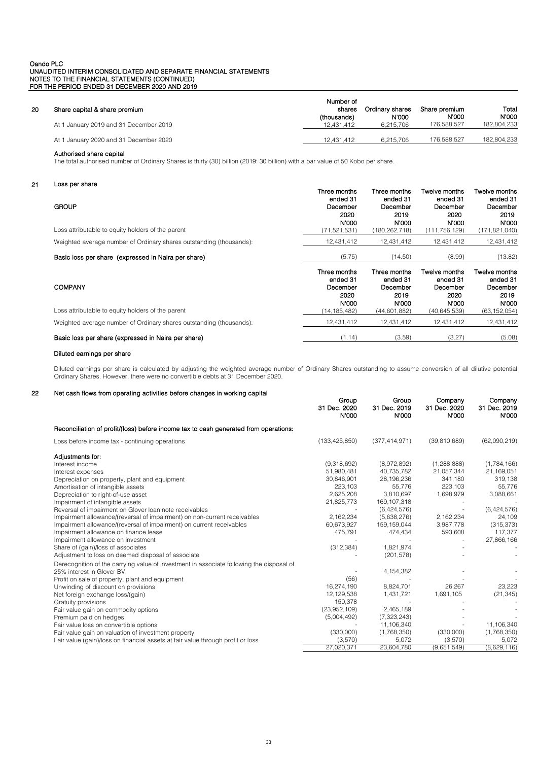| 20 | Share capital & share premium          | Number of<br>shares<br>(thousands) | Ordinary shares<br><b>N'000</b> | Share premium<br>N'000 | Total<br>N'000 |
|----|----------------------------------------|------------------------------------|---------------------------------|------------------------|----------------|
|    | At 1 January 2019 and 31 December 2019 | 12.431.412                         | 6.215.706                       | 176.588.527            | 182,804,233    |
|    | At 1 January 2020 and 31 December 2020 | 12.431.412                         | 6.215.706                       | 176.588.527            | 182.804.233    |

# Authorised share capital

The total authorised number of Ordinary Shares is thirty (30) billion (2019: 30 billion) with a par value of 50 Kobo per share.

# 21 Loss per share

| Three months<br>ended 31<br>December<br>2020 | Three months<br>ended 31<br>December<br>2019 | Twelve months<br>ended 31<br>December<br>2020 | Twelve months<br>ended 31<br>December<br>2019<br>N'000 |
|----------------------------------------------|----------------------------------------------|-----------------------------------------------|--------------------------------------------------------|
| (71, 521, 531)                               | (180,262,718)                                | (111,756,129)                                 | (171, 821, 040)                                        |
| 12,431,412                                   | 12,431,412                                   | 12,431,412                                    | 12,431,412                                             |
| (5.75)                                       | (14.50)                                      | (8.99)                                        | (13.82)                                                |
| Three months<br>ended 31<br>December<br>2020 | Three months<br>ended 31<br>December<br>2019 | Twelve months<br>ended 31<br>December<br>2020 | Twelve months<br>ended 31<br>December<br>2019<br>N'000 |
| (14,185,482)                                 | (44,601,882)                                 | (40,645,539)                                  | (63, 152, 054)                                         |
| 12,431,412                                   | 12,431,412                                   | 12,431,412                                    | 12,431,412                                             |
| (1.14)                                       | (3.59)                                       | (3.27)                                        | (5.08)                                                 |
|                                              | N'000<br>N'000                               | N'000<br>N'000                                | N'000<br>N'000                                         |

# Diluted earnings per share

Diluted earnings per share is calculated by adjusting the weighted average number of Ordinary Shares outstanding to assume conversion of all dilutive potential Ordinary Shares. However, there were no convertible debts at 31 December 2020.

Group Group Company Company

# 22 Net cash flows from operating activities before changes in working capital

|                                                                                          | u vup<br>31 Dec. 2020<br>N'000 | u vup<br>31 Dec. 2019<br>N 000 | 31 Dec. 2020<br>N'000 | 31 Dec. 2019<br>N 000 |
|------------------------------------------------------------------------------------------|--------------------------------|--------------------------------|-----------------------|-----------------------|
| Reconciliation of profit/(loss) before income tax to cash generated from operations:     |                                |                                |                       |                       |
| Loss before income tax - continuing operations                                           | (133, 425, 850)                | (377, 414, 971)                | (39, 810, 689)        | (62,090,219)          |
| Adjustments for:                                                                         |                                |                                |                       |                       |
| Interest income                                                                          | (9,318,692)                    | (8,972,892)                    | (1, 288, 888)         | (1,784,166)           |
| Interest expenses                                                                        | 51,980,481                     | 40,735,782                     | 21,057,344            | 21,169,051            |
| Depreciation on property, plant and equipment                                            | 30,846,901                     | 28, 196, 236                   | 341,180               | 319,138               |
| Amortisation of intangible assets                                                        | 223,103                        | 55,776                         | 223,103               | 55,776                |
| Depreciation to right-of-use asset                                                       | 2,625,208                      | 3,810,697                      | 1,698,979             | 3,088,661             |
| Impairment of intangible assets                                                          | 21,825,773                     | 169, 107, 318                  |                       |                       |
| Reversal of impairment on Glover loan note receivables                                   |                                | (6,424,576)                    |                       | (6,424,576)           |
| Impairment allowance/(reversal of impairment) on non-current receivables                 | 2,162,234                      | (5,638,276)                    | 2,162,234             | 24,109                |
| Impairment allowance/(reversal of impairment) on current receivables                     | 60,673,927                     | 159,159,044                    | 3,987,778             | (315, 373)            |
| Impairment allowance on finance lease                                                    | 475,791                        | 474,434                        | 593,608               | 117,377               |
| Impairment allowance on investment                                                       |                                |                                |                       | 27,866,166            |
| Share of (gain)/loss of associates                                                       | (312, 384)                     | 1,821,974                      |                       |                       |
| Adjustment to loss on deemed disposal of associate                                       |                                | (201, 578)                     |                       |                       |
| Derecognition of the carrying value of investment in associate following the disposal of |                                |                                |                       |                       |
| 25% interest in Glover BV                                                                |                                | 4,154,382                      |                       |                       |
| Profit on sale of property, plant and equipment                                          | (56)                           |                                |                       |                       |
| Unwinding of discount on provisions                                                      | 16,274,190                     | 8,824,701                      | 26,267                | 23,223                |
| Net foreign exchange loss/(gain)                                                         | 12,129,538                     | 1,431,721                      | 1,691,105             | (21, 345)             |
| Gratuity provisions                                                                      | 150,378                        |                                |                       |                       |
| Fair value gain on commodity options                                                     | (23,952,109)                   | 2,465,189                      |                       |                       |
| Premium paid on hedges                                                                   | (5,004,492)                    | (7,323,243)                    |                       |                       |
| Fair value loss on convertible options                                                   |                                | 11,106,340                     |                       | 11,106,340            |
| Fair value gain on valuation of investment property                                      | (330,000)                      | (1,768,350)                    | (330,000)             | (1,768,350)           |
| Fair value (gain)/loss on financial assets at fair value through profit or loss          | (3,570)                        | 5,072                          | (3,570)               | 5,072                 |
|                                                                                          | 27,020,371                     | 23,604,780                     | (9,651,549)           | (8,629,116)           |
|                                                                                          |                                |                                |                       |                       |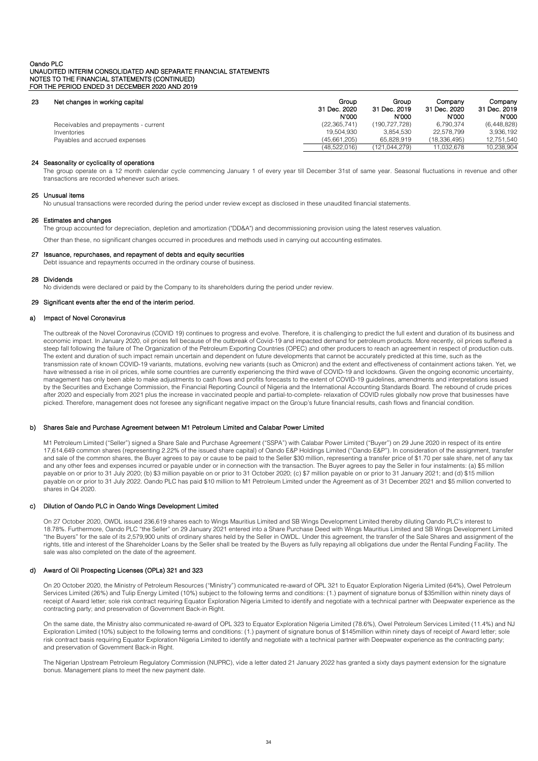| 23 | Net changes in working capital        | Group<br>31 Dec. 2020<br>N'000 | Group<br>31 Dec. 2019<br>N'000 | Company<br>31 Dec. 2020<br>N'000 | Company<br>31 Dec. 2019<br>N'000 |
|----|---------------------------------------|--------------------------------|--------------------------------|----------------------------------|----------------------------------|
|    | Receivables and prepayments - current | (22, 365, 741)                 | (190,727,728)                  | 6.790.374                        | (6, 448, 828)                    |
|    | Inventories                           | 19.504.930                     | 3.854.530                      | 22.578.799                       | 3.936.192                        |
|    | Payables and accrued expenses         | (45.661.205)                   | 65.828.919                     | (18.336.495)                     | 12.751.540                       |
|    |                                       | (48, 522, 016)                 | (121.044.279)                  | 11.032.678                       | 10.238.904                       |

# 24 Seasonality or cyclicality of operations

The group operate on a 12 month calendar cycle commencing January 1 of every year till December 31st of same year. Seasonal fluctuations in revenue and other transactions are recorded whenever such arises.

# 25 Unusual items

No unusual transactions were recorded during the period under review except as disclosed in these unaudited financial statements.

#### 26 Estimates and changes

The group accounted for depreciation, depletion and amortization ("DD&A") and decommissioning provision using the latest reserves valuation. Other than these, no significant changes occurred in procedures and methods used in carrying out accounting estimates.

# 27 Issuance, repurchases, and repayment of debts and equity securities

Debt issuance and repayments occurred in the ordinary course of business.

### 28 Dividends

No dividends were declared or paid by the Company to its shareholders during the period under review.

# 29 Significant events after the end of the interim period.

#### a) Impact of Novel Coronavirus

The outbreak of the Novel Coronavirus (COVID 19) continues to progress and evolve. Therefore, it is challenging to predict the full extent and duration of its business and economic impact. In January 2020, oil prices fell because of the outbreak of Covid-19 and impacted demand for petroleum products. More recently, oil prices suffered a steep fall following the failure of The Organization of the Petroleum Exporting Countries (OPEC) and other producers to reach an agreement in respect of production cuts. The extent and duration of such impact remain uncertain and dependent on future developments that cannot be accurately predicted at this time, such as the transmission rate of known COVID-19 variants, mutations, evolving new variants (such as Omicron) and the extent and effectiveness of containment actions taken. Yet, we have witnessed a rise in oil prices, while some countries are currently experiencing the third wave of COVID-19 and lockdowns. Given the ongoing economic uncertainty, management has only been able to make adjustments to cash flows and profits forecasts to the extent of COVID-19 guidelines, amendments and interpretations issued by the Securities and Exchange Commission, the Financial Reporting Council of Nigeria and the International Accounting Standards Board. The rebound of crude prices after 2020 and especially from 2021 plus the increase in vaccinated people and partial-to-complete- relaxation of COVID rules globally now prove that businesses have picked. Therefore, management does not foresee any significant negative impact on the Group's future financial results, cash flows and financial condition.

#### b) Shares Sale and Purchase Agreement between M1 Petroleum Limited and Calabar Power Limited

M1 Petroleum Limited ("Seller") signed a Share Sale and Purchase Agreement ("SSPA") with Calabar Power Limited ("Buyer") on 29 June 2020 in respect of its entire 17,614,649 common shares (representing 2.22% of the issued share capital) of Oando E&P Holdings Limited ("Oando E&P"). In consideration of the assignment, transfer and sale of the common shares, the Buyer agrees to pay or cause to be paid to the Seller \$30 million, representing a transfer price of \$1.70 per sale share, net of any tax and any other fees and expenses incurred or payable under or in connection with the transaction. The Buyer agrees to pay the Seller in four instalments: (a) \$5 million payable on or prior to 31 July 2020; (b) \$3 million payable on or prior to 31 October 2020; (c) \$7 million payable on or prior to 31 January 2021; and (d) \$15 million payable on or prior to 31 July 2022. Oando PLC has paid \$10 million to M1 Petroleum Limited under the Agreement as of 31 December 2021 and \$5 million converted to shares in Q4 2020.

#### c) Dilution of Oando PLC in Oando Wings Development Limited

On 27 October 2020, OWDL issued 236,619 shares each to Wings Mauritius Limited and SB Wings Development Limited thereby diluting Oando PLC's interest to 18.78%. Furthermore, Oando PLC "the Seller" on 29 January 2021 entered into a Share Purchase Deed with Wings Mauritius Limited and SB Wings Development Limited "the Buyers" for the sale of its 2,579,900 units of ordinary shares held by the Seller in OWDL. Under this agreement, the transfer of the Sale Shares and assignment of the rights, title and interest of the Shareholder Loans by the Seller shall be treated by the Buyers as fully repaying all obligations due under the Rental Funding Facility. The sale was also completed on the date of the agreement.

#### d) Award of Oil Prospecting Licenses (OPLs) 321 and 323

On 20 October 2020, the Ministry of Petroleum Resources ("Ministry") communicated re-award of OPL 321 to Equator Exploration Nigeria Limited (64%), Owel Petroleum Services Limited (26%) and Tulip Energy Limited (10%) subject to the following terms and conditions: (1.) payment of signature bonus of \$35million within ninety days of receipt of Award letter; sole risk contract requiring Equator Exploration Nigeria Limited to identify and negotiate with a technical partner with Deepwater experience as the contracting party; and preservation of Government Back-in Right.

On the same date, the Ministry also communicated re-award of OPL 323 to Equator Exploration Nigeria Limited (78.6%), Owel Petroleum Services Limited (11.4%) and NJ Exploration Limited (10%) subject to the following terms and conditions: (1.) payment of signature bonus of \$145million within ninety days of receipt of Award letter; sole risk contract basis requiring Equator Exploration Nigeria Limited to identify and negotiate with a technical partner with Deepwater experience as the contracting party; and preservation of Government Back-in Right.

The Nigerian Upstream Petroleum Regulatory Commission (NUPRC), vide a letter dated 21 January 2022 has granted a sixty days payment extension for the signature bonus. Management plans to meet the new payment date.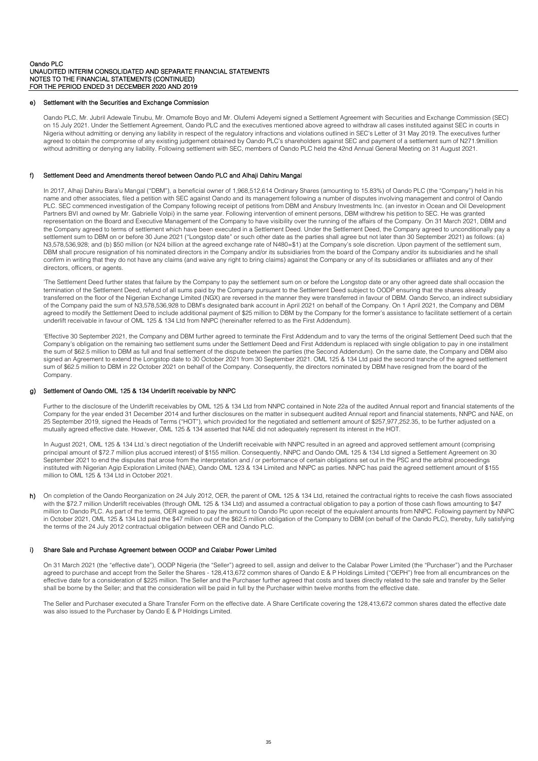# e) Settlement with the Securities and Exchange Commission

Oando PLC, Mr. Jubril Adewale Tinubu, Mr. Omamofe Boyo and Mr. Olufemi Adeyemi signed a Settlement Agreement with Securities and Exchange Commission (SEC) on 15 July 2021. Under the Settlement Agreement, Oando PLC and the executives mentioned above agreed to withdraw all cases instituted against SEC in courts in Nigeria without admitting or denying any liability in respect of the regulatory infractions and violations outlined in SEC's Letter of 31 May 2019. The executives further agreed to obtain the compromise of any existing judgement obtained by Oando PLC's shareholders against SEC and payment of a settlement sum of N271.9million without admitting or denying any liability. Following settlement with SEC, members of Oando PLC held the 42nd Annual General Meeting on 31 August 2021.

#### f) Settlement Deed and Amendments thereof between Oando PLC and Alhaji Dahiru Mangal

In 2017, Alhaji Dahiru Bara'u Mangal ("DBM"), a beneficial owner of 1,968,512,614 Ordinary Shares (amounting to 15.83%) of Oando PLC (the "Company") held in his name and other associates, filed a petition with SEC against Oando and its management following a number of disputes involving management and control of Oando PLC. SEC commenced investigation of the Company following receipt of petitions from DBM and Ansbury Investments Inc. (an investor in Ocean and Oil Development Partners BVI and owned by Mr. Gabrielle Volpi) in the same year. Following intervention of eminent persons, DBM withdrew his petition to SEC. He was granted representation on the Board and Executive Management of the Company to have visibility over the running of the affairs of the Company. On 31 March 2021, DBM and the Company agreed to terms of settlement which have been executed in a Settlement Deed. Under the Settlement Deed, the Company agreed to unconditionally pay a settlement sum to DBM on or before 30 June 2021 ("Longstop date" or such other date as the parties shall agree but not later than 30 September 2021) as follows: (a) N3,578,536,928; and (b) \$50 million (or N24 billion at the agreed exchange rate of N480=\$1) at the Company's sole discretion. Upon payment of the settlement sum, DBM shall procure resignation of his nominated directors in the Company and/or its subsidiaries from the board of the Company and/or its subsidiaries and he shall confirm in writing that they do not have any claims (and waive any right to bring claims) against the Company or any of its subsidiaries or affiliates and any of their directors, officers, or agents.

'The Settlement Deed further states that failure by the Company to pay the settlement sum on or before the Longstop date or any other agreed date shall occasion the termination of the Settlement Deed, refund of all sums paid by the Company pursuant to the Settlement Deed subject to OODP ensuring that the shares already transferred on the floor of the Nigerian Exchange Limited (NGX) are reversed in the manner they were transferred in favour of DBM. Oando Servco, an indirect subsidiary of the Company paid the sum of N3,578,536,928 to DBM's designated bank account in April 2021 on behalf of the Company. On 1 April 2021, the Company and DBM agreed to modify the Settlement Deed to include additional payment of \$25 million to DBM by the Company for the former's assistance to facilitate settlement of a certain underlift receivable in favour of OML 125 & 134 Ltd from NNPC (hereinafter referred to as the First Addendum).

'Effective 30 September 2021, the Company and DBM further agreed to terminate the First Addendum and to vary the terms of the original Settlement Deed such that the Company's obligation on the remaining two settlement sums under the Settlement Deed and First Addendum is replaced with single obligation to pay in one installment the sum of \$62.5 million to DBM as full and final settlement of the dispute between the parties (the Second Addendum). On the same date, the Company and DBM also signed an Agreement to extend the Longstop date to 30 October 2021 from 30 September 2021. OML 125 & 134 Ltd paid the second tranche of the agreed settlement sum of \$62.5 million to DBM in 22 October 2021 on behalf of the Company. Consequently, the directors nominated by DBM have resigned from the board of the Company.

# g) Settlement of Oando OML 125 & 134 Underlift receivable by NNPC

Further to the disclosure of the Underlift receivables by OML 125 & 134 Ltd from NNPC contained in Note 22a of the audited Annual report and financial statements of the Company for the year ended 31 December 2014 and further disclosures on the matter in subsequent audited Annual report and financial statements, NNPC and NAE, on 25 September 2019, signed the Heads of Terms ("HOT"), which provided for the negotiated and settlement amount of \$257,977,252.35, to be further adjusted on a mutually agreed effective date. However, OML 125 & 134 asserted that NAE did not adequately represent its interest in the HOT.

In August 2021, OML 125 & 134 Ltd.'s direct negotiation of the Underlift receivable with NNPC resulted in an agreed and approved settlement amount (comprising principal amount of \$72.7 million plus accrued interest) of \$155 million. Consequently, NNPC and Oando OML 125 & 134 Ltd signed a Settlement Agreement on 30 September 2021 to end the disputes that arose from the interpretation and / or performance of certain obligations set out in the PSC and the arbitral proceedings instituted with Nigerian Agip Exploration Limited (NAE), Oando OML 123 & 134 Limited and NNPC as parties. NNPC has paid the agreed settlement amount of \$155 million to OML 125 & 134 Ltd in October 2021.

h) On completion of the Oando Reorganization on 24 July 2012, OER, the parent of OML 125 & 134 Ltd, retained the contractual rights to receive the cash flows associated with the \$72.7 million Underlift receivables (through OML 125 & 134 Ltd) and assumed a contractual obligation to pay a portion of those cash flows amounting to \$47 million to Oando PLC. As part of the terms, OER agreed to pay the amount to Oando Plc upon receipt of the equivalent amounts from NNPC. Following payment by NNPC in October 2021, OML 125 & 134 Ltd paid the \$47 million out of the \$62.5 million obligation of the Company to DBM (on behalf of the Oando PLC), thereby, fully satisfying the terms of the 24 July 2012 contractual obligation between OER and Oando PLC.

#### i) Share Sale and Purchase Agreement between OODP and Calabar Power Limited

On 31 March 2021 (the "effective date"), OODP Nigeria (the "Seller") agreed to sell, assign and deliver to the Calabar Power Limited (the "Purchaser") and the Purchaser agreed to purchase and accept from the Seller the Shares - 128,413,672 common shares of Oando E & P Holdings Limited ("OEPH") free from all encumbrances on the effective date for a consideration of \$225 million. The Seller and the Purchaser further agreed that costs and taxes directly related to the sale and transfer by the Seller shall be borne by the Seller; and that the consideration will be paid in full by the Purchaser within twelve months from the effective date.

The Seller and Purchaser executed a Share Transfer Form on the effective date. A Share Certificate covering the 128,413,672 common shares dated the effective date was also issued to the Purchaser by Oando E & P Holdings Limited.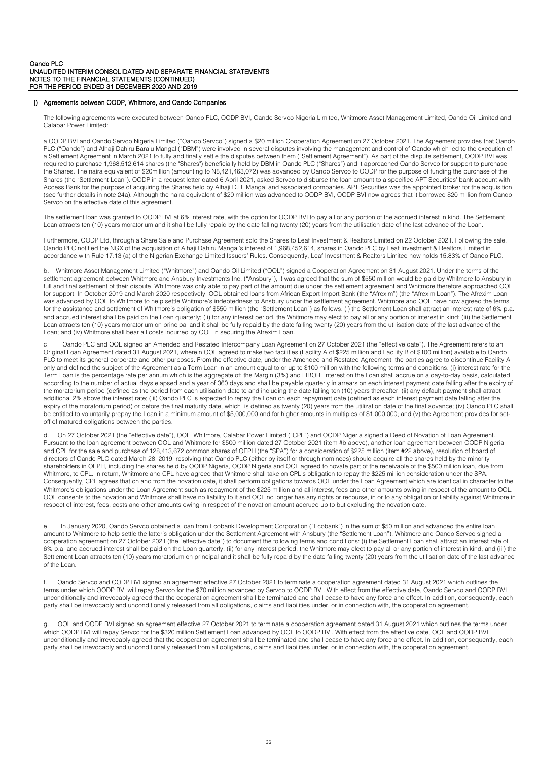# j) Agreements between OODP, Whitmore, and Oando Companies

The following agreements were executed between Oando PLC, OODP BVI, Oando Servco Nigeria Limited, Whitmore Asset Management Limited, Oando Oil Limited and Calabar Power Limited:

a.OODP BVI and Oando Servco Nigeria Limited ("Oando Servco") signed a \$20 million Cooperation Agreement on 27 October 2021. The Agreement provides that Oando PLC ("Oando") and Alhaji Dahiru Bara'u Mangal ("DBM") were involved in several disputes involving the management and control of Oando which led to the execution of a Settlement Agreement in March 2021 to fully and finally settle the disputes between them ("Settlement Agreement"). As part of the dispute settlement, OODP BVI was required to purchase 1,968,512,614 shares (the "Shares") beneficially held by DBM in Oando PLC ("Shares") and it approached Oando Servco for support to purchase the Shares. The naira equivalent of \$20million (amounting to N8,421,463,072) was advanced by Oando Servco to OODP for the purpose of funding the purchase of the Shares (the "Settlement Loan"). OODP in a request letter dated 6 April 2021, asked Servco to disburse the loan amount to a specified APT Securities' bank account with Access Bank for the purpose of acquiring the Shares held by Alhaji D.B. Mangal and associated companies. APT Securities was the appointed broker for the acquisition (see further details in note 24a). Although the naira equivalent of \$20 million was advanced to OODP BVI, OODP BVI now agrees that it borrowed \$20 million from Oando Servco on the effective date of this agreement.

The settlement loan was granted to OODP BVI at 6% interest rate, with the option for OODP BVI to pay all or any portion of the accrued interest in kind. The Settlement Loan attracts ten (10) years moratorium and it shall be fully repaid by the date falling twenty (20) years from the utilisation date of the last advance of the Loan.

Furthermore, OODP Ltd, through a Share Sale and Purchase Agreement sold the Shares to Leaf Investment & Realtors Limited on 22 October 2021. Following the sale, Oando PLC notified the NGX of the acquisition of Alhaji Dahiru Mangal's interest of 1,968,452,614, shares in Oando PLC by Leaf Investment & Realtors Limited in accordance with Rule 17:13 (a) of the Nigerian Exchange Limited Issuers' Rules. Consequently, Leaf Investment & Realtors Limited now holds 15.83% of Oando PLC.

b. Whitmore Asset Management Limited ("Whitmore") and Oando Oil Limited ("OOL") signed a Cooperation Agreement on 31 August 2021. Under the terms of the settlement agreement between Whitmore and Ansbury Investments Inc. ("Ansbury"), it was agreed that the sum of \$550 million would be paid by Whitmore to Ansbury in full and final settlement of their dispute. Whitmore was only able to pay part of the amount due under the settlement agreement and Whitmore therefore approached OOL for support. In October 2019 and March 2020 respectively, OOL obtained loans from African Export Import Bank (the "Afrexim") (the "Afrexim Loan"). The Afrexim Loan was advanced by OOL to Whitmore to help settle Whitmore's indebtedness to Ansbury under the settlement agreement. Whitmore and OOL have now agreed the terms for the assistance and settlement of Whitmore's obligation of \$550 million (the "Settlement Loan") as follows: (i) the Settlement Loan shall attract an interest rate of 6% p.a. and accrued interest shall be paid on the Loan quarterly; (ii) for any interest period, the Whitmore may elect to pay all or any portion of interest in kind; (iii) the Settlement Loan attracts ten (10) years moratorium on principal and it shall be fully repaid by the date falling twenty (20) years from the utilisation date of the last advance of the Loan; and (iv) Whitmore shall bear all costs incurred by OOL in securing the Afrexim Loan.

Oando PLC and OOL signed an Amended and Restated Intercompany Loan Agreement on 27 October 2021 (the "effective date"). The Agreement refers to an Original Loan Agreement dated 31 August 2021, wherein OOL agreed to make two facilities (Facility A of \$225 million and Facility B of \$100 million) available to Oando PLC to meet its general corporate and other purposes. From the effective date, under the Amended and Restated Agreement, the parties agree to discontinue Facility A only and defined the subject of the Agreement as a Term Loan in an amount equal to or up to \$100 million with the following terms and conditions: (i) interest rate for the Term Loan is the percentage rate per annum which is the aggregate of: the Margin (3%) and LIBOR. Interest on the Loan shall accrue on a day-to-day basis, calculated according to the number of actual days elapsed and a year of 360 days and shall be payable quarterly in arrears on each interest payment date falling after the expiry of the moratorium period (defined as the period from each utilisation date to and including the date falling ten (10) years thereafter; (ii) any default payment shall attract additional 2% above the interest rate; (iii) Oando PLC is expected to repay the Loan on each repayment date (defined as each interest payment date falling after the expiry of the moratorium period) or before the final maturity date, which is defined as twenty (20) years from the utilization date of the final advance; (iv) Oando PLC shall be entitled to voluntarily prepay the Loan in a minimum amount of \$5,000,000 and for higher amounts in multiples of \$1,000,000; and (v) the Agreement provides for setoff of matured obligations between the parties.

On 27 October 2021 (the "effective date"), OOL, Whitmore, Calabar Power Limited ("CPL") and OODP Nigeria signed a Deed of Novation of Loan Agreement. Pursuant to the loan agreement between OOL and Whitmore for \$500 million dated 27 October 2021 (item #b above), another loan agreement between OODP Nigeria and CPL for the sale and purchase of 128,413,672 common shares of OEPH (the "SPA") for a consideration of \$225 million (item #22 above), resolution of board of directors of Oando PLC dated March 28, 2019, resolving that Oando PLC (either by itself or through nominees) should acquire all the shares held by the minority shareholders in OEPH, including the shares held by OODP Nigeria, OODP Nigeria and OOL agreed to novate part of the receivable of the \$500 million loan, due from Whitmore, to CPL. In return, Whitmore and CPL have agreed that Whitmore shall take on CPL's obligation to repay the \$225 million consideration under the SPA. Consequently, CPL agrees that on and from the novation date, it shall perform obligations towards OOL under the Loan Agreement which are identical in character to the Whitmore's obligations under the Loan Agreement such as repayment of the \$225 million and all interest, fees and other amounts owing in respect of the amount to OOL. OOL consents to the novation and Whitmore shall have no liability to it and OOL no longer has any rights or recourse, in or to any obligation or liability against Whitmore in respect of interest, fees, costs and other amounts owing in respect of the novation amount accrued up to but excluding the novation date.

e. In January 2020, Oando Servco obtained a loan from Ecobank Development Corporation ("Ecobank") in the sum of \$50 million and advanced the entire loan amount to Whitmore to help settle the latter's obligation under the Settlement Agreement with Ansbury (the "Settlement Loan"). Whitmore and Oando Servco signed a cooperation agreement on 27 October 2021 (the "effective date") to document the following terms and conditions: (i) the Settlement Loan shall attract an interest rate of 6% p.a. and accrued interest shall be paid on the Loan quarterly; (ii) for any interest period, the Whitmore may elect to pay all or any portion of interest in kind; and (iii) the Settlement Loan attracts ten (10) years moratorium on principal and it shall be fully repaid by the date falling twenty (20) years from the utilisation date of the last advance of the Loan.

f. Oando Servco and OODP BVI signed an agreement effective 27 October 2021 to terminate a cooperation agreement dated 31 August 2021 which outlines the terms under which OODP BVI will repay Servco for the \$70 million advanced by Servco to OODP BVI. With effect from the effective date, Oando Servco and OODP BVI unconditionally and irrevocably agreed that the cooperation agreement shall be terminated and shall cease to have any force and effect. In addition, consequently, each party shall be irrevocably and unconditionally released from all obligations, claims and liabilities under, or in connection with, the cooperation agreement.

g. OOL and OODP BVI signed an agreement effective 27 October 2021 to terminate a cooperation agreement dated 31 August 2021 which outlines the terms under which OODP BVI will repay Servco for the \$320 million Settlement Loan advanced by OOL to OODP BVI. With effect from the effective date, OOL and OODP BVI unconditionally and irrevocably agreed that the cooperation agreement shall be terminated and shall cease to have any force and effect. In addition, consequently, each party shall be irrevocably and unconditionally released from all obligations, claims and liabilities under, or in connection with, the cooperation agreement.